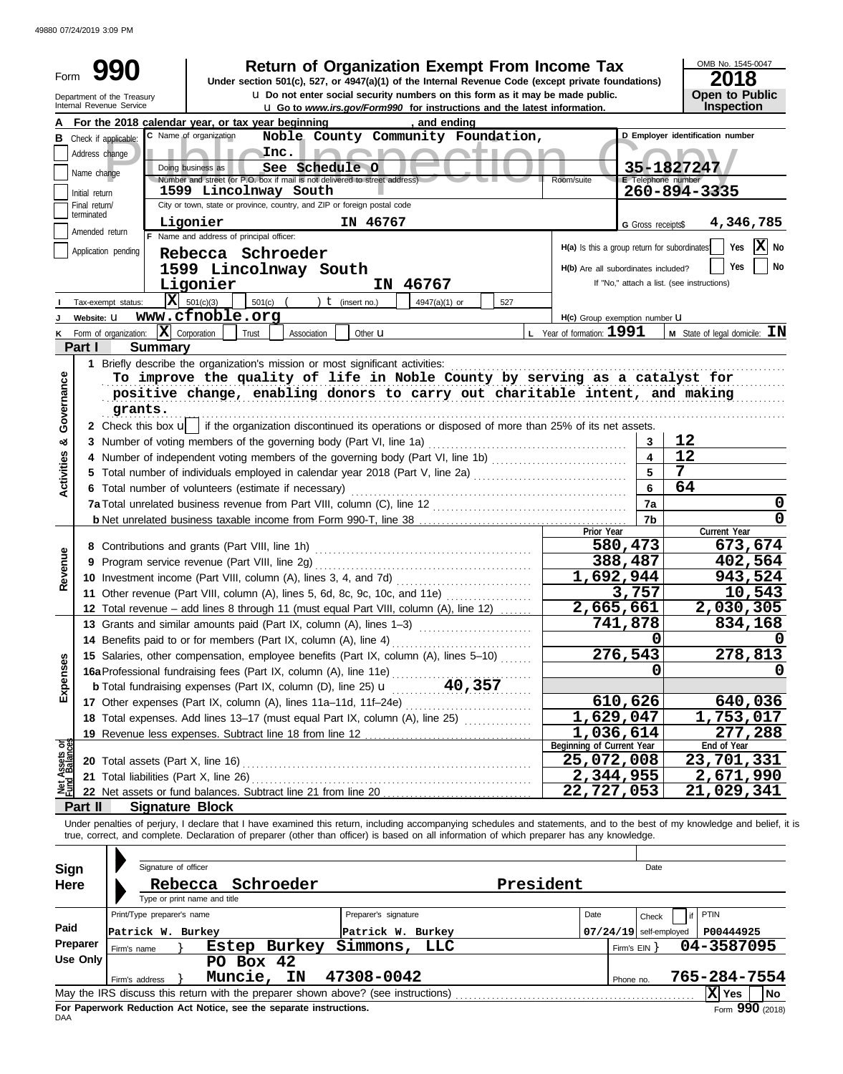49880 07/24/2019 3:09 PM

|                   |                 | <b>Return of Organization Exempt From Income Tax</b>                                                                                                                                                                                                                                                                     |                                                                                                                        |                          | OMB No. 1545-0047                          |  |  |  |
|-------------------|-----------------|--------------------------------------------------------------------------------------------------------------------------------------------------------------------------------------------------------------------------------------------------------------------------------------------------------------------------|------------------------------------------------------------------------------------------------------------------------|--------------------------|--------------------------------------------|--|--|--|
| Form              |                 | 990<br>Under section 501(c), 527, or 4947(a)(1) of the Internal Revenue Code (except private foundations)                                                                                                                                                                                                                |                                                                                                                        |                          | 2018                                       |  |  |  |
|                   |                 | <b>u</b> Do not enter social security numbers on this form as it may be made public.<br>Department of the Treasury<br>Internal Revenue Service                                                                                                                                                                           | <b>Open to Public</b><br>Inspection<br><b>u</b> Go to www.irs.gov/Form990 for instructions and the latest information. |                          |                                            |  |  |  |
|                   |                 | For the 2018 calendar year, or tax year beginning<br>, and ending                                                                                                                                                                                                                                                        |                                                                                                                        |                          |                                            |  |  |  |
|                   |                 | C Name of organization<br>Noble County Community Foundation,<br><b>B</b> Check if applicable:                                                                                                                                                                                                                            |                                                                                                                        |                          | D Employer identification number           |  |  |  |
|                   | Address change  | Inc.                                                                                                                                                                                                                                                                                                                     |                                                                                                                        |                          |                                            |  |  |  |
|                   | Name change     | Doing business as<br>See Schedule O                                                                                                                                                                                                                                                                                      |                                                                                                                        | E Telephone number       | 35-1827247                                 |  |  |  |
|                   | Initial return  | Number and street (or P.O. box if mail is not delivered to street address).<br>1599 Lincolnway South                                                                                                                                                                                                                     | Room/suite                                                                                                             |                          | 260-894-3335                               |  |  |  |
|                   | Final return/   | City or town, state or province, country, and ZIP or foreign postal code                                                                                                                                                                                                                                                 |                                                                                                                        |                          |                                            |  |  |  |
|                   | terminated      | Ligonier<br>IN 46767                                                                                                                                                                                                                                                                                                     |                                                                                                                        | G Gross receipts\$       | 4,346,785                                  |  |  |  |
|                   | Amended return  | F Name and address of principal officer:                                                                                                                                                                                                                                                                                 |                                                                                                                        |                          | $ \mathbf{X} $ No                          |  |  |  |
|                   |                 | Application pending<br>Rebecca Schroeder                                                                                                                                                                                                                                                                                 | H(a) Is this a group return for subordinates                                                                           |                          | Yes                                        |  |  |  |
|                   |                 | 1599 Lincolnway South                                                                                                                                                                                                                                                                                                    | H(b) Are all subordinates included?                                                                                    |                          | No<br>Yes                                  |  |  |  |
|                   |                 | IN 46767<br>Ligonier                                                                                                                                                                                                                                                                                                     |                                                                                                                        |                          | If "No," attach a list. (see instructions) |  |  |  |
|                   |                 | $ \mathbf{\bar{X}} $ 501(c)(3)<br>501(c)<br>) $t$ (insert no.)<br>4947(a)(1) or<br>527<br>Tax-exempt status:                                                                                                                                                                                                             |                                                                                                                        |                          |                                            |  |  |  |
|                   | Website: U      | www.cfnoble.org                                                                                                                                                                                                                                                                                                          | H(c) Group exemption number <b>U</b>                                                                                   |                          |                                            |  |  |  |
|                   |                 | $ \mathbf{X} $ Corporation<br>K Form of organization:<br>Other <b>u</b><br>Trust<br>Association                                                                                                                                                                                                                          | $L$ Year of formation: $1991$                                                                                          |                          | <b>M</b> State of legal domicile: $IN$     |  |  |  |
|                   | Part I          | <b>Summary</b>                                                                                                                                                                                                                                                                                                           |                                                                                                                        |                          |                                            |  |  |  |
|                   |                 | 1 Briefly describe the organization's mission or most significant activities:                                                                                                                                                                                                                                            |                                                                                                                        |                          |                                            |  |  |  |
| Governance        |                 | To improve the quality of life in Noble County by serving as a catalyst for<br>positive change, enabling donors to carry out charitable intent, and making                                                                                                                                                               |                                                                                                                        |                          |                                            |  |  |  |
|                   |                 |                                                                                                                                                                                                                                                                                                                          |                                                                                                                        |                          |                                            |  |  |  |
|                   |                 | grants.                                                                                                                                                                                                                                                                                                                  |                                                                                                                        |                          |                                            |  |  |  |
| න්                |                 | 2 Check this box u   if the organization discontinued its operations or disposed of more than 25% of its net assets.                                                                                                                                                                                                     |                                                                                                                        | 3                        | 12                                         |  |  |  |
|                   |                 | 4 Number of independent voting members of the governing body (Part VI, line 1b)                                                                                                                                                                                                                                          |                                                                                                                        | $\overline{\mathbf{4}}$  | 12                                         |  |  |  |
|                   |                 |                                                                                                                                                                                                                                                                                                                          |                                                                                                                        | 5                        | 7                                          |  |  |  |
| <b>Activities</b> |                 | 6 Total number of volunteers (estimate if necessary)                                                                                                                                                                                                                                                                     |                                                                                                                        | $6\phantom{1}$           | 64                                         |  |  |  |
|                   |                 |                                                                                                                                                                                                                                                                                                                          |                                                                                                                        | 7a                       | 0                                          |  |  |  |
|                   |                 |                                                                                                                                                                                                                                                                                                                          |                                                                                                                        | 7b                       | $\mathbf 0$                                |  |  |  |
|                   |                 |                                                                                                                                                                                                                                                                                                                          | Prior Year                                                                                                             |                          | Current Year                               |  |  |  |
|                   |                 |                                                                                                                                                                                                                                                                                                                          |                                                                                                                        | 580,473                  | 673,674                                    |  |  |  |
| Revenue           |                 |                                                                                                                                                                                                                                                                                                                          |                                                                                                                        | 388,487                  | 402,564                                    |  |  |  |
|                   |                 |                                                                                                                                                                                                                                                                                                                          | 1,692,944                                                                                                              |                          | 943,524                                    |  |  |  |
|                   |                 | 11 Other revenue (Part VIII, column (A), lines 5, 6d, 8c, 9c, 10c, and 11e)                                                                                                                                                                                                                                              |                                                                                                                        | 3,757                    | 10,543<br>2,030,305                        |  |  |  |
|                   |                 | 12 Total revenue - add lines 8 through 11 (must equal Part VIII, column (A), line 12)<br>13 Grants and similar amounts paid (Part IX, column (A), lines 1-3)                                                                                                                                                             | 2,665,661                                                                                                              | 741,878                  | 834,168                                    |  |  |  |
|                   |                 | 14 Benefits paid to or for members (Part IX, column (A), line 4)                                                                                                                                                                                                                                                         |                                                                                                                        | 0                        | 0                                          |  |  |  |
|                   |                 | 15 Salaries, other compensation, employee benefits (Part IX, column (A), lines 5-10)                                                                                                                                                                                                                                     |                                                                                                                        | 276,543                  | 278,813                                    |  |  |  |
| Expenses          |                 | 15 Salaries, other compensation, one compared on (A), line 11e)<br>16a Professional fundraising fees (Part IX, column (A), line 25) $\mathbf{u} = (25) \mathbf{u} = (40, 357)$                                                                                                                                           |                                                                                                                        | 0                        |                                            |  |  |  |
|                   |                 |                                                                                                                                                                                                                                                                                                                          |                                                                                                                        |                          |                                            |  |  |  |
|                   |                 | 17 Other expenses (Part IX, column (A), lines 11a-11d, 11f-24e)                                                                                                                                                                                                                                                          |                                                                                                                        | 610,626                  | 640,036                                    |  |  |  |
|                   |                 |                                                                                                                                                                                                                                                                                                                          | 1,629,047                                                                                                              |                          | 1,753,017                                  |  |  |  |
|                   |                 |                                                                                                                                                                                                                                                                                                                          | 1,036,614                                                                                                              |                          | 277,288                                    |  |  |  |
| Assets or         |                 |                                                                                                                                                                                                                                                                                                                          | Beginning of Current Year                                                                                              |                          | End of Year                                |  |  |  |
|                   |                 |                                                                                                                                                                                                                                                                                                                          | 25,072,008                                                                                                             |                          | 23,701,331                                 |  |  |  |
| <b>PENE</b>       |                 |                                                                                                                                                                                                                                                                                                                          | 2,344,955                                                                                                              |                          | 2,671,990                                  |  |  |  |
|                   |                 | <b>Signature Block</b>                                                                                                                                                                                                                                                                                                   | 22,727,053                                                                                                             |                          | 21,029,341                                 |  |  |  |
|                   |                 |                                                                                                                                                                                                                                                                                                                          |                                                                                                                        |                          |                                            |  |  |  |
|                   | Part II         |                                                                                                                                                                                                                                                                                                                          |                                                                                                                        |                          |                                            |  |  |  |
|                   |                 | Under penalties of perjury, I declare that I have examined this return, including accompanying schedules and statements, and to the best of my knowledge and belief, it is<br>true, correct, and complete. Declaration of preparer (other than officer) is based on all information of which preparer has any knowledge. |                                                                                                                        |                          |                                            |  |  |  |
|                   |                 |                                                                                                                                                                                                                                                                                                                          |                                                                                                                        |                          |                                            |  |  |  |
|                   |                 | Signature of officer                                                                                                                                                                                                                                                                                                     |                                                                                                                        | Date                     |                                            |  |  |  |
| Sign              |                 |                                                                                                                                                                                                                                                                                                                          |                                                                                                                        |                          |                                            |  |  |  |
| Here              |                 | President<br>Rebecca<br>Schroeder<br>Type or print name and title                                                                                                                                                                                                                                                        |                                                                                                                        |                          |                                            |  |  |  |
|                   |                 | Print/Type preparer's name<br>Preparer's signature                                                                                                                                                                                                                                                                       | Date                                                                                                                   | Check                    | <b>PTIN</b>                                |  |  |  |
| Paid              |                 | Patrick W. Burkey<br>Patrick W. Burkey                                                                                                                                                                                                                                                                                   |                                                                                                                        | $07/24/19$ self-employed | P00444925                                  |  |  |  |
|                   | Preparer        | Estep Burkey<br>Simmons,<br>LLC<br>Firm's name                                                                                                                                                                                                                                                                           |                                                                                                                        | Firm's $EIN$ }           | 04-3587095                                 |  |  |  |
|                   | <b>Use Only</b> | PO Box 42                                                                                                                                                                                                                                                                                                                |                                                                                                                        |                          |                                            |  |  |  |
|                   |                 | Muncie, IN<br>47308-0042<br>Firm's address                                                                                                                                                                                                                                                                               |                                                                                                                        | Phone no.                | 765-284-7554<br>X Yes<br><b>No</b>         |  |  |  |

|          | Print/Type preparer's name |              |                                                                    | Preparer's signature                                                              |     | Date |              | Check                    | if PTIN      |                   |  |
|----------|----------------------------|--------------|--------------------------------------------------------------------|-----------------------------------------------------------------------------------|-----|------|--------------|--------------------------|--------------|-------------------|--|
| Paid     | Patrick W. Burkey          |              |                                                                    | Patrick W. Burkey                                                                 |     |      |              | $07/24/19$ self-employed | P00444925    |                   |  |
| Preparer | Firm's name                | <b>Estep</b> | Burkey                                                             | Simmons,                                                                          | LLC |      | Firm's $EIN$ |                          | 04-3587095   |                   |  |
| Use Only |                            | PO Box 42    |                                                                    |                                                                                   |     |      |              |                          |              |                   |  |
|          | Firm's address             | Muncie,      | ΙN                                                                 | 47308-0042                                                                        |     |      | Phone no.    |                          | 765-284-7554 |                   |  |
|          |                            |              |                                                                    | May the IRS discuss this return with the preparer shown above? (see instructions) |     |      |              |                          | Yes<br>ΙXΙ   | <b>No</b>         |  |
| DAA      |                            |              | For Paperwork Reduction Act Notice, see the separate instructions. |                                                                                   |     |      |              |                          |              | Form $990$ (2018) |  |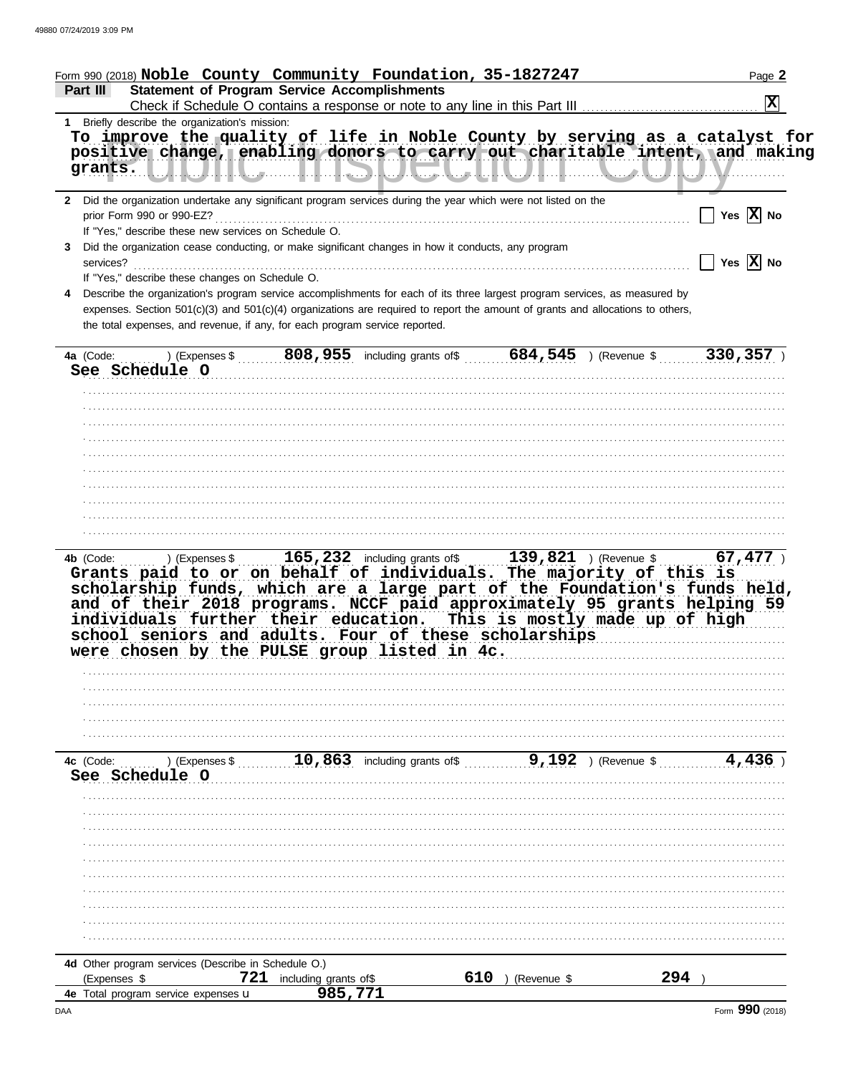| Form 990 (2018) Noble County Community Foundation, 35-1827247                                                                                                                                                                                                                                                                                                                                                                                                                                   |                                         | Page 2                |
|-------------------------------------------------------------------------------------------------------------------------------------------------------------------------------------------------------------------------------------------------------------------------------------------------------------------------------------------------------------------------------------------------------------------------------------------------------------------------------------------------|-----------------------------------------|-----------------------|
| <b>Statement of Program Service Accomplishments</b><br>Part III                                                                                                                                                                                                                                                                                                                                                                                                                                 |                                         | $ \mathbf{x} $        |
| 1 Briefly describe the organization's mission:                                                                                                                                                                                                                                                                                                                                                                                                                                                  |                                         |                       |
| To improve the quality of life in Noble County by serving as a catalyst for                                                                                                                                                                                                                                                                                                                                                                                                                     |                                         |                       |
| positive change, enabling donors to carry out charitable intent, and making                                                                                                                                                                                                                                                                                                                                                                                                                     |                                         |                       |
| grants.                                                                                                                                                                                                                                                                                                                                                                                                                                                                                         |                                         |                       |
| 2 Did the organization undertake any significant program services during the year which were not listed on the                                                                                                                                                                                                                                                                                                                                                                                  |                                         |                       |
|                                                                                                                                                                                                                                                                                                                                                                                                                                                                                                 |                                         | Yes $\overline{X}$ No |
| If "Yes," describe these new services on Schedule O.                                                                                                                                                                                                                                                                                                                                                                                                                                            |                                         |                       |
| Did the organization cease conducting, or make significant changes in how it conducts, any program<br>3                                                                                                                                                                                                                                                                                                                                                                                         |                                         |                       |
| services?                                                                                                                                                                                                                                                                                                                                                                                                                                                                                       |                                         | Yes $\overline{X}$ No |
| If "Yes," describe these changes on Schedule O.<br>Describe the organization's program service accomplishments for each of its three largest program services, as measured by<br>4                                                                                                                                                                                                                                                                                                              |                                         |                       |
| expenses. Section 501(c)(3) and 501(c)(4) organizations are required to report the amount of grants and allocations to others,                                                                                                                                                                                                                                                                                                                                                                  |                                         |                       |
| the total expenses, and revenue, if any, for each program service reported.                                                                                                                                                                                                                                                                                                                                                                                                                     |                                         |                       |
|                                                                                                                                                                                                                                                                                                                                                                                                                                                                                                 |                                         |                       |
| See Schedule O                                                                                                                                                                                                                                                                                                                                                                                                                                                                                  |                                         |                       |
|                                                                                                                                                                                                                                                                                                                                                                                                                                                                                                 |                                         |                       |
|                                                                                                                                                                                                                                                                                                                                                                                                                                                                                                 |                                         |                       |
|                                                                                                                                                                                                                                                                                                                                                                                                                                                                                                 |                                         |                       |
|                                                                                                                                                                                                                                                                                                                                                                                                                                                                                                 |                                         |                       |
|                                                                                                                                                                                                                                                                                                                                                                                                                                                                                                 |                                         |                       |
|                                                                                                                                                                                                                                                                                                                                                                                                                                                                                                 |                                         |                       |
|                                                                                                                                                                                                                                                                                                                                                                                                                                                                                                 |                                         |                       |
|                                                                                                                                                                                                                                                                                                                                                                                                                                                                                                 |                                         |                       |
|                                                                                                                                                                                                                                                                                                                                                                                                                                                                                                 |                                         |                       |
| 4b (Code:  ) (Expenses \$  165, 232 including grants of \$  139, 821 ) (Revenue \$  67, 477 )<br>Grants paid to or on behalf of individuals. The majority of this is<br>scholarship funds, which are a large part of the Foundation's funds held,<br>and of their 2018 programs. NCCF paid approximately 95 grants helping 59<br>individuals further their education. This is mostly made up of high<br>school seniors and adults. Four of these scholarships<br>were chosen by the PULSE group | listed in 4c.                           |                       |
|                                                                                                                                                                                                                                                                                                                                                                                                                                                                                                 |                                         |                       |
|                                                                                                                                                                                                                                                                                                                                                                                                                                                                                                 |                                         |                       |
|                                                                                                                                                                                                                                                                                                                                                                                                                                                                                                 |                                         |                       |
|                                                                                                                                                                                                                                                                                                                                                                                                                                                                                                 |                                         |                       |
| 4c (Code:<br>) (Expenses \$<br>See Schedule O                                                                                                                                                                                                                                                                                                                                                                                                                                                   | 9,192<br>10,863 including grants of $$$ | ) (Revenue \$         |
|                                                                                                                                                                                                                                                                                                                                                                                                                                                                                                 |                                         |                       |
|                                                                                                                                                                                                                                                                                                                                                                                                                                                                                                 |                                         |                       |
|                                                                                                                                                                                                                                                                                                                                                                                                                                                                                                 |                                         |                       |
|                                                                                                                                                                                                                                                                                                                                                                                                                                                                                                 |                                         |                       |
|                                                                                                                                                                                                                                                                                                                                                                                                                                                                                                 |                                         |                       |
|                                                                                                                                                                                                                                                                                                                                                                                                                                                                                                 |                                         |                       |
|                                                                                                                                                                                                                                                                                                                                                                                                                                                                                                 |                                         |                       |
|                                                                                                                                                                                                                                                                                                                                                                                                                                                                                                 |                                         |                       |
|                                                                                                                                                                                                                                                                                                                                                                                                                                                                                                 |                                         |                       |
| 4d Other program services (Describe in Schedule O.)                                                                                                                                                                                                                                                                                                                                                                                                                                             |                                         |                       |
| 721<br>(Expenses \$<br>including grants of\$                                                                                                                                                                                                                                                                                                                                                                                                                                                    | 610<br>(Revenue \$                      | 294                   |
| 4e Total program service expenses u                                                                                                                                                                                                                                                                                                                                                                                                                                                             | 985,771                                 |                       |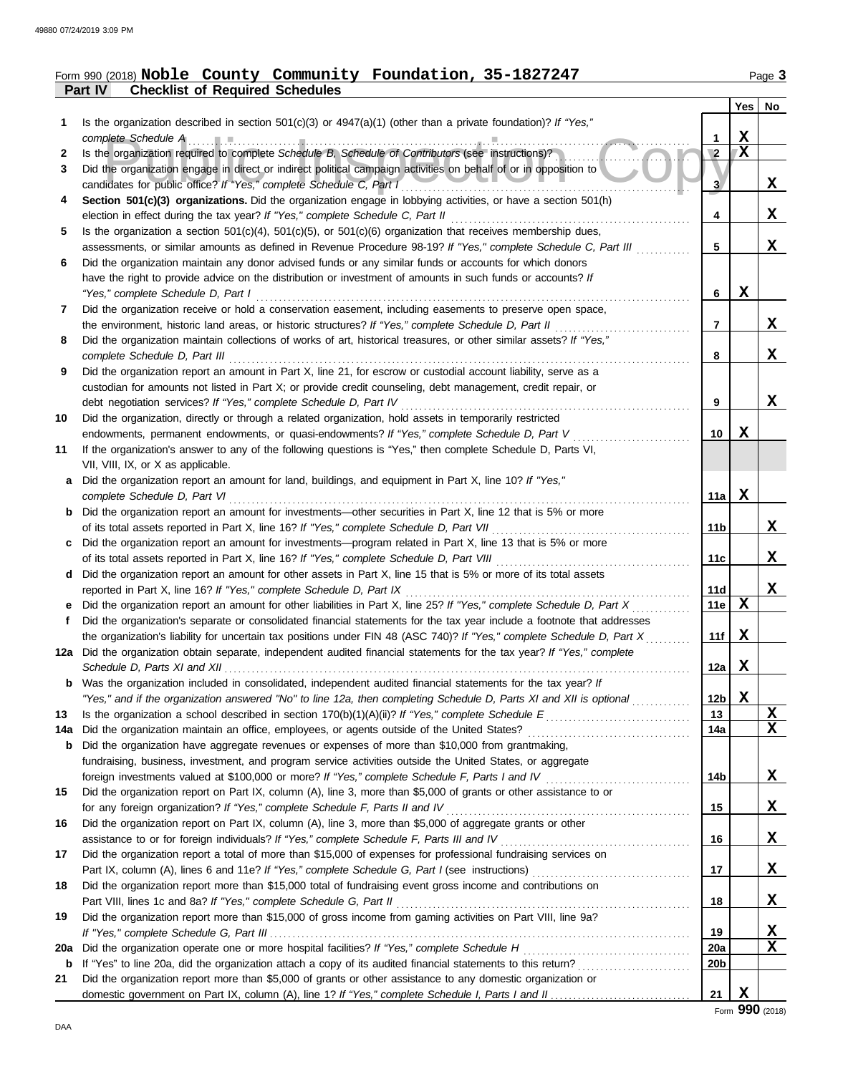## **Part IV Checklist of Required Schedules** Form 990 (2018) Page **3 Noble County Community Foundation, 35-1827247**

|     |                                                                                                                                                                                                                                                   |                 | Yes         | No          |
|-----|---------------------------------------------------------------------------------------------------------------------------------------------------------------------------------------------------------------------------------------------------|-----------------|-------------|-------------|
|     | Is the organization described in section 501(c)(3) or $4947(a)(1)$ (other than a private foundation)? If "Yes,"                                                                                                                                   |                 |             |             |
|     | complete Schedule A                                                                                                                                                                                                                               | 1               | X           |             |
| 2   | Is the organization required to complete Schedule B, Schedule of Contributors (see instructions)?                                                                                                                                                 | $\overline{2}$  | $\mathbf X$ |             |
| 3   | Did the organization engage in direct or indirect political campaign activities on behalf of or in opposition to                                                                                                                                  |                 |             |             |
|     | candidates for public office? If "Yes," complete Schedule C, Part I                                                                                                                                                                               | 3               |             | x           |
| 4   | Section 501(c)(3) organizations. Did the organization engage in lobbying activities, or have a section 501(h)                                                                                                                                     |                 |             |             |
|     | election in effect during the tax year? If "Yes," complete Schedule C, Part II                                                                                                                                                                    | 4               |             | x           |
| 5   | Is the organization a section $501(c)(4)$ , $501(c)(5)$ , or $501(c)(6)$ organization that receives membership dues,<br>assessments, or similar amounts as defined in Revenue Procedure 98-19? If "Yes," complete Schedule C, Part III            | 5               |             | X           |
| 6   | Did the organization maintain any donor advised funds or any similar funds or accounts for which donors                                                                                                                                           |                 |             |             |
|     | have the right to provide advice on the distribution or investment of amounts in such funds or accounts? If                                                                                                                                       |                 |             |             |
|     | "Yes," complete Schedule D, Part I                                                                                                                                                                                                                | 6               | X           |             |
| 7   | Did the organization receive or hold a conservation easement, including easements to preserve open space,                                                                                                                                         |                 |             |             |
|     | the environment, historic land areas, or historic structures? If "Yes," complete Schedule D, Part II                                                                                                                                              | 7               |             | X           |
| 8   | Did the organization maintain collections of works of art, historical treasures, or other similar assets? If "Yes,"                                                                                                                               |                 |             |             |
|     | complete Schedule D, Part III                                                                                                                                                                                                                     | 8               |             | X           |
| 9   | Did the organization report an amount in Part X, line 21, for escrow or custodial account liability, serve as a                                                                                                                                   |                 |             |             |
|     | custodian for amounts not listed in Part X; or provide credit counseling, debt management, credit repair, or                                                                                                                                      |                 |             |             |
|     | debt negotiation services? If "Yes," complete Schedule D, Part IV                                                                                                                                                                                 | 9               |             | X           |
| 10  | Did the organization, directly or through a related organization, hold assets in temporarily restricted                                                                                                                                           |                 |             |             |
|     | endowments, permanent endowments, or quasi-endowments? If "Yes," complete Schedule D, Part V                                                                                                                                                      | 10              | X           |             |
| 11  | If the organization's answer to any of the following questions is "Yes," then complete Schedule D, Parts VI,                                                                                                                                      |                 |             |             |
|     | VII, VIII, IX, or X as applicable.                                                                                                                                                                                                                |                 |             |             |
| a   | Did the organization report an amount for land, buildings, and equipment in Part X, line 10? If "Yes,"                                                                                                                                            |                 |             |             |
|     | complete Schedule D, Part VI                                                                                                                                                                                                                      | 11a             | X           |             |
| b   | Did the organization report an amount for investments—other securities in Part X, line 12 that is 5% or more                                                                                                                                      |                 |             |             |
|     | of its total assets reported in Part X, line 16? If "Yes," complete Schedule D, Part VII                                                                                                                                                          | 11b             |             | X           |
|     | Did the organization report an amount for investments—program related in Part X, line 13 that is 5% or more                                                                                                                                       |                 |             |             |
|     | of its total assets reported in Part X, line 16? If "Yes," complete Schedule D, Part VIII                                                                                                                                                         | 11с             |             | X           |
| d   | Did the organization report an amount for other assets in Part X, line 15 that is 5% or more of its total assets                                                                                                                                  |                 |             |             |
|     | reported in Part X, line 16? If "Yes," complete Schedule D, Part IX                                                                                                                                                                               | 11d             |             | X           |
|     | Did the organization report an amount for other liabilities in Part X, line 25? If "Yes," complete Schedule D, Part X                                                                                                                             | 11e             | $\mathbf x$ |             |
| Ť.  | Did the organization's separate or consolidated financial statements for the tax year include a footnote that addresses                                                                                                                           | 11f             | x           |             |
|     | the organization's liability for uncertain tax positions under FIN 48 (ASC 740)? If "Yes," complete Schedule D, Part X<br>12a Did the organization obtain separate, independent audited financial statements for the tax year? If "Yes," complete |                 |             |             |
|     | Schedule D, Parts XI and XII                                                                                                                                                                                                                      | 12a             | Х           |             |
|     | Was the organization included in consolidated, independent audited financial statements for the tax year? If                                                                                                                                      |                 |             |             |
|     | "Yes," and if the organization answered "No" to line 12a, then completing Schedule D, Parts XI and XII is optional                                                                                                                                | 12 <sub>b</sub> | X           |             |
| 13  |                                                                                                                                                                                                                                                   | 13              |             | X           |
| 14a | Did the organization maintain an office, employees, or agents outside of the United States?                                                                                                                                                       | 14a             |             | $\mathbf x$ |
| b   | Did the organization have aggregate revenues or expenses of more than \$10,000 from grantmaking,                                                                                                                                                  |                 |             |             |
|     | fundraising, business, investment, and program service activities outside the United States, or aggregate                                                                                                                                         |                 |             |             |
|     | foreign investments valued at \$100,000 or more? If "Yes," complete Schedule F, Parts I and IV                                                                                                                                                    | 14b             |             | X,          |
| 15  | Did the organization report on Part IX, column (A), line 3, more than \$5,000 of grants or other assistance to or                                                                                                                                 |                 |             |             |
|     | for any foreign organization? If "Yes," complete Schedule F, Parts II and IV                                                                                                                                                                      | 15              |             | X           |
| 16  | Did the organization report on Part IX, column (A), line 3, more than \$5,000 of aggregate grants or other                                                                                                                                        |                 |             |             |
|     |                                                                                                                                                                                                                                                   | 16              |             | X           |
| 17  | Did the organization report a total of more than \$15,000 of expenses for professional fundraising services on                                                                                                                                    |                 |             |             |
|     |                                                                                                                                                                                                                                                   | 17              |             | X           |
| 18  | Did the organization report more than \$15,000 total of fundraising event gross income and contributions on                                                                                                                                       |                 |             |             |
|     | Part VIII, lines 1c and 8a? If "Yes," complete Schedule G, Part II                                                                                                                                                                                | 18              |             | X,          |
| 19  | Did the organization report more than \$15,000 of gross income from gaming activities on Part VIII, line 9a?                                                                                                                                      |                 |             |             |
|     |                                                                                                                                                                                                                                                   | 19              |             | X           |
| 20a | Did the organization operate one or more hospital facilities? If "Yes," complete Schedule H                                                                                                                                                       | 20a             |             | X           |
| b   |                                                                                                                                                                                                                                                   | 20b             |             |             |
| 21  | Did the organization report more than \$5,000 of grants or other assistance to any domestic organization or                                                                                                                                       |                 | X           |             |
|     |                                                                                                                                                                                                                                                   | 21              |             |             |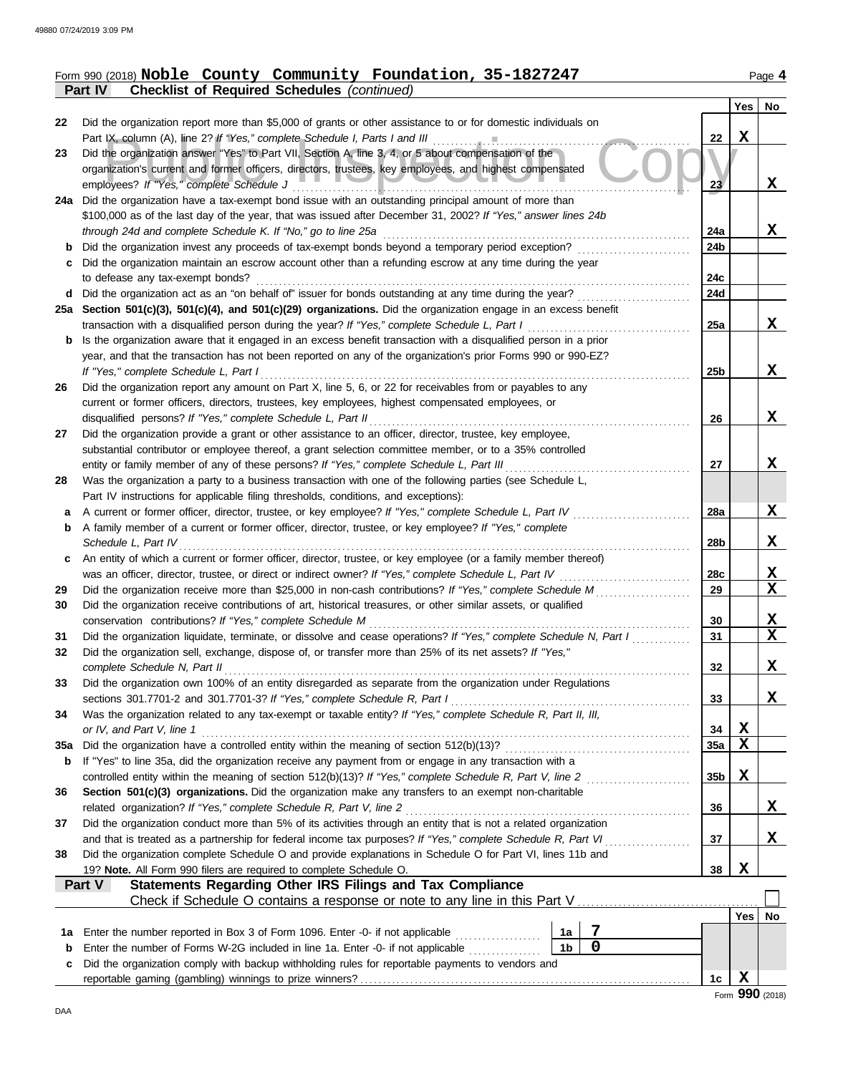| Form 990 (2018) Noble County Community Foundation, 35-1827247 |  |  | Page $4$ |
|---------------------------------------------------------------|--|--|----------|
| <b>Part IV</b> Checklist of Required Schedules (continued)    |  |  |          |

|                   |                                                                                                                                                                                                                        |                 | Yes | <b>No</b>   |
|-------------------|------------------------------------------------------------------------------------------------------------------------------------------------------------------------------------------------------------------------|-----------------|-----|-------------|
| 22                | Did the organization report more than \$5,000 of grants or other assistance to or for domestic individuals on                                                                                                          |                 |     |             |
|                   | Part IX, column (A), line 2? If "Yes," complete Schedule I, Parts I and III                                                                                                                                            | 22              | X   |             |
| 23                | Did the organization answer "Yes" to Part VII, Section A, line 3, 4, or 5 about compensation of the                                                                                                                    |                 |     |             |
|                   | organization's current and former officers, directors, trustees, key employees, and highest compensated<br>employees? If "Yes," complete Schedule J                                                                    | 23 <sub>2</sub> |     | X           |
| 24a               | Did the organization have a tax-exempt bond issue with an outstanding principal amount of more than                                                                                                                    |                 |     |             |
|                   | \$100,000 as of the last day of the year, that was issued after December 31, 2002? If "Yes," answer lines 24b                                                                                                          |                 |     |             |
|                   | through 24d and complete Schedule K. If "No," go to line 25a                                                                                                                                                           | 24a             |     | X           |
| b                 | Did the organization invest any proceeds of tax-exempt bonds beyond a temporary period exception?                                                                                                                      | 24b             |     |             |
| c                 | Did the organization maintain an escrow account other than a refunding escrow at any time during the year                                                                                                              |                 |     |             |
|                   | to defease any tax-exempt bonds?                                                                                                                                                                                       | 24c             |     |             |
| d                 | Did the organization act as an "on behalf of" issuer for bonds outstanding at any time during the year?                                                                                                                | 24d             |     |             |
|                   | 25a Section 501(c)(3), 501(c)(4), and 501(c)(29) organizations. Did the organization engage in an excess benefit                                                                                                       |                 |     |             |
|                   | transaction with a disqualified person during the year? If "Yes," complete Schedule L, Part I                                                                                                                          | 25a             |     | X           |
| b                 | Is the organization aware that it engaged in an excess benefit transaction with a disqualified person in a prior                                                                                                       |                 |     |             |
|                   | year, and that the transaction has not been reported on any of the organization's prior Forms 990 or 990-EZ?                                                                                                           |                 |     |             |
|                   | If "Yes," complete Schedule L, Part I                                                                                                                                                                                  | 25 <sub>b</sub> |     | X           |
| 26                | Did the organization report any amount on Part X, line 5, 6, or 22 for receivables from or payables to any                                                                                                             |                 |     |             |
|                   | current or former officers, directors, trustees, key employees, highest compensated employees, or                                                                                                                      |                 |     |             |
|                   | disqualified persons? If "Yes," complete Schedule L, Part II                                                                                                                                                           | 26              |     | $\mathbf x$ |
| 27                | Did the organization provide a grant or other assistance to an officer, director, trustee, key employee,                                                                                                               |                 |     |             |
|                   | substantial contributor or employee thereof, a grant selection committee member, or to a 35% controlled<br>entity or family member of any of these persons? If "Yes," complete Schedule L, Part III                    | 27              |     | X           |
| 28                | Was the organization a party to a business transaction with one of the following parties (see Schedule L,                                                                                                              |                 |     |             |
|                   | Part IV instructions for applicable filing thresholds, conditions, and exceptions):                                                                                                                                    |                 |     |             |
| a                 | A current or former officer, director, trustee, or key employee? If "Yes," complete Schedule L, Part IV                                                                                                                | 28a             |     | X           |
| b                 | A family member of a current or former officer, director, trustee, or key employee? If "Yes," complete                                                                                                                 |                 |     |             |
|                   | Schedule L, Part IV                                                                                                                                                                                                    | 28b             |     | X           |
| c                 | An entity of which a current or former officer, director, trustee, or key employee (or a family member thereof)                                                                                                        |                 |     |             |
|                   | was an officer, director, trustee, or direct or indirect owner? If "Yes," complete Schedule L, Part IV                                                                                                                 | 28c             |     | X           |
| 29                |                                                                                                                                                                                                                        | 29              |     | $\mathbf X$ |
| 30                | Did the organization receive contributions of art, historical treasures, or other similar assets, or qualified                                                                                                         |                 |     |             |
|                   | conservation contributions? If "Yes," complete Schedule M                                                                                                                                                              | 30              |     | X           |
| 31                | Did the organization liquidate, terminate, or dissolve and cease operations? If "Yes," complete Schedule N, Part I                                                                                                     | 31              |     | X           |
| 32                | Did the organization sell, exchange, dispose of, or transfer more than 25% of its net assets? If "Yes,"                                                                                                                |                 |     |             |
|                   | complete Schedule N, Part II                                                                                                                                                                                           | 32              |     | $\mathbf X$ |
| 33                | Did the organization own 100% of an entity disregarded as separate from the organization under Regulations                                                                                                             |                 |     |             |
|                   | Was the organization related to any tax-exempt or taxable entity? If "Yes," complete Schedule R, Part II, III,                                                                                                         | 33              |     | X           |
| 34                | or IV, and Part V, line 1                                                                                                                                                                                              | 34              | X   |             |
| 35a               |                                                                                                                                                                                                                        | 35a             | X   |             |
| b                 | If "Yes" to line 35a, did the organization receive any payment from or engage in any transaction with a                                                                                                                |                 |     |             |
|                   |                                                                                                                                                                                                                        | 35 <sub>b</sub> | X   |             |
| 36                | Section 501(c)(3) organizations. Did the organization make any transfers to an exempt non-charitable                                                                                                                   |                 |     |             |
|                   | related organization? If "Yes," complete Schedule R, Part V, line 2                                                                                                                                                    | 36              |     | X           |
| 37                | Did the organization conduct more than 5% of its activities through an entity that is not a related organization                                                                                                       |                 |     |             |
|                   | and that is treated as a partnership for federal income tax purposes? If "Yes," complete Schedule R, Part VI.                                                                                                          | 37              |     | X           |
| 38                | Did the organization complete Schedule O and provide explanations in Schedule O for Part VI, lines 11b and                                                                                                             |                 |     |             |
|                   | 19? Note. All Form 990 filers are required to complete Schedule O.                                                                                                                                                     | 38              | X   |             |
|                   | <b>Statements Regarding Other IRS Filings and Tax Compliance</b><br><b>Part V</b>                                                                                                                                      |                 |     |             |
|                   |                                                                                                                                                                                                                        |                 |     |             |
|                   | 7                                                                                                                                                                                                                      |                 | Yes | No          |
| 1a<br>$\mathbf b$ | Enter the number reported in Box 3 of Form 1096. Enter -0- if not applicable<br>1a<br>$\mathbf 0$<br>1 <sub>b</sub><br>Enter the number of Forms W-2G included in line 1a. Enter -0- if not applicable <i>manument</i> |                 |     |             |
| c                 | Did the organization comply with backup withholding rules for reportable payments to vendors and                                                                                                                       |                 |     |             |
|                   |                                                                                                                                                                                                                        | 1c              | X   |             |
|                   |                                                                                                                                                                                                                        |                 |     |             |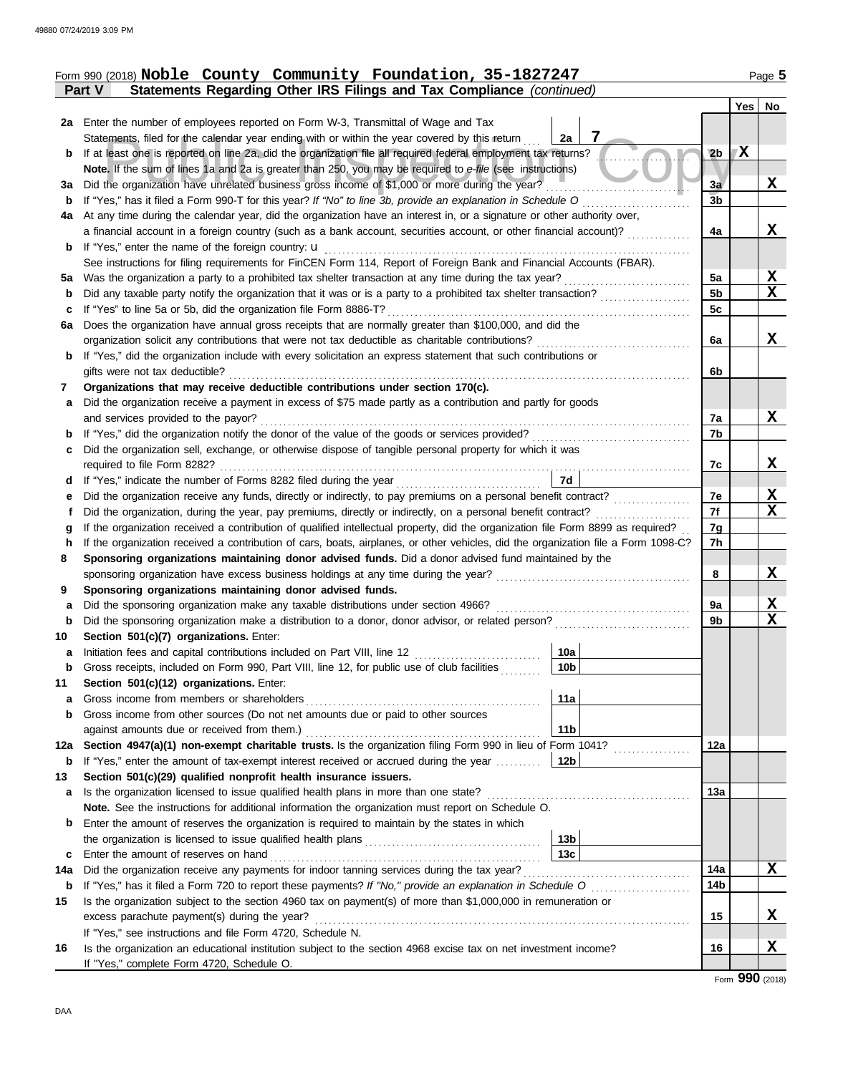|             | Form 990 (2018) Noble County Community Foundation, 35-1827247                                                                      |                 |     | Page 5      |
|-------------|------------------------------------------------------------------------------------------------------------------------------------|-----------------|-----|-------------|
|             | Statements Regarding Other IRS Filings and Tax Compliance (continued)<br><b>Part V</b>                                             |                 |     |             |
|             |                                                                                                                                    |                 | Yes | No          |
|             | 2a Enter the number of employees reported on Form W-3, Transmittal of Wage and Tax                                                 |                 |     |             |
|             | 7<br>Statements, filed for the calendar year ending with or within the year covered by this return<br>2a                           |                 |     |             |
| b           | If at least one is reported on line 2a, did the organization file all required federal employment tax returns?                     | 2 <sub>b</sub>  | X   |             |
|             | Note. If the sum of lines 1a and 2a is greater than 250, you may be required to e-file (see instructions)                          |                 |     |             |
|             | 3a Did the organization have unrelated business gross income of \$1,000 or more during the year?                                   | 3a              |     | X           |
| b           | If "Yes," has it filed a Form 990-T for this year? If "No" to line 3b, provide an explanation in Schedule O                        | 3 <sub>b</sub>  |     |             |
| 4a          | At any time during the calendar year, did the organization have an interest in, or a signature or other authority over,            |                 |     |             |
|             | a financial account in a foreign country (such as a bank account, securities account, or other financial account)?                 | 4a              |     | X           |
| b           |                                                                                                                                    |                 |     |             |
|             | See instructions for filing requirements for FinCEN Form 114, Report of Foreign Bank and Financial Accounts (FBAR).                |                 |     |             |
|             |                                                                                                                                    | 5a              |     | X           |
| b           | Did any taxable party notify the organization that it was or is a party to a prohibited tax shelter transaction?                   | 5 <sub>b</sub>  |     | X           |
| c           | If "Yes" to line 5a or 5b, did the organization file Form 8886-T?                                                                  | 5c              |     |             |
| 6a          | Does the organization have annual gross receipts that are normally greater than \$100,000, and did the                             |                 |     |             |
|             | organization solicit any contributions that were not tax deductible as charitable contributions?                                   | 6a              |     | X           |
| b           | If "Yes," did the organization include with every solicitation an express statement that such contributions or                     |                 |     |             |
|             | gifts were not tax deductible?                                                                                                     | 6b              |     |             |
| 7           | Organizations that may receive deductible contributions under section 170(c).                                                      |                 |     |             |
| a           | Did the organization receive a payment in excess of \$75 made partly as a contribution and partly for goods                        |                 |     |             |
|             | and services provided to the payor?                                                                                                | 7a              |     | X           |
| b           |                                                                                                                                    | 7b              |     |             |
| c           | Did the organization sell, exchange, or otherwise dispose of tangible personal property for which it was                           |                 |     |             |
|             |                                                                                                                                    | 7c              |     | X           |
| d           | 7d<br>If "Yes," indicate the number of Forms 8282 filed during the year<br>[[[[[[[[[[[[[]]]]]                                      |                 |     |             |
| е           |                                                                                                                                    | 7e              |     | X           |
|             | Did the organization, during the year, pay premiums, directly or indirectly, on a personal benefit contract?                       | 7f              |     | $\mathbf X$ |
| g           | If the organization received a contribution of qualified intellectual property, did the organization file Form 8899 as required?   | 7g              |     |             |
| h           | If the organization received a contribution of cars, boats, airplanes, or other vehicles, did the organization file a Form 1098-C? | 7h              |     |             |
| 8           | Sponsoring organizations maintaining donor advised funds. Did a donor advised fund maintained by the                               |                 |     |             |
|             |                                                                                                                                    | 8               |     | X           |
| 9           | Sponsoring organizations maintaining donor advised funds.                                                                          |                 |     |             |
| a           | Did the sponsoring organization make any taxable distributions under section 4966?                                                 | 9a              |     | <u>х</u>    |
| $\mathbf b$ | Did the sponsoring organization make a distribution to a donor, donor advisor, or related person?                                  | 9b              |     | $\mathbf X$ |
| 10          | Section 501(c)(7) organizations. Enter:                                                                                            |                 |     |             |
| а           | 10a                                                                                                                                |                 |     |             |
| $\mathbf b$ | Gross receipts, included on Form 990, Part VIII, line 12, for public use of club facilities<br>10b                                 |                 |     |             |
| 11          | Section 501(c)(12) organizations. Enter:                                                                                           |                 |     |             |
| a           | 11a<br>Gross income from members or shareholders                                                                                   |                 |     |             |
| $\mathbf b$ | Gross income from other sources (Do not net amounts due or paid to other sources                                                   |                 |     |             |
|             | 11 <sub>b</sub><br>against amounts due or received from them.)                                                                     |                 |     |             |
| 12a         | Section 4947(a)(1) non-exempt charitable trusts. Is the organization filing Form 990 in lieu of Form 1041?                         | 12a             |     |             |
| b           | If "Yes," enter the amount of tax-exempt interest received or accrued during the year<br>12b                                       |                 |     |             |
| 13          | Section 501(c)(29) qualified nonprofit health insurance issuers.                                                                   |                 |     |             |
| а           | Is the organization licensed to issue qualified health plans in more than one state?                                               | 13a             |     |             |
|             | Note. See the instructions for additional information the organization must report on Schedule O.                                  |                 |     |             |
| b           | Enter the amount of reserves the organization is required to maintain by the states in which                                       |                 |     |             |
|             | 13 <sub>b</sub>                                                                                                                    |                 |     |             |
| c           | 13 <sub>c</sub><br>Enter the amount of reserves on hand                                                                            |                 |     |             |
| 14a         |                                                                                                                                    | 14a             |     | x           |
| b           |                                                                                                                                    | 14 <sub>b</sub> |     |             |
| 15          | Is the organization subject to the section 4960 tax on payment(s) of more than \$1,000,000 in remuneration or                      |                 |     |             |
|             | excess parachute payment(s) during the year?                                                                                       | 15              |     | X           |
|             | If "Yes," see instructions and file Form 4720, Schedule N.                                                                         |                 |     |             |
| 16          | Is the organization an educational institution subject to the section 4968 excise tax on net investment income?                    | 16              |     | X           |
|             | If "Yes," complete Form 4720, Schedule O.                                                                                          |                 |     |             |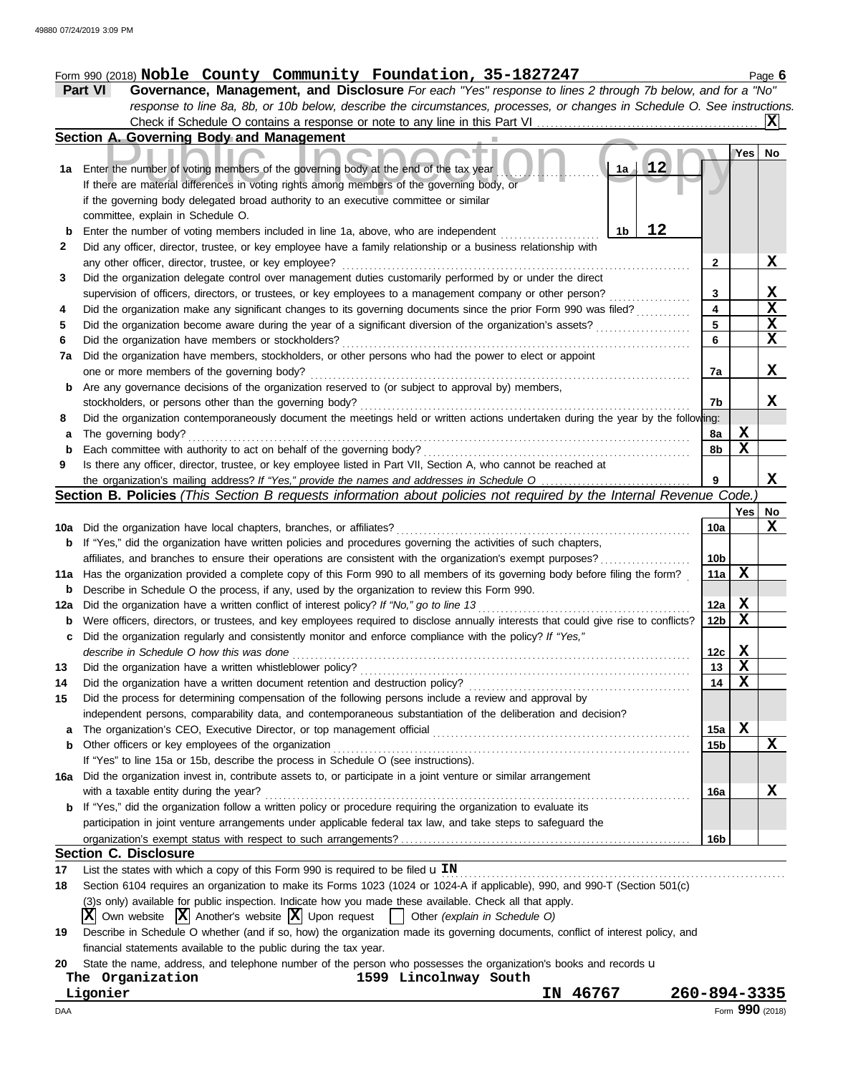# Form 990 (2018) Page **6 Noble County Community Foundation, 35-1827247**

| <b>Part VI</b> | <b>Governance, Management, and Disclosure</b> For each "Yes" response to lines 2 through 7b below, and for a "No"         |  |
|----------------|---------------------------------------------------------------------------------------------------------------------------|--|
|                | response to line 8a, 8b, or 10b below, describe the circumstances, processes, or changes in Schedule O. See instructions. |  |
|                |                                                                                                                           |  |

|             | Section A. Governing Body and Management                                                                                                                                                                          |                 |                  |              |
|-------------|-------------------------------------------------------------------------------------------------------------------------------------------------------------------------------------------------------------------|-----------------|------------------|--------------|
|             |                                                                                                                                                                                                                   |                 | Yes              | No           |
| 1a          | 12<br>Enter the number of voting members of the governing body at the end of the tax year                                                                                                                         |                 |                  |              |
|             | If there are material differences in voting rights among members of the governing body, or                                                                                                                        |                 |                  |              |
|             | if the governing body delegated broad authority to an executive committee or similar                                                                                                                              |                 |                  |              |
|             | committee, explain in Schedule O.                                                                                                                                                                                 |                 |                  |              |
| $\mathbf b$ | 12<br>Enter the number of voting members included in line 1a, above, who are independent<br>1b                                                                                                                    |                 |                  |              |
| 2           | Did any officer, director, trustee, or key employee have a family relationship or a business relationship with                                                                                                    |                 |                  |              |
|             | any other officer, director, trustee, or key employee?                                                                                                                                                            | $\mathbf{2}$    |                  | X            |
| 3           | Did the organization delegate control over management duties customarily performed by or under the direct                                                                                                         |                 |                  |              |
|             | supervision of officers, directors, or trustees, or key employees to a management company or other person?                                                                                                        | 3               |                  | $\mathbf{x}$ |
| 4           | Did the organization make any significant changes to its governing documents since the prior Form 990 was filed?                                                                                                  | 4               |                  | $\mathbf x$  |
| 5           | Did the organization become aware during the year of a significant diversion of the organization's assets?                                                                                                        | 5               |                  | X            |
| 6           | Did the organization have members or stockholders?                                                                                                                                                                | 6               |                  | X            |
| 7a          | Did the organization have members, stockholders, or other persons who had the power to elect or appoint                                                                                                           |                 |                  |              |
|             | one or more members of the governing body?                                                                                                                                                                        | 7a              |                  | X            |
| b           | Are any governance decisions of the organization reserved to (or subject to approval by) members,                                                                                                                 |                 |                  |              |
|             | stockholders, or persons other than the governing body?                                                                                                                                                           | 7b              |                  | X            |
| 8           | Did the organization contemporaneously document the meetings held or written actions undertaken during the year by the following:                                                                                 |                 |                  |              |
| а           | The governing body?                                                                                                                                                                                               | 8a              | Х<br>$\mathbf X$ |              |
| $\mathbf b$ | Each committee with authority to act on behalf of the governing body?                                                                                                                                             | 8b              |                  |              |
| 9           | Is there any officer, director, trustee, or key employee listed in Part VII, Section A, who cannot be reached at                                                                                                  | 9               |                  | X            |
|             | the organization's mailing address? If "Yes," provide the names and addresses in Schedule O<br>Section B. Policies (This Section B requests information about policies not required by the Internal Revenue Code. |                 |                  |              |
|             |                                                                                                                                                                                                                   |                 | Yes              | No           |
| 10a         | Did the organization have local chapters, branches, or affiliates?                                                                                                                                                | 10a             |                  | X            |
| b           | If "Yes," did the organization have written policies and procedures governing the activities of such chapters,                                                                                                    |                 |                  |              |
|             | affiliates, and branches to ensure their operations are consistent with the organization's exempt purposes?                                                                                                       | 10b             |                  |              |
| 11a         | Has the organization provided a complete copy of this Form 990 to all members of its governing body before filing the form?                                                                                       | 11a             | $\mathbf x$      |              |
| b           | Describe in Schedule O the process, if any, used by the organization to review this Form 990.                                                                                                                     |                 |                  |              |
| 12a         | Did the organization have a written conflict of interest policy? If "No," go to line 13                                                                                                                           | 12a             | $\mathbf x$      |              |
| b           | Were officers, directors, or trustees, and key employees required to disclose annually interests that could give rise to conflicts?                                                                               | 12 <sub>b</sub> | $\mathbf x$      |              |
| с           | Did the organization regularly and consistently monitor and enforce compliance with the policy? If "Yes,"                                                                                                         |                 |                  |              |
|             | describe in Schedule O how this was done                                                                                                                                                                          | 12c             | X                |              |
| 13          | Did the organization have a written whistleblower policy?                                                                                                                                                         | 13              | $\mathbf x$      |              |
| 14          | Did the organization have a written document retention and destruction policy?                                                                                                                                    | 14              | $\mathbf x$      |              |
| 15          | Did the process for determining compensation of the following persons include a review and approval by                                                                                                            |                 |                  |              |
|             | independent persons, comparability data, and contemporaneous substantiation of the deliberation and decision?                                                                                                     |                 |                  |              |
| а           | The organization's CEO, Executive Director, or top management official                                                                                                                                            | 15a             | X                |              |
| b           | Other officers or key employees of the organization                                                                                                                                                               | 15b             |                  | X            |
|             | If "Yes" to line 15a or 15b, describe the process in Schedule O (see instructions).                                                                                                                               |                 |                  |              |
|             | 16a Did the organization invest in, contribute assets to, or participate in a joint venture or similar arrangement                                                                                                |                 |                  |              |
|             | with a taxable entity during the year?                                                                                                                                                                            | 16a             |                  | X            |
| b           | If "Yes," did the organization follow a written policy or procedure requiring the organization to evaluate its                                                                                                    |                 |                  |              |
|             | participation in joint venture arrangements under applicable federal tax law, and take steps to safeguard the                                                                                                     |                 |                  |              |
|             |                                                                                                                                                                                                                   | 16b             |                  |              |
|             | <b>Section C. Disclosure</b>                                                                                                                                                                                      |                 |                  |              |
| 17          | List the states with which a copy of this Form 990 is required to be filed $\mathbf{u}$ IN                                                                                                                        |                 |                  |              |
| 18          | Section 6104 requires an organization to make its Forms 1023 (1024 or 1024-A if applicable), 990, and 990-T (Section 501(c)                                                                                       |                 |                  |              |
|             | (3) sonly) available for public inspection. Indicate how you made these available. Check all that apply.                                                                                                          |                 |                  |              |

- $\overline{\textbf{X}}$  Own website  $\overline{\textbf{X}}$  Another's website  $\overline{\textbf{X}}$  Upon request  $\begin{bmatrix} \overline{\textbf{X}} & \text{Other (explain in Schedule O)} \end{bmatrix}$
- **19** Describe in Schedule O whether (and if so, how) the organization made its governing documents, conflict of interest policy, and financial statements available to the public during the tax year.

|  | 20 State the name, address, and telephone number of the person who possesses the organization's books and records <b>u</b> |  |  |  |  |  |  |  |  |  |  |  |  |
|--|----------------------------------------------------------------------------------------------------------------------------|--|--|--|--|--|--|--|--|--|--|--|--|
|--|----------------------------------------------------------------------------------------------------------------------------|--|--|--|--|--|--|--|--|--|--|--|--|

| The Organization | 1599 Lincolnway South |  |
|------------------|-----------------------|--|
| Ligonier         |                       |  |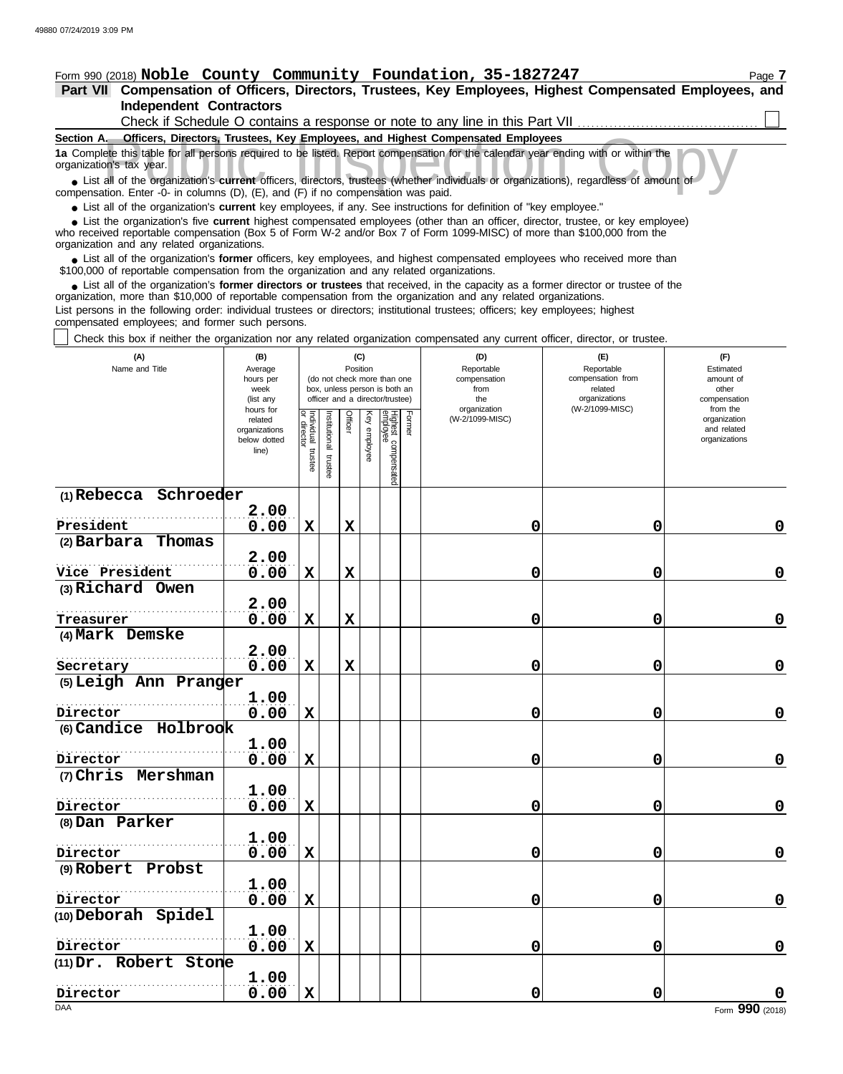# Form 990 (2018) Page **7 Noble County Community Foundation, 35-1827247**

**Independent Contractors Part VII Compensation of Officers, Directors, Trustees, Key Employees, Highest Compensated Employees, and**

| Check if Schedule O contains a response or note to any line in this Part VII                                                                                  |
|---------------------------------------------------------------------------------------------------------------------------------------------------------------|
| Section A.<br><b>Officers, Directors, Trustees, Key Employees, and Highest Compensated Employees</b>                                                          |
| 1a Complete this table for all persons required to be listed. Report compensation for the calendar year ending with or within the<br>organization's tax year. |
| • List all of the organization's current officers, directors, trustees (whether individuals or organizations), regardless of amount of                        |
| compensation. Enter $-0$ - in columns $(D)$ $(F)$ and $(F)$ if no compensation was paid                                                                       |

compensation. Enter -0- in columns (D), (E), and (F) if no compensation was paid.

● List all of the organization's **current** key employees, if any. See instructions for definition of "key employee."

who received reportable compensation (Box 5 of Form W-2 and/or Box 7 of Form 1099-MISC) of more than \$100,000 from the organization and any related organizations. ■ List the organization's five **current** highest compensated employees (other than an officer, director, trustee, or key employee)<br>
a received reportable compensation (Box 5 of Form W-2 and/or Box 7 of Form 1099-MISC) of

■ List all of the organization's **former** officers, key employees, and highest compensated employees who received more than<br>00,000 of reportable compensation from the organization and any related organizations \$100,000 of reportable compensation from the organization and any related organizations.

• List all of the organization's **former directors or trustees** that received, in the capacity as a former director or trustee of the prization more than \$10,000 of reportable compensation from the organization and any rel organization, more than \$10,000 of reportable compensation from the organization and any related organizations.

List persons in the following order: individual trustees or directors; institutional trustees; officers; key employees; highest compensated employees; and former such persons.

Check this box if neither the organization nor any related organization compensated any current officer, director, or trustee.

| (A)<br>Name and Title            | (B)<br>Average<br>hours per<br>week<br>(list any<br>hours for |                                   |                          | (C)<br>Position |                 | (do not check more than one<br>box, unless person is both an<br>officer and a director/trustee) |        | (D)<br>Reportable<br>compensation<br>from<br>the | (F)<br>(E)<br>Reportable<br>Estimated<br>compensation from<br>amount of<br>related<br>other<br>organizations<br>compensation<br>(W-2/1099-MISC)<br>organization<br>from the |                                              |  |
|----------------------------------|---------------------------------------------------------------|-----------------------------------|--------------------------|-----------------|-----------------|-------------------------------------------------------------------------------------------------|--------|--------------------------------------------------|-----------------------------------------------------------------------------------------------------------------------------------------------------------------------------|----------------------------------------------|--|
|                                  | related<br>organizations<br>below dotted<br>line)             | Individual trustee<br>or director | Institutional<br>trustee | Officer         | Key<br>employee | Highest compensatec<br>employee                                                                 | Former | (W-2/1099-MISC)                                  |                                                                                                                                                                             | organization<br>and related<br>organizations |  |
| (1) Rebecca Schroeder            |                                                               |                                   |                          |                 |                 |                                                                                                 |        |                                                  |                                                                                                                                                                             |                                              |  |
| President                        | 2.00                                                          | $\mathbf x$                       |                          | $\mathbf x$     |                 |                                                                                                 |        |                                                  | $\mathbf 0$                                                                                                                                                                 |                                              |  |
| $(2)$ Barbara<br>Thomas          | 0.00                                                          |                                   |                          |                 |                 |                                                                                                 |        | 0                                                |                                                                                                                                                                             | $\mathbf 0$                                  |  |
|                                  | 2.00                                                          |                                   |                          |                 |                 |                                                                                                 |        |                                                  |                                                                                                                                                                             |                                              |  |
| Vice President                   | 0.00                                                          | $\mathbf X$                       |                          | $\mathbf x$     |                 |                                                                                                 |        | 0                                                | 0                                                                                                                                                                           | $\mathbf 0$                                  |  |
| (3) Richard Owen                 |                                                               |                                   |                          |                 |                 |                                                                                                 |        |                                                  |                                                                                                                                                                             |                                              |  |
|                                  | 2.00                                                          |                                   |                          |                 |                 |                                                                                                 |        |                                                  |                                                                                                                                                                             |                                              |  |
| Treasurer                        | 0.00                                                          | $\mathbf X$                       |                          | $\mathbf x$     |                 |                                                                                                 |        | 0                                                | $\mathbf 0$                                                                                                                                                                 | 0                                            |  |
| (4) Mark Demske                  |                                                               |                                   |                          |                 |                 |                                                                                                 |        |                                                  |                                                                                                                                                                             |                                              |  |
|                                  | 2.00                                                          |                                   |                          |                 |                 |                                                                                                 |        |                                                  |                                                                                                                                                                             |                                              |  |
| Secretary                        | 0.00                                                          | $\mathbf X$                       |                          | $\mathbf x$     |                 |                                                                                                 |        | 0                                                | 0                                                                                                                                                                           | $\mathbf 0$                                  |  |
| (5) Leigh Ann Pranger            |                                                               |                                   |                          |                 |                 |                                                                                                 |        |                                                  |                                                                                                                                                                             |                                              |  |
|                                  | 1.00                                                          |                                   |                          |                 |                 |                                                                                                 |        |                                                  | $\mathbf 0$                                                                                                                                                                 | $\mathbf 0$                                  |  |
| Director<br>(6) Candice Holbrook | 0.00                                                          | X                                 |                          |                 |                 |                                                                                                 |        | 0                                                |                                                                                                                                                                             |                                              |  |
|                                  | 1.00                                                          |                                   |                          |                 |                 |                                                                                                 |        |                                                  |                                                                                                                                                                             |                                              |  |
| Director                         | 0.00                                                          | X                                 |                          |                 |                 |                                                                                                 |        | 0                                                | 0                                                                                                                                                                           | $\mathbf 0$                                  |  |
| (7) Chris Mershman               |                                                               |                                   |                          |                 |                 |                                                                                                 |        |                                                  |                                                                                                                                                                             |                                              |  |
|                                  | 1.00                                                          |                                   |                          |                 |                 |                                                                                                 |        |                                                  |                                                                                                                                                                             |                                              |  |
| Director                         | 0.00                                                          | $\mathbf X$                       |                          |                 |                 |                                                                                                 |        | 0                                                | $\mathbf 0$                                                                                                                                                                 | $\mathbf 0$                                  |  |
| (8) Dan Parker                   |                                                               |                                   |                          |                 |                 |                                                                                                 |        |                                                  |                                                                                                                                                                             |                                              |  |
|                                  | 1.00                                                          |                                   |                          |                 |                 |                                                                                                 |        |                                                  |                                                                                                                                                                             |                                              |  |
| Director                         | 0.00                                                          | $\mathbf x$                       |                          |                 |                 |                                                                                                 |        | 0                                                | 0                                                                                                                                                                           | $\mathbf 0$                                  |  |
| (9) Robert Probst                |                                                               |                                   |                          |                 |                 |                                                                                                 |        |                                                  |                                                                                                                                                                             |                                              |  |
|                                  | 1.00                                                          |                                   |                          |                 |                 |                                                                                                 |        |                                                  |                                                                                                                                                                             |                                              |  |
| Director                         | 0.00                                                          | X                                 |                          |                 |                 |                                                                                                 |        | 0                                                | $\mathbf 0$                                                                                                                                                                 | $\mathbf 0$                                  |  |
| (10) Deborah Spidel              |                                                               |                                   |                          |                 |                 |                                                                                                 |        |                                                  |                                                                                                                                                                             |                                              |  |
|                                  | 1.00                                                          |                                   |                          |                 |                 |                                                                                                 |        |                                                  |                                                                                                                                                                             |                                              |  |
| Director                         | 0.00                                                          | $\mathbf X$                       |                          |                 |                 |                                                                                                 |        | 0                                                | 0                                                                                                                                                                           | $\mathbf 0$                                  |  |
| (11) Dr. Robert Stone            |                                                               |                                   |                          |                 |                 |                                                                                                 |        |                                                  |                                                                                                                                                                             |                                              |  |
| Director                         | 1.00<br>0.00                                                  | $\mathbf x$                       |                          |                 |                 |                                                                                                 |        | 0                                                | 0                                                                                                                                                                           |                                              |  |
| <b>DAA</b>                       |                                                               |                                   |                          |                 |                 |                                                                                                 |        |                                                  |                                                                                                                                                                             | Form 990 (2018)                              |  |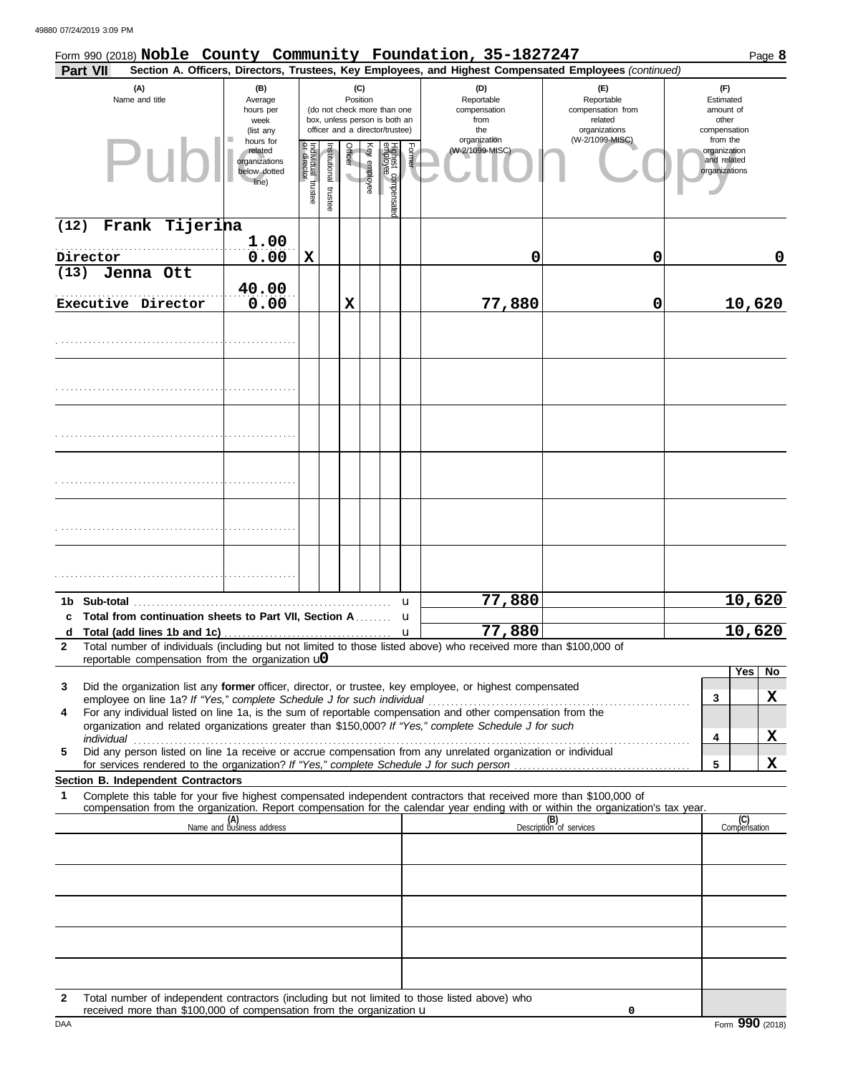|              | Form 990 (2018) Noble County Community Foundation, 35-1827247                                                                                                                                                        |                                                                |                                   |                       |         |                 |                                                                                                 |        |                                                                                                        |                                                                    | Page 8                                                   |
|--------------|----------------------------------------------------------------------------------------------------------------------------------------------------------------------------------------------------------------------|----------------------------------------------------------------|-----------------------------------|-----------------------|---------|-----------------|-------------------------------------------------------------------------------------------------|--------|--------------------------------------------------------------------------------------------------------|--------------------------------------------------------------------|----------------------------------------------------------|
|              | <b>Part VII</b>                                                                                                                                                                                                      |                                                                |                                   |                       |         |                 |                                                                                                 |        | Section A. Officers, Directors, Trustees, Key Employees, and Highest Compensated Employees (continued) |                                                                    |                                                          |
|              | (A)<br>Name and title                                                                                                                                                                                                | (B)<br>Average<br>hours per<br>week<br>(list any               |                                   |                       |         | (C)<br>Position | (do not check more than one<br>box, unless person is both an<br>officer and a director/trustee) |        | (D)<br>Reportable<br>compensation<br>from<br>the                                                       | (E)<br>Reportable<br>compensation from<br>related<br>organizations | (F)<br>Estimated<br>amount of<br>other<br>compensation   |
|              | Pul                                                                                                                                                                                                                  | hours for<br>related<br>organizations<br>below dotted<br>line) | Individual trustee<br>or director | Institutional trustee | Officer | Key employee    | Highest compensate<br>employee                                                                  | Former | organization<br>(W-2/1099-MISC)                                                                        | (W-2/1099-MISC)                                                    | from the<br>organization<br>and related<br>organizations |
| (12)         | Frank Tijerina                                                                                                                                                                                                       | 1.00                                                           |                                   |                       |         |                 |                                                                                                 |        |                                                                                                        |                                                                    |                                                          |
|              | Director                                                                                                                                                                                                             | 0.00                                                           | $\mathbf X$                       |                       |         |                 |                                                                                                 |        | 0                                                                                                      | 0                                                                  | 0                                                        |
| (13)         | Jenna Ott                                                                                                                                                                                                            |                                                                |                                   |                       |         |                 |                                                                                                 |        |                                                                                                        |                                                                    |                                                          |
|              | Executive Director                                                                                                                                                                                                   | 40.00<br>0.00                                                  |                                   |                       | X       |                 |                                                                                                 |        | 77,880                                                                                                 | 0                                                                  | 10,620                                                   |
|              |                                                                                                                                                                                                                      |                                                                |                                   |                       |         |                 |                                                                                                 |        |                                                                                                        |                                                                    |                                                          |
|              |                                                                                                                                                                                                                      |                                                                |                                   |                       |         |                 |                                                                                                 |        |                                                                                                        |                                                                    |                                                          |
|              |                                                                                                                                                                                                                      |                                                                |                                   |                       |         |                 |                                                                                                 |        |                                                                                                        |                                                                    |                                                          |
|              |                                                                                                                                                                                                                      |                                                                |                                   |                       |         |                 |                                                                                                 |        |                                                                                                        |                                                                    |                                                          |
|              |                                                                                                                                                                                                                      |                                                                |                                   |                       |         |                 |                                                                                                 |        |                                                                                                        |                                                                    |                                                          |
|              |                                                                                                                                                                                                                      |                                                                |                                   |                       |         |                 |                                                                                                 |        |                                                                                                        |                                                                    |                                                          |
|              |                                                                                                                                                                                                                      |                                                                |                                   |                       |         |                 |                                                                                                 |        |                                                                                                        |                                                                    |                                                          |
|              |                                                                                                                                                                                                                      |                                                                |                                   |                       |         |                 |                                                                                                 |        |                                                                                                        |                                                                    |                                                          |
|              | 1b Sub-total                                                                                                                                                                                                         |                                                                |                                   |                       |         |                 |                                                                                                 | u      | 77,880                                                                                                 |                                                                    | 10,620                                                   |
|              | c Total from continuation sheets to Part VII, Section A                                                                                                                                                              |                                                                |                                   |                       |         |                 |                                                                                                 | u      |                                                                                                        |                                                                    |                                                          |
| d            |                                                                                                                                                                                                                      |                                                                |                                   |                       |         |                 |                                                                                                 | u      | 77,880                                                                                                 |                                                                    | 10,620                                                   |
| $\mathbf{2}$ | Total number of individuals (including but not limited to those listed above) who received more than \$100,000 of<br>reportable compensation from the organization $\mathbf{u}$                                      |                                                                |                                   |                       |         |                 |                                                                                                 |        |                                                                                                        |                                                                    |                                                          |
| 3            | Did the organization list any former officer, director, or trustee, key employee, or highest compensated                                                                                                             |                                                                |                                   |                       |         |                 |                                                                                                 |        |                                                                                                        |                                                                    | Yes<br>No                                                |
|              | employee on line 1a? If "Yes," complete Schedule J for such individual                                                                                                                                               |                                                                |                                   |                       |         |                 |                                                                                                 |        |                                                                                                        |                                                                    | <u>x</u><br>3                                            |
| 4            | For any individual listed on line 1a, is the sum of reportable compensation and other compensation from the<br>organization and related organizations greater than \$150,000? If "Yes," complete Schedule J for such |                                                                |                                   |                       |         |                 |                                                                                                 |        |                                                                                                        |                                                                    | X<br>4                                                   |
| 5            | Did any person listed on line 1a receive or accrue compensation from any unrelated organization or individual                                                                                                        |                                                                |                                   |                       |         |                 |                                                                                                 |        |                                                                                                        |                                                                    | 5<br>X                                                   |
|              | Section B. Independent Contractors                                                                                                                                                                                   |                                                                |                                   |                       |         |                 |                                                                                                 |        |                                                                                                        |                                                                    |                                                          |
| 1            | Complete this table for your five highest compensated independent contractors that received more than \$100,000 of                                                                                                   |                                                                |                                   |                       |         |                 |                                                                                                 |        |                                                                                                        |                                                                    |                                                          |
|              | compensation from the organization. Report compensation for the calendar year ending with or within the organization's tax year.                                                                                     | (A)<br>Name and business address                               |                                   |                       |         |                 |                                                                                                 |        |                                                                                                        | (B)<br>Description of services                                     | (C)<br>Compensation                                      |
|              |                                                                                                                                                                                                                      |                                                                |                                   |                       |         |                 |                                                                                                 |        |                                                                                                        |                                                                    |                                                          |
|              |                                                                                                                                                                                                                      |                                                                |                                   |                       |         |                 |                                                                                                 |        |                                                                                                        |                                                                    |                                                          |
|              |                                                                                                                                                                                                                      |                                                                |                                   |                       |         |                 |                                                                                                 |        |                                                                                                        |                                                                    |                                                          |
|              |                                                                                                                                                                                                                      |                                                                |                                   |                       |         |                 |                                                                                                 |        |                                                                                                        |                                                                    |                                                          |
|              |                                                                                                                                                                                                                      |                                                                |                                   |                       |         |                 |                                                                                                 |        |                                                                                                        |                                                                    |                                                          |
| $\mathbf{2}$ | Total number of independent contractors (including but not limited to those listed above) who                                                                                                                        |                                                                |                                   |                       |         |                 |                                                                                                 |        |                                                                                                        |                                                                    |                                                          |

DAA Form 990 (2018) Form 990 (2018) Form 990 (2018)

**0**

received more than \$100,000 of compensation from the organization u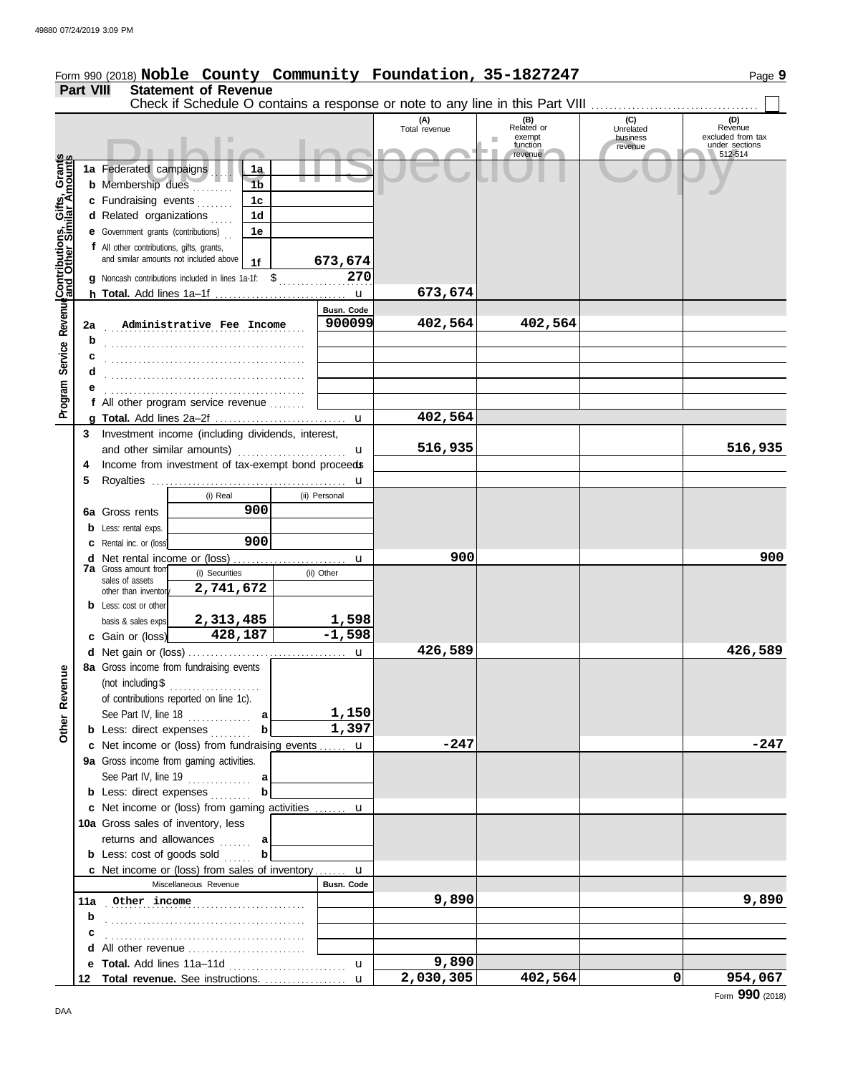|                                                             |                  | Form 990 (2018) Noble County Community Foundation, 35-1827247                       |                |  |                   |                      |                         |                     | Page 9                              |
|-------------------------------------------------------------|------------------|-------------------------------------------------------------------------------------|----------------|--|-------------------|----------------------|-------------------------|---------------------|-------------------------------------|
|                                                             | <b>Part VIII</b> | <b>Statement of Revenue</b>                                                         |                |  |                   |                      |                         |                     |                                     |
|                                                             |                  | Check if Schedule O contains a response or note to any line in this Part VIII       |                |  |                   |                      |                         |                     |                                     |
|                                                             |                  |                                                                                     |                |  |                   | (A)<br>Total revenue | (B)<br>Related or       | (C)<br>Unrelated    | (D)<br>Revenue                      |
|                                                             |                  |                                                                                     |                |  |                   |                      | exempt<br>ш<br>function | business<br>revenue | excluded from tax<br>under sections |
|                                                             |                  |                                                                                     |                |  |                   |                      | revenue                 |                     | 512-514                             |
|                                                             |                  | 1a Federated campaigns                                                              | 1a             |  |                   |                      |                         |                     |                                     |
|                                                             |                  | <b>b</b> Membership dues                                                            | 1 <sub>b</sub> |  |                   |                      |                         |                     |                                     |
|                                                             |                  | c Fundraising events<br>1 <sub>c</sub>                                              |                |  |                   |                      |                         |                     |                                     |
|                                                             |                  | d Related organizations                                                             | 1 <sub>d</sub> |  |                   |                      |                         |                     |                                     |
|                                                             |                  | <b>e</b> Government grants (contributions)                                          | 1e             |  |                   |                      |                         |                     |                                     |
|                                                             |                  | f All other contributions, gifts, grants,<br>and similar amounts not included above |                |  |                   |                      |                         |                     |                                     |
|                                                             |                  |                                                                                     | 1f             |  | 673,674           |                      |                         |                     |                                     |
|                                                             |                  | g Noncash contributions included in lines 1a-1f: \$                                 |                |  | 270               |                      |                         |                     |                                     |
|                                                             |                  |                                                                                     |                |  |                   | 673,674              |                         |                     |                                     |
|                                                             |                  |                                                                                     |                |  | Busn. Code        |                      |                         |                     |                                     |
|                                                             | 2a               | Administrative Fee Income                                                           |                |  | 900099            | 402,564              | 402,564                 |                     |                                     |
|                                                             | b                |                                                                                     |                |  |                   |                      |                         |                     |                                     |
|                                                             |                  |                                                                                     |                |  |                   |                      |                         |                     |                                     |
|                                                             |                  |                                                                                     |                |  |                   |                      |                         |                     |                                     |
|                                                             |                  |                                                                                     |                |  |                   |                      |                         |                     |                                     |
| Program Service Revenue <b>Contributions, Gifts, Grants</b> |                  | f All other program service revenue                                                 |                |  |                   |                      |                         |                     |                                     |
|                                                             |                  |                                                                                     |                |  |                   | 402,564              |                         |                     |                                     |
|                                                             | 3                | Investment income (including dividends, interest,                                   |                |  |                   |                      |                         |                     |                                     |
|                                                             |                  | and other similar amounts)                                                          |                |  | u                 | 516,935              |                         |                     | 516,935                             |
|                                                             | 4                | Income from investment of tax-exempt bond proceeds                                  |                |  |                   |                      |                         |                     |                                     |
|                                                             | 5                |                                                                                     |                |  | u                 |                      |                         |                     |                                     |
|                                                             |                  | (i) Real                                                                            |                |  | (ii) Personal     |                      |                         |                     |                                     |
|                                                             |                  | 6a Gross rents                                                                      | 900            |  |                   |                      |                         |                     |                                     |
|                                                             |                  | <b>b</b> Less: rental exps.                                                         |                |  |                   |                      |                         |                     |                                     |
|                                                             |                  | <b>c</b> Rental inc. or (loss)                                                      | 900            |  |                   |                      |                         |                     |                                     |
|                                                             |                  |                                                                                     |                |  | u                 | 900                  |                         |                     | 900                                 |
|                                                             |                  | 7a Gross amount from<br>(i) Securities<br>sales of assets                           |                |  | (ii) Other        |                      |                         |                     |                                     |
|                                                             |                  | 2,741,672<br>other than inventor                                                    |                |  |                   |                      |                         |                     |                                     |
|                                                             |                  | <b>b</b> Less: cost or other                                                        |                |  |                   |                      |                         |                     |                                     |
|                                                             |                  | 2,313,485<br>basis & sales exps.                                                    |                |  | 1,598             |                      |                         |                     |                                     |
|                                                             |                  | 428,187<br>c Gain or (loss)                                                         |                |  | $-1,598$          |                      |                         |                     |                                     |
|                                                             |                  | d Net gain or (loss)                                                                |                |  | $\mathbf{u}$      | 426,589              |                         |                     | 426,589                             |
|                                                             |                  | 8a Gross income from fundraising events                                             |                |  |                   |                      |                         |                     |                                     |
|                                                             |                  | (not including $$$<br>.                                                             |                |  |                   |                      |                         |                     |                                     |
|                                                             |                  | of contributions reported on line 1c).                                              |                |  |                   |                      |                         |                     |                                     |
|                                                             |                  | See Part IV, line 18 $\ldots$ a                                                     |                |  | 1,150             |                      |                         |                     |                                     |
| Other Revenue                                               |                  | <b>b</b> Less: direct expenses                                                      | b              |  | 1,397             |                      |                         |                     |                                     |
|                                                             |                  | c Net income or (loss) from fundraising events  u                                   |                |  |                   | $-247$               |                         |                     | -247                                |
|                                                             |                  | 9a Gross income from gaming activities.                                             |                |  |                   |                      |                         |                     |                                     |
|                                                             |                  |                                                                                     |                |  |                   |                      |                         |                     |                                     |
|                                                             |                  | <b>b</b> Less: direct expenses                                                      |                |  |                   |                      |                         |                     |                                     |
|                                                             |                  | c Net income or (loss) from gaming activities  u                                    |                |  |                   |                      |                         |                     |                                     |
|                                                             |                  | 10a Gross sales of inventory, less                                                  |                |  |                   |                      |                         |                     |                                     |
|                                                             |                  | returns and allowances  a                                                           |                |  |                   |                      |                         |                     |                                     |
|                                                             |                  | <b>b</b> Less: cost of goods sold                                                   | b              |  |                   |                      |                         |                     |                                     |
|                                                             |                  | c Net income or (loss) from sales of inventory  u                                   |                |  |                   |                      |                         |                     |                                     |
|                                                             |                  | Miscellaneous Revenue                                                               |                |  | <b>Busn. Code</b> |                      |                         |                     |                                     |
|                                                             |                  | 11a Other income                                                                    |                |  |                   | 9,890                |                         |                     | 9,890                               |
|                                                             |                  |                                                                                     |                |  |                   |                      |                         |                     |                                     |
|                                                             | b                |                                                                                     |                |  |                   |                      |                         |                     |                                     |
|                                                             | с                |                                                                                     |                |  |                   |                      |                         |                     |                                     |
|                                                             |                  |                                                                                     |                |  |                   | 9,890                |                         |                     |                                     |
|                                                             |                  |                                                                                     |                |  | $\mathbf u$       | 2,030,305            | 402,564                 | 0                   | 954,067                             |
|                                                             |                  |                                                                                     |                |  |                   |                      |                         |                     |                                     |

Form **990** (2018)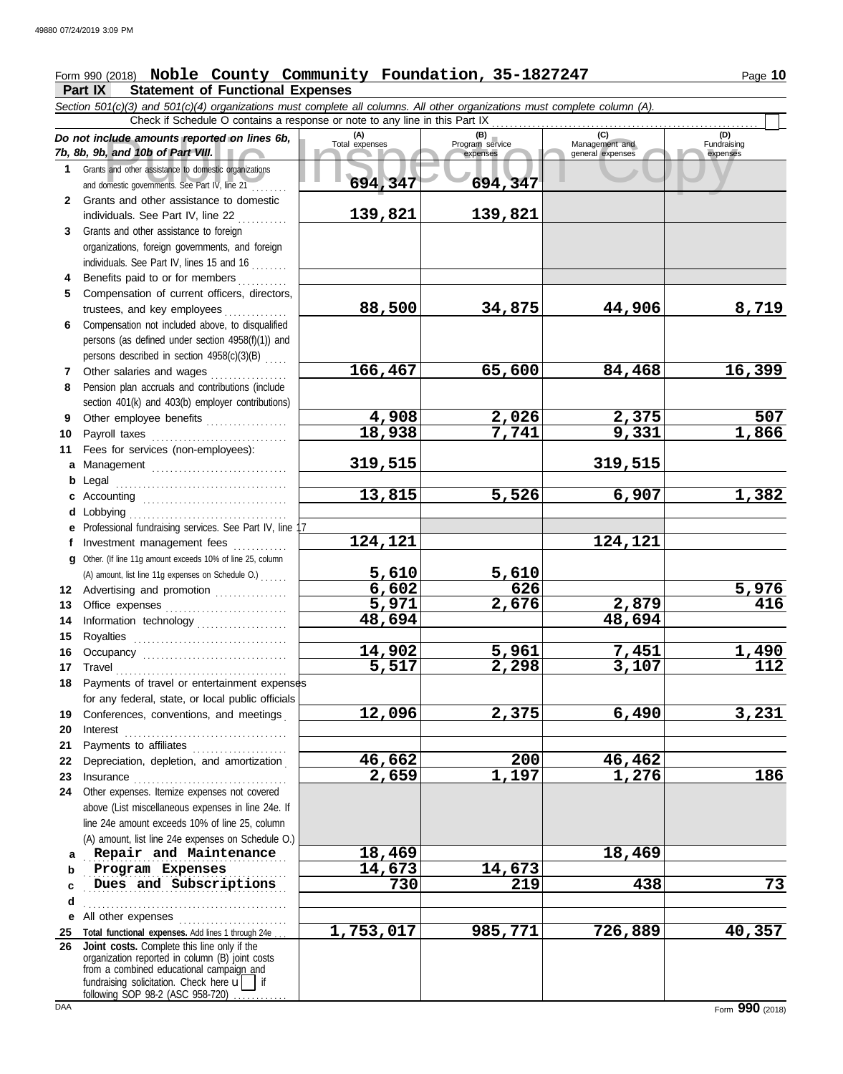# Form 990 (2018) Noble County Community Foundation, 35-1827247 Page 10

**Part IX Statement of Functional Expenses**

Collate amounts reported on lines 6b, Total expenses<br>
Program service Management and Copyright Service Management and European Service Stand 10b of Part VIII.<br>
Sand other assistance to domestic organizations<br>
Same Stand ot *Section 501(c)(3) and 501(c)(4) organizations must complete all columns. All other organizations must complete column (A). Do not include amounts reported on lines 6b, 7b, 8b, 9b, and 10b of Part VIII.* **1 2 3 4 5 6** Compensation not included above, to disqualified **7 8 9 10 11 a** Management .............................. **b** Legal **c** Accounting . . . . . . . . . . . . . . . . . . . . . . . . . . . . . . . . **d e f g 12** Advertising and promotion ............... **13** Office expenses **.......................**... **14 15 16 17** Travel . . . . . . . . . . . . . . . . . . . . . . . . . . . . . . . . . . . . . . **18** Payments of travel or entertainment expenses **19 20** Interest . . . . . . . . . . . . . . . . . . . . . . . . . . . . . . . . . . . . **21 22** Depreciation, depletion, and amortization . **23** Insurance . . . . . . . . . . . . . . . . . . . . . . . . . . . . . . . . . . **24** Other expenses. Itemize expenses not covered **a** Repair and Maintenance **18,469 18,469 b** Program Expenses 14,673 14,673 **c d** . . . . . . . . . . . . . . . . . . . . . . . . . . . . . . . . . . . . . . . . . . . . . **e** All other expenses . . . . . . . . . . . . . . . . . . . . . . . . **25 Total functional expenses.** Add lines 1 through 24e . . . **26** Grants and other assistance to domestic organizations and domestic governments. See Part IV, line 21 . . . . . . . . Grants and other assistance to domestic individuals. See Part IV, line 22 Grants and other assistance to foreign organizations, foreign governments, and foreign individuals. See Part IV, lines 15 and 16 Benefits paid to or for members . . . . . . . . . . Compensation of current officers, directors, trustees, and key employees ............... persons (as defined under section 4958(f)(1)) and persons described in section 4958(c)(3)(B) . . . . . Other salaries and wages ............ Pension plan accruals and contributions (include section 401(k) and 403(b) employer contributions) Other employee benefits .................. Payroll taxes . . . . . . . . . . . . . . . . . . . . . . . . . . . . . . Fees for services (non-employees): . . . . . . . . . . . . . . . . . . . . . . . . . . . . . . . . . . . . . . Lobbying . . . . . . . . . . . . . . . . . . . . . . . . . . . . . . . . . . . Professional fundraising services. See Part IV, line 17 Investment management fees Other. (If line 11g amount exceeds 10% of line 25, column Information technology . . . . . . . . . . . . . . . . . . . . Royalties . . . . . . . . . . . . . . . . . . . . . . . . . . . . . . . . . . Occupancy . . . . . . . . . . . . . . . . . . . . . . . . . . . . . . . . for any federal, state, or local public officials Conferences, conventions, and meetings . Payments to affiliates ...................... above (List miscellaneous expenses in line 24e. If line 24e amount exceeds 10% of line 25, column (A) amount, list line 24e expenses on Schedule O.) fundraising solicitation. Check here  $\mathbf{u}$  if organization reported in column (B) joint costs from a combined educational campaign and following SOP 98-2 (ASC 958-720) **(A) (B) (C) (D)** Total expenses Program service Management and expenses (B) (C)<br>
Program service Management and expenses general expenses  $(D)$ Fundraising expenses . . . . . . . . . . . . . . . . . . . . . . . . . . . . . . . . . . . . . . . . . . . . . **Dues and Subscriptions 730 219 438 73** Check if Schedule O contains a response or note to any line in this Part IX **Joint costs.** Complete this line only if the (A) amount, list line 11g expenses on Schedule O.) . . . . . . **694,347 694,347 139,821 139,821 88,500 34,875 44,906 8,719 166,467 65,600 84,468 16,399 4,908 2,026 2,375 507 18,938 7,741 9,331 1,866 319,515 319,515 13,815 5,526 6,907 1,382 124,121 124,121 5,610 5,610 6,602 626 5,976 5,971 2,676 2,879 416 48,694 48,694 14,902 5,961 7,451 1,490 5,517 2,298 3,107 112 12,096 2,375 6,490 3,231 46,662 200 46,462 2,659 1,197 1,276 186 1,753,017 985,771 726,889 40,357**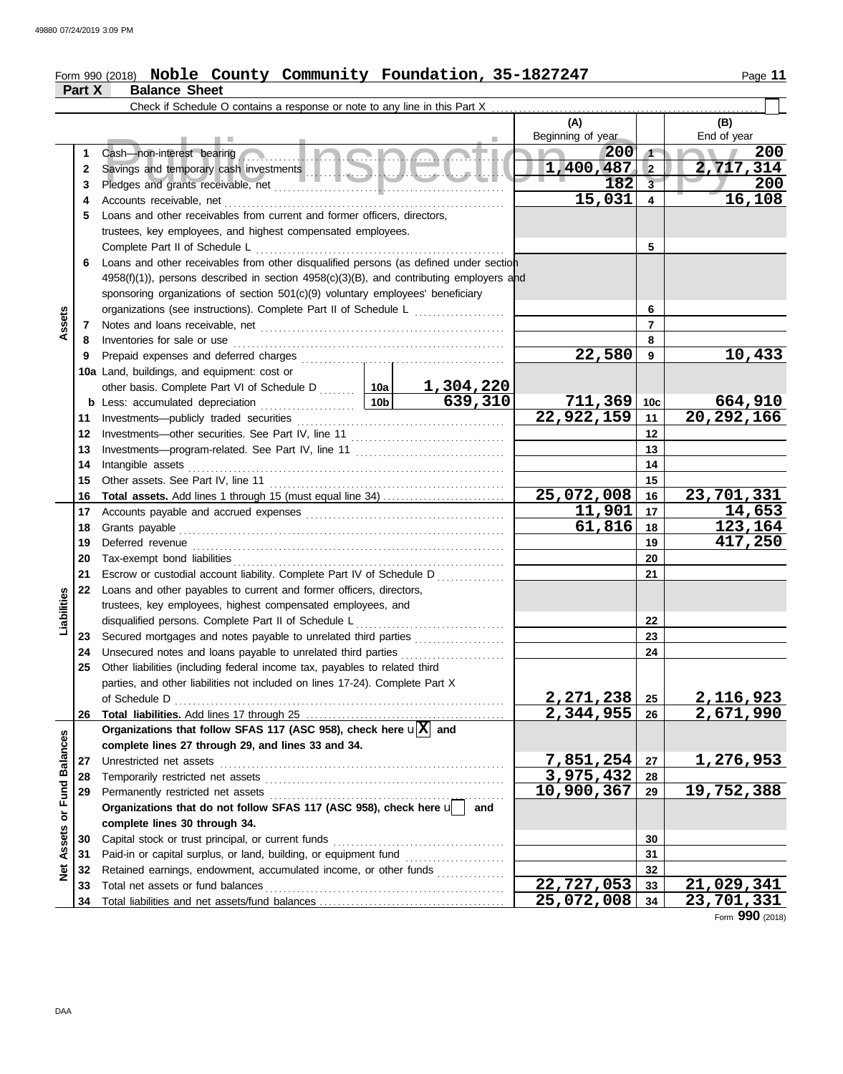#### Form 990 (2018) **Noble County Community Foundation, 35-1827247** Page 11 **Noble County Community Foundation, 35-1827247**

|                      | Part X | <b>Balance Sheet</b>                                                                                                |        |                                                             |                 |                               |
|----------------------|--------|---------------------------------------------------------------------------------------------------------------------|--------|-------------------------------------------------------------|-----------------|-------------------------------|
|                      |        | Check if Schedule O contains a response or note to any line in this Part X                                          |        |                                                             |                 |                               |
|                      |        |                                                                                                                     |        | (A)<br>Beginning of year                                    |                 | (B)<br>End of year            |
|                      | 1      | a Inchar<br>Cash-non-interest bearing                                                                               |        | 200                                                         | $\sqrt{1}$      | 200                           |
|                      | 2      |                                                                                                                     |        | 1,400,487                                                   | $\overline{2}$  | 2,717,314                     |
|                      | 3      |                                                                                                                     | 182    | $\overline{\mathbf{3}}$                                     | 200             |                               |
|                      | 4      | Accounts receivable, net                                                                                            | 15,031 | $\overline{\mathbf{4}}$                                     | 16,108          |                               |
|                      | 5      | Loans and other receivables from current and former officers, directors,                                            |        |                                                             |                 |                               |
|                      |        | trustees, key employees, and highest compensated employees.                                                         |        |                                                             |                 |                               |
|                      |        | Complete Part II of Schedule L                                                                                      |        |                                                             | 5               |                               |
|                      | 6      | Loans and other receivables from other disqualified persons (as defined under section                               |        |                                                             |                 |                               |
|                      |        | 4958(f)(1)), persons described in section 4958(c)(3)(B), and contributing employers and                             |        |                                                             |                 |                               |
|                      |        | sponsoring organizations of section 501(c)(9) voluntary employees' beneficiary                                      |        |                                                             |                 |                               |
|                      |        | organizations (see instructions). Complete Part II of Schedule L                                                    |        |                                                             | 6               |                               |
| Assets               | 7      |                                                                                                                     |        |                                                             | $\overline{7}$  |                               |
|                      | 8      | Inventories for sale or use                                                                                         |        |                                                             | 8               |                               |
|                      | 9      | Prepaid expenses and deferred charges                                                                               |        | 22,580                                                      | 9               | 10,433                        |
|                      |        | 10a Land, buildings, and equipment: cost or                                                                         |        |                                                             |                 |                               |
|                      |        |                                                                                                                     |        |                                                             |                 |                               |
|                      | b      | Less: accumulated depreciation                                                                                      |        | $\begin{array}{r} \hline 711,369 \\ 22,922,159 \end{array}$ | 10 <sub>c</sub> | 664,910<br>20,292,166         |
|                      | 11     | Investments--publicly traded securities                                                                             |        |                                                             | 11              |                               |
|                      | 12     |                                                                                                                     |        |                                                             | 12              |                               |
|                      | 13     |                                                                                                                     |        |                                                             | 13              |                               |
|                      | 14     | Intangible assets                                                                                                   |        |                                                             | 14              |                               |
|                      | 15     | Other assets. See Part IV, line 11                                                                                  |        |                                                             | 15              |                               |
|                      | 16     | <b>Total assets.</b> Add lines 1 through 15 (must equal line 34)                                                    |        | 25,072,008                                                  | 16              | 23,701,331                    |
|                      | 17     |                                                                                                                     | 11,901 | 17                                                          | 14,653          |                               |
|                      | 18     | Grants payable                                                                                                      |        | 61,816                                                      | 18              | 123,164                       |
|                      | 19     |                                                                                                                     |        | 19                                                          | 417,250         |                               |
|                      | 20     |                                                                                                                     |        |                                                             | 20              |                               |
|                      | 21     | Escrow or custodial account liability. Complete Part IV of Schedule D                                               |        |                                                             | 21              |                               |
| Liabilities          | 22     | Loans and other payables to current and former officers, directors,                                                 |        |                                                             |                 |                               |
|                      |        | trustees, key employees, highest compensated employees, and<br>disqualified persons. Complete Part II of Schedule L |        |                                                             | 22              |                               |
|                      | 23     | Secured mortgages and notes payable to unrelated third parties                                                      | .      |                                                             | 23              |                               |
|                      | 24     | Unsecured notes and loans payable to unrelated third parties [[[[[[[[[[[[[[[[[[[[[[[]]]]]]]]                        |        |                                                             | 24              |                               |
|                      | 25     | Other liabilities (including federal income tax, payables to related third                                          |        |                                                             |                 |                               |
|                      |        | parties, and other liabilities not included on lines 17-24). Complete Part X                                        |        |                                                             |                 |                               |
|                      |        | of Schedule D                                                                                                       |        | <u>2,271,238 </u>                                           | 25              |                               |
|                      | 26     |                                                                                                                     |        | $\overline{2,344,955}$                                      | 26              | <u>2,116,923</u><br>2,671,990 |
|                      |        | Organizations that follow SFAS 117 (ASC 958), check here $\mathbf{u}[\overline{X}]$ and                             |        |                                                             |                 |                               |
|                      |        | complete lines 27 through 29, and lines 33 and 34.                                                                  |        |                                                             |                 |                               |
|                      | 27     | Unrestricted net assets                                                                                             |        | 7,851,254                                                   | 27              | 1,276,953                     |
| <b>Fund Balances</b> | 28     | Temporarily restricted net assets                                                                                   |        | 3,975,432                                                   | 28              |                               |
|                      | 29     | Permanently restricted net assets                                                                                   |        | 10,900,367                                                  | 29              | 19,752,388                    |
| $\overline{\sigma}$  |        | Organizations that do not follow SFAS 117 (ASC 958), check here $\sqrt{\phantom{a}}$                                | and    |                                                             |                 |                               |
|                      |        | complete lines 30 through 34.                                                                                       |        |                                                             |                 |                               |
| <b>Net Assets</b>    | 30     | Capital stock or trust principal, or current funds                                                                  |        |                                                             | 30              |                               |
|                      | 31     |                                                                                                                     |        |                                                             | 31              |                               |
|                      | 32     | Retained earnings, endowment, accumulated income, or other funds                                                    |        |                                                             | 32              |                               |
|                      | 33     | Total net assets or fund balances                                                                                   |        | 22,727,053                                                  | 33              | 21,029,341                    |
|                      | 34     |                                                                                                                     |        | 25,072,008                                                  | 34              | 23,701,331                    |

Form **990** (2018)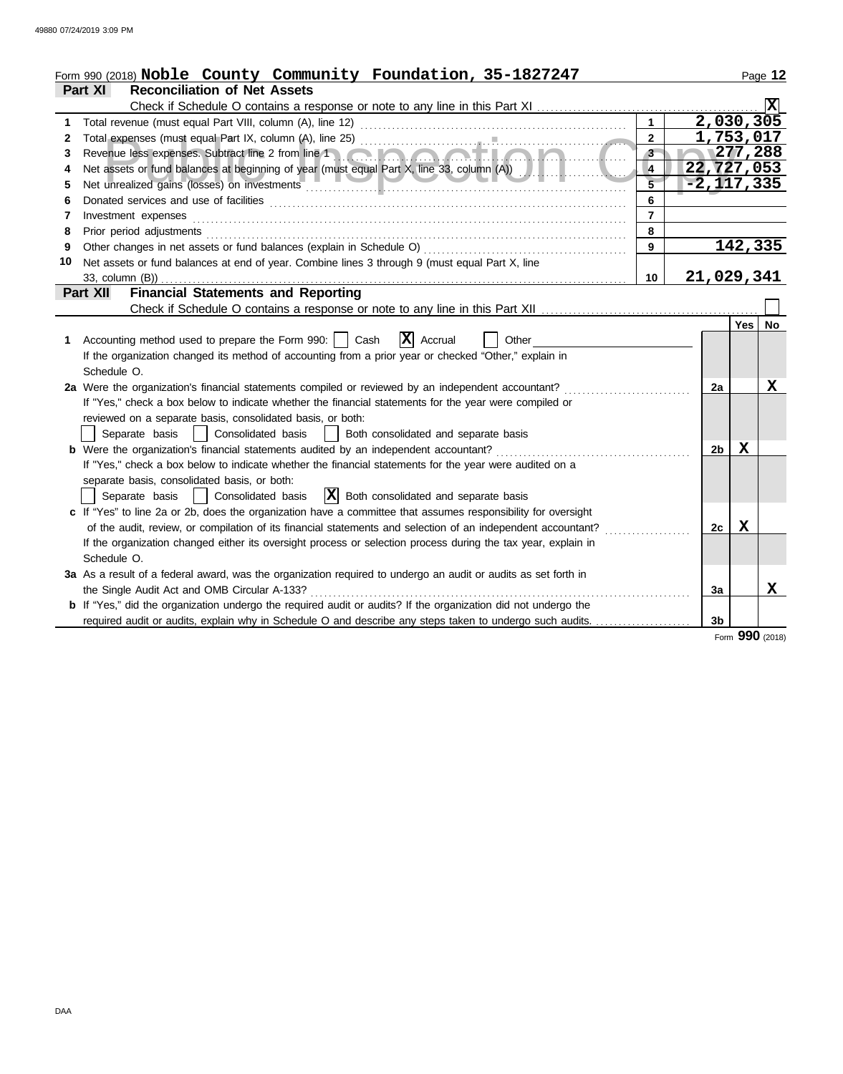|    | Form 990 (2018) Noble County Community Foundation, 35-1827247                                                                                                                                                                  |                         |                  |             | Page 12        |
|----|--------------------------------------------------------------------------------------------------------------------------------------------------------------------------------------------------------------------------------|-------------------------|------------------|-------------|----------------|
|    | Part XI<br><b>Reconciliation of Net Assets</b>                                                                                                                                                                                 |                         |                  |             |                |
|    |                                                                                                                                                                                                                                |                         |                  |             | ΙXΙ            |
| 1  | Total revenue (must equal Part VIII, column (A), line 12)                                                                                                                                                                      | $\mathbf{1}$            | 2,030,305        |             |                |
| 2  |                                                                                                                                                                                                                                | $\overline{2}$          | 1,753,017        |             |                |
| 3  | Revenue less expenses. Subtract line 2 from line 1                                                                                                                                                                             | $3 -$                   | $\sqrt{277,288}$ |             |                |
| 4  | Net assets or fund balances at beginning of year (must equal Part X, line 33, column (A))                                                                                                                                      | $\overline{4}$          | 22,727,053       |             |                |
| 5  | Net unrealized gains (losses) on investments                                                                                                                                                                                   | $\overline{\mathbf{5}}$ |                  |             | $-2, 117, 335$ |
| 6  |                                                                                                                                                                                                                                | 6                       |                  |             |                |
| 7  | Investment expenses                                                                                                                                                                                                            | $\overline{7}$          |                  |             |                |
| 8  | Prior period adjustments [11, 12] and the contract of the contract of the contract of the contract of the contract of the contract of the contract of the contract of the contract of the contract of the contract of the cont | 8                       |                  |             |                |
| 9  | Other changes in net assets or fund balances (explain in Schedule O)                                                                                                                                                           | 9                       |                  |             | 142,335        |
| 10 | Net assets or fund balances at end of year. Combine lines 3 through 9 (must equal Part X, line                                                                                                                                 |                         |                  |             |                |
|    | 33, column (B))                                                                                                                                                                                                                | 10                      | 21,029,341       |             |                |
|    | <b>Financial Statements and Reporting</b><br>Part XII                                                                                                                                                                          |                         |                  |             |                |
|    |                                                                                                                                                                                                                                |                         |                  |             |                |
|    |                                                                                                                                                                                                                                |                         |                  | <b>Yes</b>  | <b>No</b>      |
| 1. | $ \mathbf{X} $ Accrual<br>Accounting method used to prepare the Form 990:     Cash<br>Other                                                                                                                                    |                         |                  |             |                |
|    | If the organization changed its method of accounting from a prior year or checked "Other," explain in                                                                                                                          |                         |                  |             |                |
|    | Schedule O.                                                                                                                                                                                                                    |                         |                  |             |                |
|    | 2a Were the organization's financial statements compiled or reviewed by an independent accountant?                                                                                                                             |                         | 2a               |             | x              |
|    | If "Yes," check a box below to indicate whether the financial statements for the year were compiled or                                                                                                                         |                         |                  |             |                |
|    | reviewed on a separate basis, consolidated basis, or both:                                                                                                                                                                     |                         |                  |             |                |
|    | Separate basis     Consolidated basis<br>Both consolidated and separate basis<br>$\mathbf{1}$                                                                                                                                  |                         |                  |             |                |
|    | <b>b</b> Were the organization's financial statements audited by an independent accountant?                                                                                                                                    |                         | 2 <sub>b</sub>   | $\mathbf x$ |                |
|    | If "Yes," check a box below to indicate whether the financial statements for the year were audited on a                                                                                                                        |                         |                  |             |                |
|    | separate basis, consolidated basis, or both:                                                                                                                                                                                   |                         |                  |             |                |
|    | $ \mathbf{X} $ Both consolidated and separate basis<br>Separate basis   Consolidated basis                                                                                                                                     |                         |                  |             |                |
|    | c If "Yes" to line 2a or 2b, does the organization have a committee that assumes responsibility for oversight                                                                                                                  |                         |                  |             |                |
|    | of the audit, review, or compilation of its financial statements and selection of an independent accountant?                                                                                                                   |                         | 2c               | х           |                |
|    | If the organization changed either its oversight process or selection process during the tax year, explain in                                                                                                                  |                         |                  |             |                |
|    | Schedule O.                                                                                                                                                                                                                    |                         |                  |             |                |
|    | 3a As a result of a federal award, was the organization required to undergo an audit or audits as set forth in                                                                                                                 |                         |                  |             |                |
|    | the Single Audit Act and OMB Circular A-133?                                                                                                                                                                                   |                         | За               |             | x              |
|    | b If "Yes," did the organization undergo the required audit or audits? If the organization did not undergo the                                                                                                                 |                         |                  |             |                |
|    | required audit or audits, explain why in Schedule O and describe any steps taken to undergo such audits.                                                                                                                       |                         | 3 <sub>b</sub>   |             |                |

Form **990** (2018)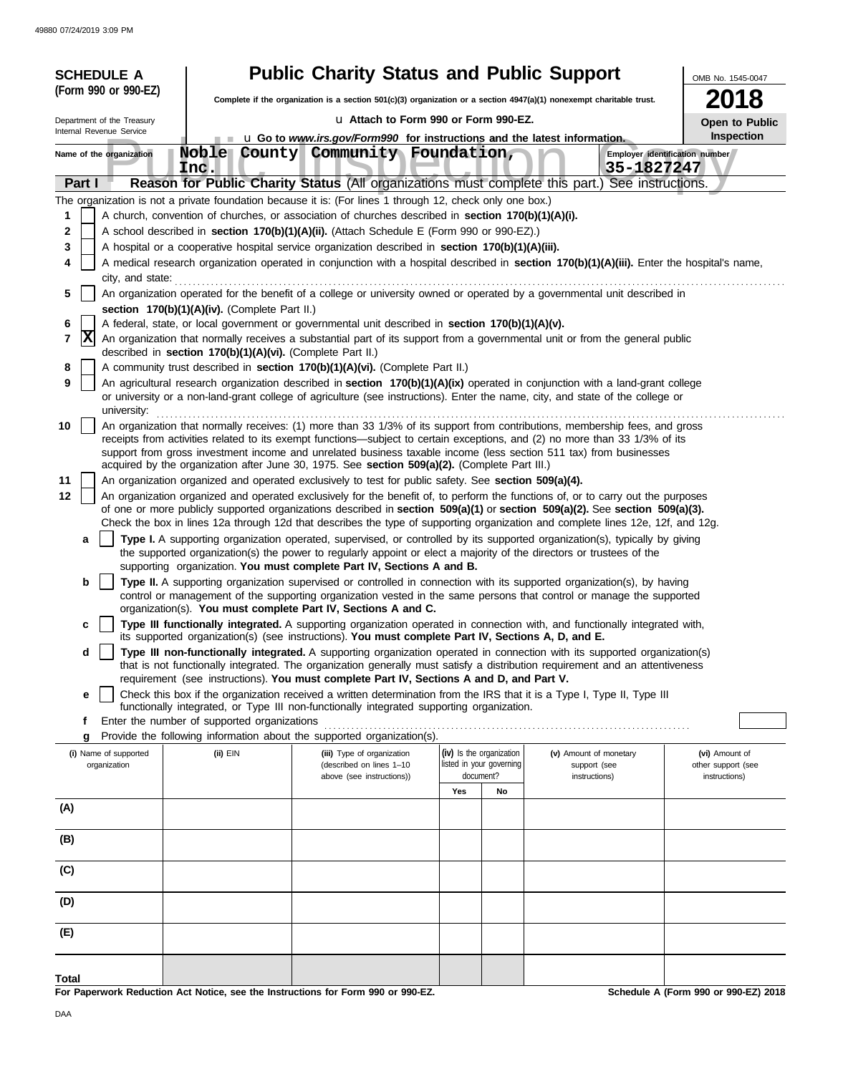| <b>SCHEDULE A</b>                                                                                                             |                                 |                      |                                                                                              | <b>Public Charity Status and Public Support</b>                                                                                                                                                                                                                                                                                                                                                                                                                                                                                                                                                                                                                                                                                                                                                                                                                                                                                                                                                                                                                                                                                                                                                                                                                                                                                                                                                                                                                                                                                                                                                                                                                                                                                                                                                                                                                                                                                                                                                                                                                                                                                                                                                                                                                                                                                                                                                                                                                                                                                                                                                                                                                                                                                                                                                                                                                                                                                                                                                                                                                                                                                                                                                                                                                                                                                                                                                                                                                                                                                                                                                                                                                                                                                                                                               |                                       |                          |                                             |                               |            | OMB No. 1545-0047                                                                                                                                            |
|-------------------------------------------------------------------------------------------------------------------------------|---------------------------------|----------------------|----------------------------------------------------------------------------------------------|-----------------------------------------------------------------------------------------------------------------------------------------------------------------------------------------------------------------------------------------------------------------------------------------------------------------------------------------------------------------------------------------------------------------------------------------------------------------------------------------------------------------------------------------------------------------------------------------------------------------------------------------------------------------------------------------------------------------------------------------------------------------------------------------------------------------------------------------------------------------------------------------------------------------------------------------------------------------------------------------------------------------------------------------------------------------------------------------------------------------------------------------------------------------------------------------------------------------------------------------------------------------------------------------------------------------------------------------------------------------------------------------------------------------------------------------------------------------------------------------------------------------------------------------------------------------------------------------------------------------------------------------------------------------------------------------------------------------------------------------------------------------------------------------------------------------------------------------------------------------------------------------------------------------------------------------------------------------------------------------------------------------------------------------------------------------------------------------------------------------------------------------------------------------------------------------------------------------------------------------------------------------------------------------------------------------------------------------------------------------------------------------------------------------------------------------------------------------------------------------------------------------------------------------------------------------------------------------------------------------------------------------------------------------------------------------------------------------------------------------------------------------------------------------------------------------------------------------------------------------------------------------------------------------------------------------------------------------------------------------------------------------------------------------------------------------------------------------------------------------------------------------------------------------------------------------------------------------------------------------------------------------------------------------------------------------------------------------------------------------------------------------------------------------------------------------------------------------------------------------------------------------------------------------------------------------------------------------------------------------------------------------------------------------------------------------------------------------------------------------------------------------------------------------------|---------------------------------------|--------------------------|---------------------------------------------|-------------------------------|------------|--------------------------------------------------------------------------------------------------------------------------------------------------------------|
| (Form 990 or 990-EZ)                                                                                                          |                                 |                      |                                                                                              | Complete if the organization is a section $501(c)(3)$ organization or a section $4947(a)(1)$ nonexempt charitable trust.                                                                                                                                                                                                                                                                                                                                                                                                                                                                                                                                                                                                                                                                                                                                                                                                                                                                                                                                                                                                                                                                                                                                                                                                                                                                                                                                                                                                                                                                                                                                                                                                                                                                                                                                                                                                                                                                                                                                                                                                                                                                                                                                                                                                                                                                                                                                                                                                                                                                                                                                                                                                                                                                                                                                                                                                                                                                                                                                                                                                                                                                                                                                                                                                                                                                                                                                                                                                                                                                                                                                                                                                                                                                      |                                       |                          |                                             |                               |            | 2018                                                                                                                                                         |
| Department of the Treasury                                                                                                    |                                 |                      |                                                                                              |                                                                                                                                                                                                                                                                                                                                                                                                                                                                                                                                                                                                                                                                                                                                                                                                                                                                                                                                                                                                                                                                                                                                                                                                                                                                                                                                                                                                                                                                                                                                                                                                                                                                                                                                                                                                                                                                                                                                                                                                                                                                                                                                                                                                                                                                                                                                                                                                                                                                                                                                                                                                                                                                                                                                                                                                                                                                                                                                                                                                                                                                                                                                                                                                                                                                                                                                                                                                                                                                                                                                                                                                                                                                                                                                                                                               | La Attach to Form 990 or Form 990-EZ. |                          |                                             |                               |            |                                                                                                                                                              |
| Internal Revenue Service                                                                                                      |                                 |                      |                                                                                              | u Go to www.irs.gov/Form990 for instructions and the latest information.                                                                                                                                                                                                                                                                                                                                                                                                                                                                                                                                                                                                                                                                                                                                                                                                                                                                                                                                                                                                                                                                                                                                                                                                                                                                                                                                                                                                                                                                                                                                                                                                                                                                                                                                                                                                                                                                                                                                                                                                                                                                                                                                                                                                                                                                                                                                                                                                                                                                                                                                                                                                                                                                                                                                                                                                                                                                                                                                                                                                                                                                                                                                                                                                                                                                                                                                                                                                                                                                                                                                                                                                                                                                                                                      |                                       |                          |                                             |                               |            | Open to Public<br>Inspection                                                                                                                                 |
| Name of the organization                                                                                                      |                                 | <b>Noble</b><br>Ind. |                                                                                              | County Community Foundation,                                                                                                                                                                                                                                                                                                                                                                                                                                                                                                                                                                                                                                                                                                                                                                                                                                                                                                                                                                                                                                                                                                                                                                                                                                                                                                                                                                                                                                                                                                                                                                                                                                                                                                                                                                                                                                                                                                                                                                                                                                                                                                                                                                                                                                                                                                                                                                                                                                                                                                                                                                                                                                                                                                                                                                                                                                                                                                                                                                                                                                                                                                                                                                                                                                                                                                                                                                                                                                                                                                                                                                                                                                                                                                                                                                  |                                       |                          |                                             |                               | 35-1827247 | Employer identification number                                                                                                                               |
| Part I                                                                                                                        |                                 |                      |                                                                                              | Reason for Public Charity Status (All organizations must complete this part.) See instructions.                                                                                                                                                                                                                                                                                                                                                                                                                                                                                                                                                                                                                                                                                                                                                                                                                                                                                                                                                                                                                                                                                                                                                                                                                                                                                                                                                                                                                                                                                                                                                                                                                                                                                                                                                                                                                                                                                                                                                                                                                                                                                                                                                                                                                                                                                                                                                                                                                                                                                                                                                                                                                                                                                                                                                                                                                                                                                                                                                                                                                                                                                                                                                                                                                                                                                                                                                                                                                                                                                                                                                                                                                                                                                               |                                       |                          |                                             |                               |            |                                                                                                                                                              |
| 1<br>2<br>3<br>4<br>5<br>6<br> X<br>7<br>8<br>9<br>10<br>11<br>12<br>а<br>b<br>c<br>d<br>е<br>f<br>g<br>(i) Name of supported | city, and state:<br>university: | (ii) EIN             | section 170(b)(1)(A)(iv). (Complete Part II.)<br>Enter the number of supported organizations | The organization is not a private foundation because it is: (For lines 1 through 12, check only one box.)<br>A church, convention of churches, or association of churches described in section 170(b)(1)(A)(i).<br>A school described in <b>section 170(b)(1)(A)(ii).</b> (Attach Schedule E (Form 990 or 990-EZ).)<br>A hospital or a cooperative hospital service organization described in section 170(b)(1)(A)(iii).<br>An organization operated for the benefit of a college or university owned or operated by a governmental unit described in<br>A federal, state, or local government or governmental unit described in section 170(b)(1)(A)(v).<br>An organization that normally receives a substantial part of its support from a governmental unit or from the general public<br>described in section 170(b)(1)(A)(vi). (Complete Part II.)<br>A community trust described in section 170(b)(1)(A)(vi). (Complete Part II.)<br>An agricultural research organization described in section 170(b)(1)(A)(ix) operated in conjunction with a land-grant college<br>or university or a non-land-grant college of agriculture (see instructions). Enter the name, city, and state of the college or<br>An organization that normally receives: (1) more than 33 1/3% of its support from contributions, membership fees, and gross<br>receipts from activities related to its exempt functions—subject to certain exceptions, and (2) no more than 33 1/3% of its<br>support from gross investment income and unrelated business taxable income (less section 511 tax) from businesses<br>acquired by the organization after June 30, 1975. See section 509(a)(2). (Complete Part III.)<br>An organization organized and operated exclusively to test for public safety. See section 509(a)(4).<br>An organization organized and operated exclusively for the benefit of, to perform the functions of, or to carry out the purposes<br>of one or more publicly supported organizations described in section 509(a)(1) or section 509(a)(2). See section 509(a)(3).<br>Check the box in lines 12a through 12d that describes the type of supporting organization and complete lines 12e, 12f, and 12g.<br>Type I. A supporting organization operated, supervised, or controlled by its supported organization(s), typically by giving<br>the supported organization(s) the power to regularly appoint or elect a majority of the directors or trustees of the<br>supporting organization. You must complete Part IV, Sections A and B.<br>Type II. A supporting organization supervised or controlled in connection with its supported organization(s), by having<br>control or management of the supporting organization vested in the same persons that control or manage the supported<br>organization(s). You must complete Part IV, Sections A and C.<br>Type III functionally integrated. A supporting organization operated in connection with, and functionally integrated with,<br>its supported organization(s) (see instructions). You must complete Part IV, Sections A, D, and E.<br>Type III non-functionally integrated. A supporting organization operated in connection with its supported organization(s)<br>that is not functionally integrated. The organization generally must satisfy a distribution requirement and an attentiveness<br>requirement (see instructions). You must complete Part IV, Sections A and D, and Part V.<br>Check this box if the organization received a written determination from the IRS that it is a Type I, Type II, Type III<br>functionally integrated, or Type III non-functionally integrated supporting organization.<br>Provide the following information about the supported organization(s).<br>(iii) Type of organization |                                       | (iv) Is the organization |                                             | (v) Amount of monetary        |            | A medical research organization operated in conjunction with a hospital described in section 170(b)(1)(A)(iii). Enter the hospital's name,<br>(vi) Amount of |
| organization                                                                                                                  |                                 |                      |                                                                                              | (described on lines 1-10<br>above (see instructions))                                                                                                                                                                                                                                                                                                                                                                                                                                                                                                                                                                                                                                                                                                                                                                                                                                                                                                                                                                                                                                                                                                                                                                                                                                                                                                                                                                                                                                                                                                                                                                                                                                                                                                                                                                                                                                                                                                                                                                                                                                                                                                                                                                                                                                                                                                                                                                                                                                                                                                                                                                                                                                                                                                                                                                                                                                                                                                                                                                                                                                                                                                                                                                                                                                                                                                                                                                                                                                                                                                                                                                                                                                                                                                                                         |                                       | Yes                      | listed in your governing<br>document?<br>No | support (see<br>instructions) |            | other support (see<br>instructions)                                                                                                                          |
| (A)                                                                                                                           |                                 |                      |                                                                                              |                                                                                                                                                                                                                                                                                                                                                                                                                                                                                                                                                                                                                                                                                                                                                                                                                                                                                                                                                                                                                                                                                                                                                                                                                                                                                                                                                                                                                                                                                                                                                                                                                                                                                                                                                                                                                                                                                                                                                                                                                                                                                                                                                                                                                                                                                                                                                                                                                                                                                                                                                                                                                                                                                                                                                                                                                                                                                                                                                                                                                                                                                                                                                                                                                                                                                                                                                                                                                                                                                                                                                                                                                                                                                                                                                                                               |                                       |                          |                                             |                               |            |                                                                                                                                                              |
| (B)                                                                                                                           |                                 |                      |                                                                                              |                                                                                                                                                                                                                                                                                                                                                                                                                                                                                                                                                                                                                                                                                                                                                                                                                                                                                                                                                                                                                                                                                                                                                                                                                                                                                                                                                                                                                                                                                                                                                                                                                                                                                                                                                                                                                                                                                                                                                                                                                                                                                                                                                                                                                                                                                                                                                                                                                                                                                                                                                                                                                                                                                                                                                                                                                                                                                                                                                                                                                                                                                                                                                                                                                                                                                                                                                                                                                                                                                                                                                                                                                                                                                                                                                                                               |                                       |                          |                                             |                               |            |                                                                                                                                                              |
| (C)                                                                                                                           |                                 |                      |                                                                                              |                                                                                                                                                                                                                                                                                                                                                                                                                                                                                                                                                                                                                                                                                                                                                                                                                                                                                                                                                                                                                                                                                                                                                                                                                                                                                                                                                                                                                                                                                                                                                                                                                                                                                                                                                                                                                                                                                                                                                                                                                                                                                                                                                                                                                                                                                                                                                                                                                                                                                                                                                                                                                                                                                                                                                                                                                                                                                                                                                                                                                                                                                                                                                                                                                                                                                                                                                                                                                                                                                                                                                                                                                                                                                                                                                                                               |                                       |                          |                                             |                               |            |                                                                                                                                                              |
| (D)                                                                                                                           |                                 |                      |                                                                                              |                                                                                                                                                                                                                                                                                                                                                                                                                                                                                                                                                                                                                                                                                                                                                                                                                                                                                                                                                                                                                                                                                                                                                                                                                                                                                                                                                                                                                                                                                                                                                                                                                                                                                                                                                                                                                                                                                                                                                                                                                                                                                                                                                                                                                                                                                                                                                                                                                                                                                                                                                                                                                                                                                                                                                                                                                                                                                                                                                                                                                                                                                                                                                                                                                                                                                                                                                                                                                                                                                                                                                                                                                                                                                                                                                                                               |                                       |                          |                                             |                               |            |                                                                                                                                                              |
| (E)                                                                                                                           |                                 |                      |                                                                                              |                                                                                                                                                                                                                                                                                                                                                                                                                                                                                                                                                                                                                                                                                                                                                                                                                                                                                                                                                                                                                                                                                                                                                                                                                                                                                                                                                                                                                                                                                                                                                                                                                                                                                                                                                                                                                                                                                                                                                                                                                                                                                                                                                                                                                                                                                                                                                                                                                                                                                                                                                                                                                                                                                                                                                                                                                                                                                                                                                                                                                                                                                                                                                                                                                                                                                                                                                                                                                                                                                                                                                                                                                                                                                                                                                                                               |                                       |                          |                                             |                               |            |                                                                                                                                                              |
| Total                                                                                                                         |                                 |                      |                                                                                              | For Paperwork Reduction Act Notice, see the Instructions for Form 990 or 990-EZ.                                                                                                                                                                                                                                                                                                                                                                                                                                                                                                                                                                                                                                                                                                                                                                                                                                                                                                                                                                                                                                                                                                                                                                                                                                                                                                                                                                                                                                                                                                                                                                                                                                                                                                                                                                                                                                                                                                                                                                                                                                                                                                                                                                                                                                                                                                                                                                                                                                                                                                                                                                                                                                                                                                                                                                                                                                                                                                                                                                                                                                                                                                                                                                                                                                                                                                                                                                                                                                                                                                                                                                                                                                                                                                              |                                       |                          |                                             |                               |            | Schedule A (Form 990 or 990-EZ) 2018                                                                                                                         |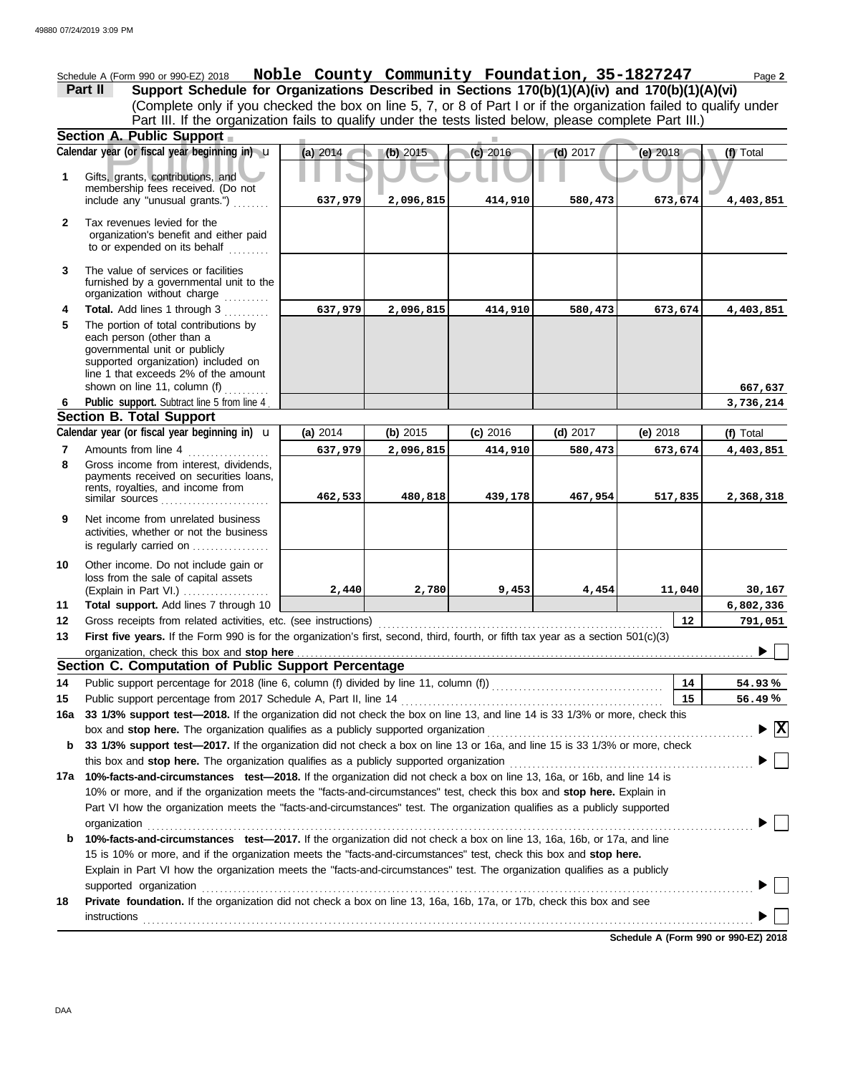Schedule A (Form 990 or 990-EZ) 2018 Page **2 Noble County Community Foundation, 35-1827247 Part II Support Schedule for Organizations Described in Sections 170(b)(1)(A)(iv) and 170(b)(1)(A)(vi)** (Complete only if you checked the box on line 5, 7, or 8 of Part I or if the organization failed to qualify under Part III. If the organization fails to qualify under the tests listed below, please complete Part III.) **Section A. Public Support A. Public Support**<br>
year (or fiscal year beginning in) **u** (a) 2014<br>
S. grants, contributions, and<br>
mbership fees received. (Do not **(a)** 2014 **(b)** 2015 **(c)** 2016 **(d)** 2017 **(e)** 2018 Calendar year (or fiscal year beginning in)  $\cdot$  **(a)** 2014 (b) 2015 (c) 2016 (d) 2017 (d) 2017 (e) 2018 (f) Total **1** Gifts, grants, contributions, and membership fees received. (Do not **637,979 2,096,815 414,910 580,473 673,674 4,403,851** include any "unusual grants.") . . . . . . . . **2** Tax revenues levied for the organization's benefit and either paid to or expended on its behalf ......... **3** The value of services or facilities furnished by a governmental unit to the organization without charge **Total.** Add lines 1 through 3 .......... **4 637,979 2,096,815 414,910 580,473 673,674 4,403,851 5** The portion of total contributions by each person (other than a governmental unit or publicly supported organization) included on line 1 that exceeds 2% of the amount shown on line 11, column (f)  $\ldots$ **667,637** Public support. Subtract line 5 from line 4 **3,736,214 6 Section B. Total Support** Calendar year (or fiscal year beginning in)  $\mathbf{u}$  (a) 2014 (b) 2015 (c) 2016 (d) 2017 (e) 2018 (f) Total **(a)** 2014 u **(b)** 2015 **(c)** 2016 **(d)** 2017 **(e)** 2018 Amounts from line 4 **7 637,979 2,096,815 414,910 580,473 673,674 4,403,851 8** Gross income from interest, dividends, payments received on securities loans, rents, royalties, and income from **462,533 480,818 439,178 467,954 517,835 2,368,318** similar sources **9** Net income from unrelated business activities, whether or not the business is regularly carried on ................. Other income. Do not include gain or **10** loss from the sale of capital assets (Explain in Part VI.) . . . . . . . . . . . . . . . . . . . **2,440 2,780 9,453 4,454 11,040 30,167 Total support.** Add lines 7 through 10 **11 6,802,336 12 12 791,051** Gross receipts from related activities, etc. (see instructions) . . . . . . . . . . . . . . . . . . . . . . . . . . . . . . . . . . . . . . . . . . . . . . . . . . . . . . . . . . . . . . . First five years. If the Form 990 is for the organization's first, second, third, fourth, or fifth tax year as a section 501(c)(3) **13** ▶ 「 organization, check this box and stop here **Section C. Computation of Public Support Percentage 14** Public support percentage for 2018 (line 6, column (f) divided by line 11, column (f)) . . . . . . . . . . . . . . . . . . . . . . . . . . . . . . . . . . . . . . **14 % 54.93** Public support percentage from 2017 Schedule A, Part II, line 14 . . . . . . . . . . . . . . . . . . . . . . . . . . . . . . . . . . . . . . . . . . . . . . . . . . . . . . . . . . **15 15 % 56.49 16a 33 1/3% support test—2018.** If the organization did not check the box on line 13, and line 14 is 33 1/3% or more, check this box and stop here. The organization qualifies as a publicly supported organization .............. **X b 33 1/3% support test—2017.** If the organization did not check a box on line 13 or 16a, and line 15 is 33 1/3% or more, check this box and stop here. The organization qualifies as a publicly supported organization ......................... **17a 10%-facts-and-circumstances test—2018.** If the organization did not check a box on line 13, 16a, or 16b, and line 14 is 10% or more, and if the organization meets the "facts-and-circumstances" test, check this box and **stop here.** Explain in Part VI how the organization meets the "facts-and-circumstances" test. The organization qualifies as a publicly supported organization . . . . . . . . . . . . . . . . . . . . . . . . . . . . . . . . . . . . . . . . . . . . . . . . . . . . . . . . . . . . . . . . . . . . . . . . . . . . . . . . . . . . . . . . . . . . . . . . . . . . . . . . . . . . . . . . . . . . . . . . . . . . . . . . . . . . . . **b 10%-facts-and-circumstances test—2017.** If the organization did not check a box on line 13, 16a, 16b, or 17a, and line 15 is 10% or more, and if the organization meets the "facts-and-circumstances" test, check this box and **stop here.** Explain in Part VI how the organization meets the "facts-and-circumstances" test. The organization qualifies as a publicly supported organization . . . . . . . . . . . . . . . . . . . . . . . . . . . . . . . . . . . . . . . . . . . . . . . . . . . . . . . . . . . . . . . . . . . . . . . . . . . . . . . . . . . . . . . . . . . . . . . . . . . . . . . . . . . . . . . . . . . . . . . . . . **18 Private foundation.** If the organization did not check a box on line 13, 16a, 16b, 17a, or 17b, check this box and see instructions . . . . . . . . . . . . . . . . . . . . . . . . . . . . . . . . . . . . . . . . . . . . . . . . . . . . . . . . . . . . . . . . . . . . . . . . . . . . . . . . . . . . . . . . . . . . . . . . . . . . . . . . . . . . . . . . . . . . . . . . . . . . . . . . . . . . . . .

**Schedule A (Form 990 or 990-EZ) 2018**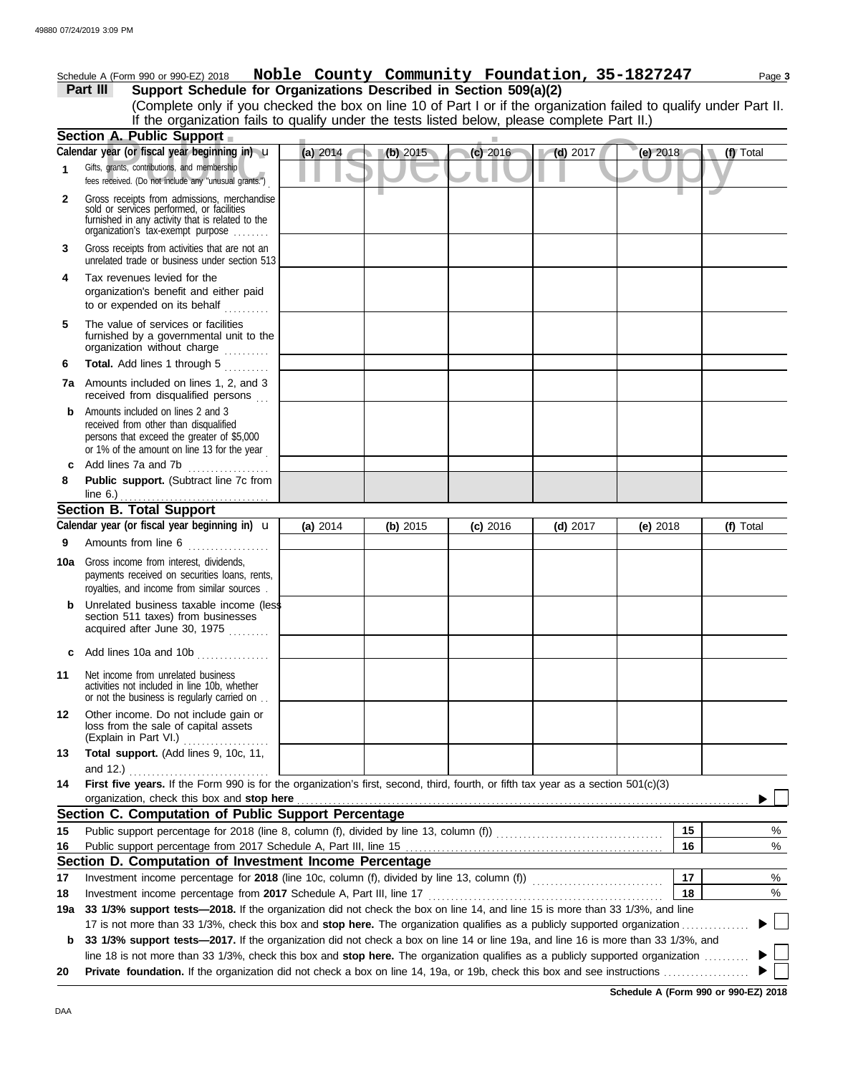|  |  |  | Schedule A (Form 990 or 990-EZ) 2018 Noble County Community Foundation, 35-1827247 | Page 3 |
|--|--|--|------------------------------------------------------------------------------------|--------|
|  |  |  |                                                                                    |        |

**Part III Support Schedule for Organizations Described in Section 509(a)(2)** (Complete only if you checked the box on line 10 of Part I or if the organization failed to qualify under Part II. If the organization fails to qualify under the tests listed below, please complete Part II.)

| <b>Section A. Public Support</b> |                                                                                                                                                                                   |          |          |            |            |            |    |           |  |  |
|----------------------------------|-----------------------------------------------------------------------------------------------------------------------------------------------------------------------------------|----------|----------|------------|------------|------------|----|-----------|--|--|
|                                  | Calendar year (or fiscal year beginning in) u                                                                                                                                     | (a) 2014 | (b) 2015 | $(c)$ 2016 | $(d)$ 2017 | (e) 2018   |    | (f) Total |  |  |
| $\mathbf 1$                      | Gifts, grants, contributions, and membership<br>fees received. (Do not include any "unusual grants.")                                                                             |          |          |            |            |            |    |           |  |  |
| $\mathbf{2}$                     | Gross receipts from admissions, merchandise<br>sold or services performed, or facilities<br>furnished in any activity that is related to the<br>organization's fax-exempt purpose |          |          |            |            |            |    |           |  |  |
| 3                                | Gross receipts from activities that are not an<br>unrelated trade or business under section 513                                                                                   |          |          |            |            |            |    |           |  |  |
| 4                                | Tax revenues levied for the<br>organization's benefit and either paid<br>to or expended on its behalf                                                                             |          |          |            |            |            |    |           |  |  |
| 5                                | The value of services or facilities<br>furnished by a governmental unit to the<br>organization without charge<br>.                                                                |          |          |            |            |            |    |           |  |  |
| 6                                | Total. Add lines 1 through 5<br>an de la calendar                                                                                                                                 |          |          |            |            |            |    |           |  |  |
|                                  | <b>7a</b> Amounts included on lines 1, 2, and 3<br>received from disqualified persons                                                                                             |          |          |            |            |            |    |           |  |  |
| b                                | Amounts included on lines 2 and 3<br>received from other than disqualified<br>persons that exceed the greater of \$5,000<br>or 1% of the amount on line 13 for the year           |          |          |            |            |            |    |           |  |  |
| c                                | Add lines 7a and 7b                                                                                                                                                               |          |          |            |            |            |    |           |  |  |
| 8                                | Public support. (Subtract line 7c from<br>line 6.) $\ldots$ $\ldots$ $\ldots$ $\ldots$ $\ldots$ $\ldots$                                                                          |          |          |            |            |            |    |           |  |  |
|                                  | <b>Section B. Total Support</b>                                                                                                                                                   |          |          |            |            |            |    |           |  |  |
|                                  | Calendar year (or fiscal year beginning in) $\mathbf u$                                                                                                                           | (a) 2014 | (b) 2015 | $(c)$ 2016 | $(d)$ 2017 | (e) $2018$ |    | (f) Total |  |  |
| 9                                | Amounts from line 6                                                                                                                                                               |          |          |            |            |            |    |           |  |  |
| 10a                              | Gross income from interest, dividends,<br>payments received on securities loans, rents,<br>royalties, and income from similar sources.                                            |          |          |            |            |            |    |           |  |  |
| b                                | Unrelated business taxable income (less<br>section 511 taxes) from businesses<br>acquired after June 30, 1975                                                                     |          |          |            |            |            |    |           |  |  |
| c                                | Add lines 10a and 10b                                                                                                                                                             |          |          |            |            |            |    |           |  |  |
| 11                               | Net income from unrelated business<br>activities not included in line 10b, whether<br>or not the business is regularly carried on                                                 |          |          |            |            |            |    |           |  |  |
| 12                               | Other income. Do not include gain or<br>loss from the sale of capital assets<br>(Explain in Part VI.)                                                                             |          |          |            |            |            |    |           |  |  |
| 13                               | Total support. (Add lines 9, 10c, 11,                                                                                                                                             |          |          |            |            |            |    |           |  |  |
|                                  | and 12.)                                                                                                                                                                          |          |          |            |            |            |    |           |  |  |
| 14                               | First five years. If the Form 990 is for the organization's first, second, third, fourth, or fifth tax year as a section 501(c)(3)                                                |          |          |            |            |            |    |           |  |  |
|                                  | organization, check this box and stop here<br>Section C. Computation of Public Support Percentage                                                                                 |          |          |            |            |            |    |           |  |  |
|                                  |                                                                                                                                                                                   |          |          |            |            |            | 15 |           |  |  |
| 15                               |                                                                                                                                                                                   |          |          |            |            |            | 16 | %<br>%    |  |  |
| 16                               | Section D. Computation of Investment Income Percentage                                                                                                                            |          |          |            |            |            |    |           |  |  |
| 17                               |                                                                                                                                                                                   |          |          |            |            |            | 17 | %         |  |  |
| 18                               |                                                                                                                                                                                   |          |          |            |            |            | 18 | %         |  |  |
| 19а                              | 33 1/3% support tests-2018. If the organization did not check the box on line 14, and line 15 is more than 33 1/3%, and line                                                      |          |          |            |            |            |    |           |  |  |
|                                  | 17 is not more than 33 1/3%, check this box and stop here. The organization qualifies as a publicly supported organization                                                        |          |          |            |            |            |    |           |  |  |
| b                                | 33 1/3% support tests-2017. If the organization did not check a box on line 14 or line 19a, and line 16 is more than 33 1/3%, and                                                 |          |          |            |            |            |    |           |  |  |
|                                  | line 18 is not more than 33 1/3%, check this box and stop here. The organization qualifies as a publicly supported organization                                                   |          |          |            |            |            |    |           |  |  |
| 20                               |                                                                                                                                                                                   |          |          |            |            |            |    |           |  |  |

**Schedule A (Form 990 or 990-EZ) 2018**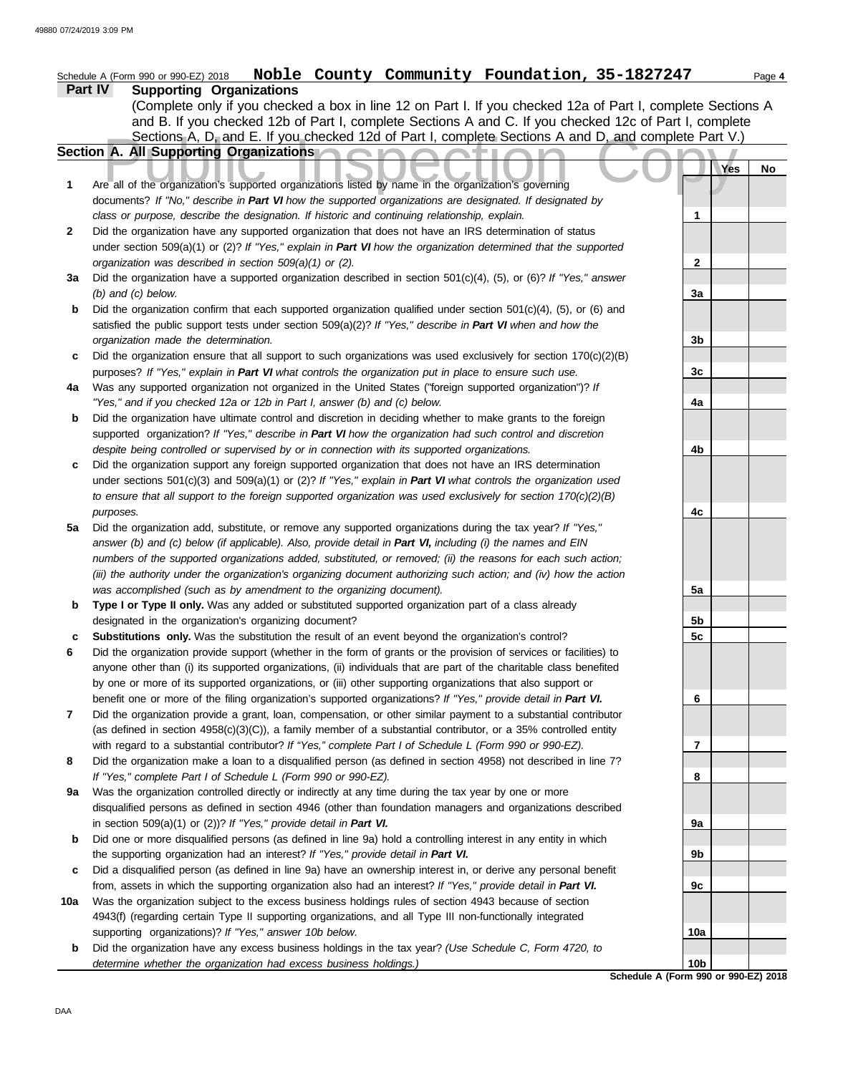|         | Noble County Community Foundation, 35-1827247<br>Schedule A (Form 990 or 990-EZ) 2018                                                                                                    |                 |     | Page 4 |
|---------|------------------------------------------------------------------------------------------------------------------------------------------------------------------------------------------|-----------------|-----|--------|
| Part IV | <b>Supporting Organizations</b>                                                                                                                                                          |                 |     |        |
|         | (Complete only if you checked a box in line 12 on Part I. If you checked 12a of Part I, complete Sections A                                                                              |                 |     |        |
|         | and B. If you checked 12b of Part I, complete Sections A and C. If you checked 12c of Part I, complete                                                                                   |                 |     |        |
|         | Sections A, D, and E. If you checked 12d of Part I, complete Sections A and D, and complete Part V.)                                                                                     |                 |     |        |
|         | Section A. All Supporting Organizations                                                                                                                                                  |                 |     |        |
|         |                                                                                                                                                                                          |                 | Yes | No     |
| 1       | Are all of the organization's supported organizations listed by name in the organization's governing                                                                                     |                 |     |        |
|         | documents? If "No," describe in Part VI how the supported organizations are designated. If designated by                                                                                 |                 |     |        |
|         | class or purpose, describe the designation. If historic and continuing relationship, explain.                                                                                            | 1               |     |        |
| 2       | Did the organization have any supported organization that does not have an IRS determination of status                                                                                   |                 |     |        |
|         | under section 509(a)(1) or (2)? If "Yes," explain in Part VI how the organization determined that the supported                                                                          |                 |     |        |
|         | organization was described in section 509(a)(1) or (2).                                                                                                                                  | $\mathbf{2}$    |     |        |
| За      | Did the organization have a supported organization described in section 501(c)(4), (5), or (6)? If "Yes," answer                                                                         |                 |     |        |
|         | $(b)$ and $(c)$ below.                                                                                                                                                                   | 3a              |     |        |
| b       | Did the organization confirm that each supported organization qualified under section $501(c)(4)$ , (5), or (6) and                                                                      |                 |     |        |
|         | satisfied the public support tests under section 509(a)(2)? If "Yes," describe in Part VI when and how the                                                                               |                 |     |        |
|         | organization made the determination.                                                                                                                                                     | 3b              |     |        |
| c       | Did the organization ensure that all support to such organizations was used exclusively for section $170(c)(2)(B)$                                                                       |                 |     |        |
|         | purposes? If "Yes," explain in Part VI what controls the organization put in place to ensure such use.                                                                                   | 3c              |     |        |
| 4a      | Was any supported organization not organized in the United States ("foreign supported organization")? If                                                                                 |                 |     |        |
|         | "Yes," and if you checked 12a or 12b in Part I, answer (b) and (c) below.                                                                                                                | 4a              |     |        |
| b       | Did the organization have ultimate control and discretion in deciding whether to make grants to the foreign                                                                              |                 |     |        |
|         | supported organization? If "Yes," describe in Part VI how the organization had such control and discretion                                                                               |                 |     |        |
|         | despite being controlled or supervised by or in connection with its supported organizations.                                                                                             | 4b              |     |        |
| c       | Did the organization support any foreign supported organization that does not have an IRS determination                                                                                  |                 |     |        |
|         | under sections $501(c)(3)$ and $509(a)(1)$ or $(2)$ ? If "Yes," explain in Part VI what controls the organization used                                                                   |                 |     |        |
|         | to ensure that all support to the foreign supported organization was used exclusively for section $170(c)(2)(B)$                                                                         |                 |     |        |
|         | purposes.                                                                                                                                                                                | 4c              |     |        |
| 5a      | Did the organization add, substitute, or remove any supported organizations during the tax year? If "Yes,"                                                                               |                 |     |        |
|         | answer (b) and (c) below (if applicable). Also, provide detail in Part VI, including (i) the names and EIN                                                                               |                 |     |        |
|         | numbers of the supported organizations added, substituted, or removed; (ii) the reasons for each such action;                                                                            |                 |     |        |
|         | (iii) the authority under the organization's organizing document authorizing such action; and (iv) how the action<br>was accomplished (such as by amendment to the organizing document). | 5a              |     |        |
| b       | Type I or Type II only. Was any added or substituted supported organization part of a class already                                                                                      |                 |     |        |
|         | designated in the organization's organizing document?                                                                                                                                    | 5b              |     |        |
|         | Substitutions only. Was the substitution the result of an event beyond the organization's control?                                                                                       | 5c              |     |        |
|         | Did the organization provide support (whether in the form of grants or the provision of services or facilities) to                                                                       |                 |     |        |
|         | anyone other than (i) its supported organizations, (ii) individuals that are part of the charitable class benefited                                                                      |                 |     |        |
|         | by one or more of its supported organizations, or (iii) other supporting organizations that also support or                                                                              |                 |     |        |
|         | benefit one or more of the filing organization's supported organizations? If "Yes," provide detail in Part VI.                                                                           | 6               |     |        |
| 7       | Did the organization provide a grant, loan, compensation, or other similar payment to a substantial contributor                                                                          |                 |     |        |
|         | (as defined in section $4958(c)(3)(C)$ ), a family member of a substantial contributor, or a 35% controlled entity                                                                       |                 |     |        |
|         | with regard to a substantial contributor? If "Yes," complete Part I of Schedule L (Form 990 or 990-EZ).                                                                                  | 7               |     |        |
| 8       | Did the organization make a loan to a disqualified person (as defined in section 4958) not described in line 7?                                                                          |                 |     |        |
|         | If "Yes," complete Part I of Schedule L (Form 990 or 990-EZ).                                                                                                                            | 8               |     |        |
| 9a      | Was the organization controlled directly or indirectly at any time during the tax year by one or more                                                                                    |                 |     |        |
|         | disqualified persons as defined in section 4946 (other than foundation managers and organizations described                                                                              |                 |     |        |
|         | in section $509(a)(1)$ or $(2)$ ? If "Yes," provide detail in Part VI.                                                                                                                   | 9а              |     |        |
| b       | Did one or more disqualified persons (as defined in line 9a) hold a controlling interest in any entity in which                                                                          |                 |     |        |
|         | the supporting organization had an interest? If "Yes," provide detail in Part VI.                                                                                                        | 9b              |     |        |
| c       | Did a disqualified person (as defined in line 9a) have an ownership interest in, or derive any personal benefit                                                                          |                 |     |        |
|         | from, assets in which the supporting organization also had an interest? If "Yes," provide detail in Part VI.                                                                             | 9с              |     |        |
| 10a     | Was the organization subject to the excess business holdings rules of section 4943 because of section                                                                                    |                 |     |        |
|         | 4943(f) (regarding certain Type II supporting organizations, and all Type III non-functionally integrated                                                                                |                 |     |        |
|         | supporting organizations)? If "Yes," answer 10b below.                                                                                                                                   | 10a             |     |        |
| b       | Did the organization have any excess business holdings in the tax year? (Use Schedule C, Form 4720, to                                                                                   |                 |     |        |
|         | determine whether the organization had excess business holdings.)                                                                                                                        | 10 <sub>b</sub> |     |        |
|         | Schedule A (Form 990 or 990-EZ) 2018                                                                                                                                                     |                 |     |        |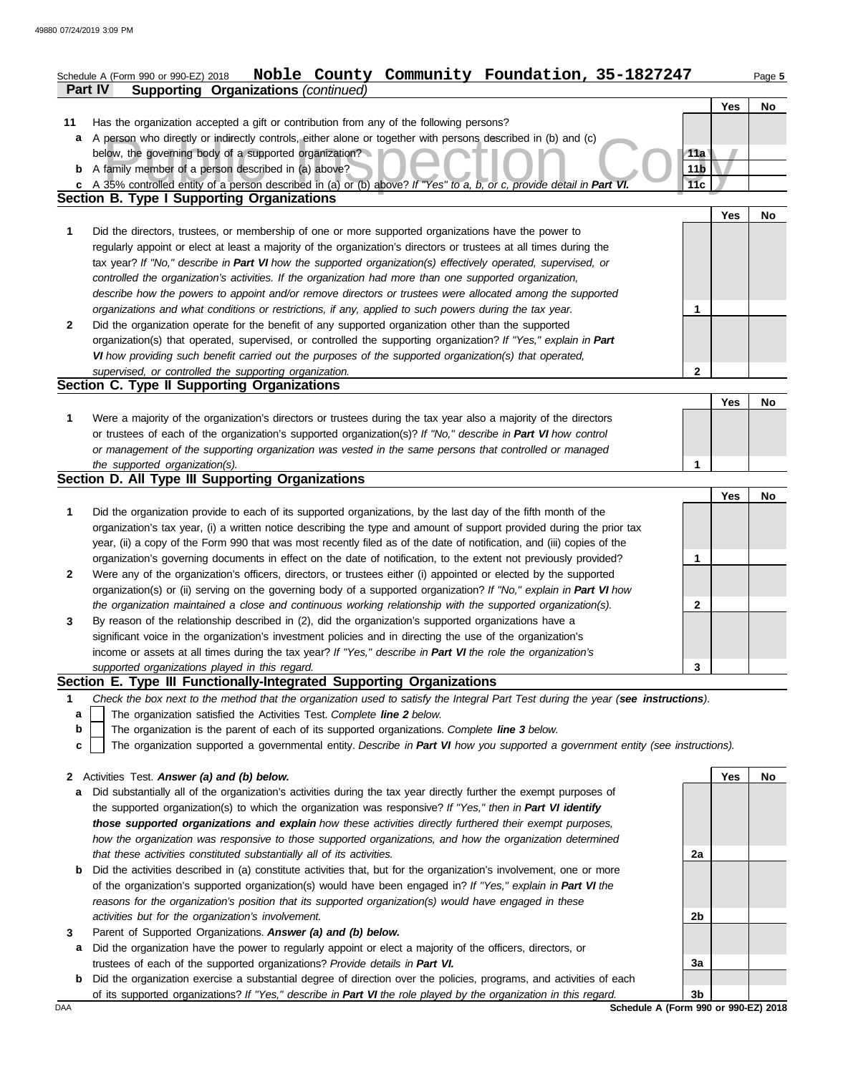|              | Noble County Community Foundation, 35-1827247<br>Schedule A (Form 990 or 990-EZ) 2018<br><b>Supporting Organizations (continued)</b><br><b>Part IV</b>                                                                               |                 |     | Page 5 |
|--------------|--------------------------------------------------------------------------------------------------------------------------------------------------------------------------------------------------------------------------------------|-----------------|-----|--------|
|              |                                                                                                                                                                                                                                      |                 | Yes | No     |
| 11           | Has the organization accepted a gift or contribution from any of the following persons?                                                                                                                                              |                 |     |        |
| a            | A person who directly or indirectly controls, either alone or together with persons described in (b) and (c)                                                                                                                         |                 |     |        |
|              | below, the governing body of a supported organization?                                                                                                                                                                               | 11a             |     |        |
|              | <b>b</b> A family member of a person described in (a) above?                                                                                                                                                                         | 11 <sub>b</sub> |     |        |
|              | c A 35% controlled entity of a person described in (a) or (b) above? If "Yes" to a, b, or c, provide detail in Part VI.                                                                                                              | 11c             |     |        |
|              | <b>Section B. Type I Supporting Organizations</b>                                                                                                                                                                                    |                 |     |        |
|              |                                                                                                                                                                                                                                      |                 | Yes | No     |
| 1            | Did the directors, trustees, or membership of one or more supported organizations have the power to                                                                                                                                  |                 |     |        |
|              | regularly appoint or elect at least a majority of the organization's directors or trustees at all times during the                                                                                                                   |                 |     |        |
|              | tax year? If "No," describe in Part VI how the supported organization(s) effectively operated, supervised, or                                                                                                                        |                 |     |        |
|              | controlled the organization's activities. If the organization had more than one supported organization,                                                                                                                              |                 |     |        |
|              | describe how the powers to appoint and/or remove directors or trustees were allocated among the supported                                                                                                                            |                 |     |        |
|              | organizations and what conditions or restrictions, if any, applied to such powers during the tax year.                                                                                                                               | 1               |     |        |
| $\mathbf{2}$ | Did the organization operate for the benefit of any supported organization other than the supported                                                                                                                                  |                 |     |        |
|              | organization(s) that operated, supervised, or controlled the supporting organization? If "Yes," explain in Part                                                                                                                      |                 |     |        |
|              | VI how providing such benefit carried out the purposes of the supported organization(s) that operated,                                                                                                                               |                 |     |        |
|              | supervised, or controlled the supporting organization.                                                                                                                                                                               | 2               |     |        |
|              | Section C. Type II Supporting Organizations                                                                                                                                                                                          |                 |     |        |
|              |                                                                                                                                                                                                                                      |                 | Yes | No     |
| 1            | Were a majority of the organization's directors or trustees during the tax year also a majority of the directors                                                                                                                     |                 |     |        |
|              | or trustees of each of the organization's supported organization(s)? If "No," describe in Part VI how control                                                                                                                        |                 |     |        |
|              | or management of the supporting organization was vested in the same persons that controlled or managed                                                                                                                               |                 |     |        |
|              | the supported organization(s).                                                                                                                                                                                                       | 1               |     |        |
|              | Section D. All Type III Supporting Organizations                                                                                                                                                                                     |                 |     |        |
|              |                                                                                                                                                                                                                                      |                 | Yes | No     |
| 1            | Did the organization provide to each of its supported organizations, by the last day of the fifth month of the                                                                                                                       |                 |     |        |
|              | organization's tax year, (i) a written notice describing the type and amount of support provided during the prior tax                                                                                                                |                 |     |        |
|              | year, (ii) a copy of the Form 990 that was most recently filed as of the date of notification, and (iii) copies of the                                                                                                               |                 |     |        |
|              | organization's governing documents in effect on the date of notification, to the extent not previously provided?<br>Were any of the organization's officers, directors, or trustees either (i) appointed or elected by the supported | 1               |     |        |
| $\mathbf{2}$ | organization(s) or (ii) serving on the governing body of a supported organization? If "No," explain in Part VI how                                                                                                                   |                 |     |        |
|              | the organization maintained a close and continuous working relationship with the supported organization(s).                                                                                                                          | 2               |     |        |
| 3            | By reason of the relationship described in (2), did the organization's supported organizations have a                                                                                                                                |                 |     |        |
|              | significant voice in the organization's investment policies and in directing the use of the organization's                                                                                                                           |                 |     |        |
|              | income or assets at all times during the tax year? If "Yes," describe in Part VI the role the organization's                                                                                                                         |                 |     |        |
|              | supported organizations played in this regard.                                                                                                                                                                                       | 3               |     |        |
|              | Section E. Type III Functionally-Integrated Supporting Organizations                                                                                                                                                                 |                 |     |        |
| 1            | Check the box next to the method that the organization used to satisfy the Integral Part Test during the year (see instructions).                                                                                                    |                 |     |        |
| a            | The organization satisfied the Activities Test. Complete line 2 below.                                                                                                                                                               |                 |     |        |
| b            | The organization is the parent of each of its supported organizations. Complete line 3 below.                                                                                                                                        |                 |     |        |
| c            | The organization supported a governmental entity. Describe in Part VI how you supported a government entity (see instructions).                                                                                                      |                 |     |        |
| $\mathbf{2}$ | Activities Test. Answer (a) and (b) below.                                                                                                                                                                                           |                 | Yes | No     |
| а            | Did substantially all of the organization's activities during the tax year directly further the exempt purposes of                                                                                                                   |                 |     |        |
|              | the supported organization(s) to which the organization was responsive? If "Yes," then in Part VI identify                                                                                                                           |                 |     |        |
|              | those supported organizations and explain how these activities directly furthered their exempt purposes,                                                                                                                             |                 |     |        |
|              | how the organization was responsive to those supported organizations, and how the organization determined                                                                                                                            |                 |     |        |
|              | that these activities constituted substantially all of its activities.                                                                                                                                                               | 2a              |     |        |

- **b** Did the activities described in (a) constitute activities that, but for the organization's involvement, one or more of the organization's supported organization(s) would have been engaged in? *If "Yes," explain in Part VI the reasons for the organization's position that its supported organization(s) would have engaged in these activities but for the organization's involvement.*
- **3** Parent of Supported Organizations. *Answer (a) and (b) below.*
	- **a** Did the organization have the power to regularly appoint or elect a majority of the officers, directors, or trustees of each of the supported organizations? *Provide details in Part VI.*
- **b** Did the organization exercise a substantial degree of direction over the policies, programs, and activities of each of its supported organizations? *If "Yes," describe in Part VI the role played by the organization in this regard.*

**2a 2b 3a 3b**

DAA **SChedule A (Form 990 or 990-EZ) 2018**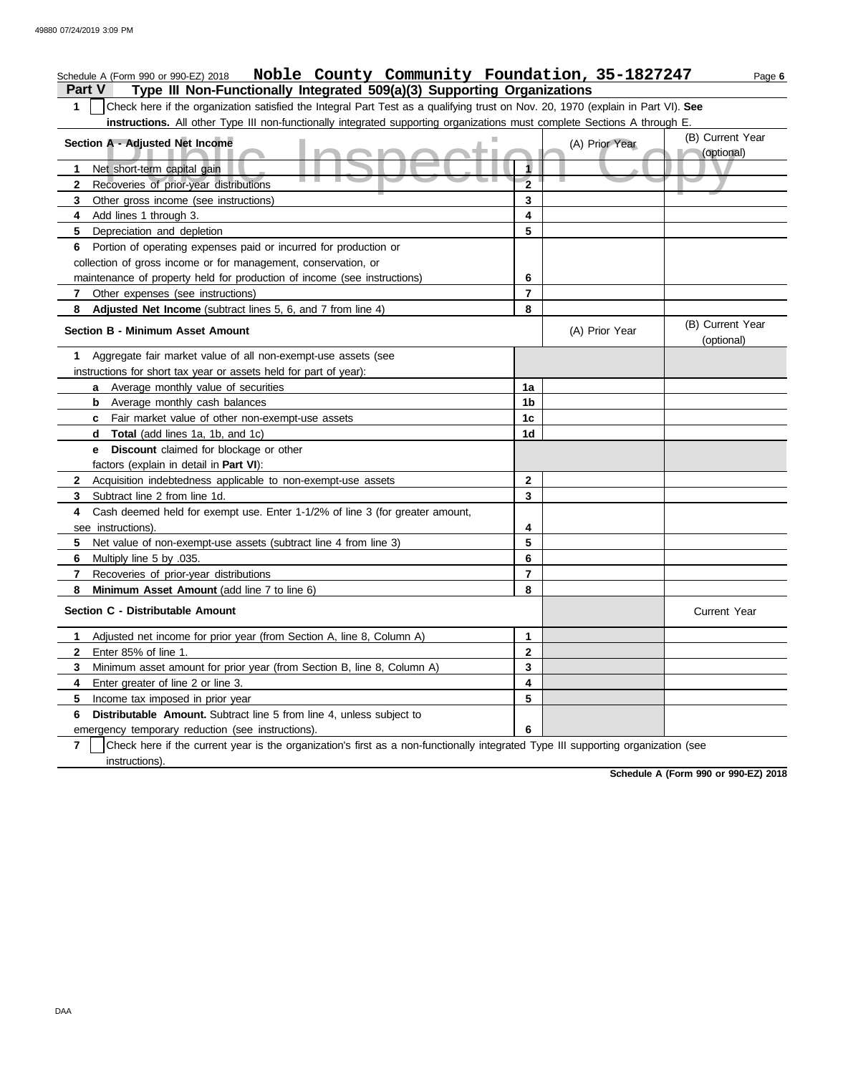## **Part V Type III Non-Functionally Integrated 509(a)(3) Supporting Organizations** Schedule A (Form 990 or 990-EZ) 2018 Page **6 Noble County Community Foundation, 35-1827247 1** Check here if the organization satisfied the Integral Part Test as a qualifying trust on Nov. 20, 1970 (explain in Part VI). **See**

**instructions.** All other Type III non-functionally integrated supporting organizations must complete Sections A through E.

| Section A - Adjusted Net Income                                                                                                                     |                     | (A) Prior Year | (B) Current Year               |
|-----------------------------------------------------------------------------------------------------------------------------------------------------|---------------------|----------------|--------------------------------|
|                                                                                                                                                     | 1                   |                | (optional)                     |
| Net short-term capital gain<br>1<br>Recoveries of prior-year distributions                                                                          | $\overline{2}$      |                |                                |
| $\mathbf{2}$<br>3                                                                                                                                   | 3                   |                |                                |
| Other gross income (see instructions)<br>4                                                                                                          | 4                   |                |                                |
| Add lines 1 through 3.                                                                                                                              | 5                   |                |                                |
| 5<br>Depreciation and depletion                                                                                                                     |                     |                |                                |
| Portion of operating expenses paid or incurred for production or<br>6                                                                               |                     |                |                                |
| collection of gross income or for management, conservation, or                                                                                      |                     |                |                                |
| maintenance of property held for production of income (see instructions)                                                                            | 6<br>$\overline{7}$ |                |                                |
| $\mathbf{7}$<br>Other expenses (see instructions)                                                                                                   |                     |                |                                |
| Adjusted Net Income (subtract lines 5, 6, and 7 from line 4)<br>8                                                                                   | 8                   |                |                                |
| <b>Section B - Minimum Asset Amount</b>                                                                                                             |                     | (A) Prior Year | (B) Current Year<br>(optional) |
| Aggregate fair market value of all non-exempt-use assets (see<br>1                                                                                  |                     |                |                                |
| instructions for short tax year or assets held for part of year):                                                                                   |                     |                |                                |
| a Average monthly value of securities                                                                                                               | 1a                  |                |                                |
| <b>b</b> Average monthly cash balances                                                                                                              | 1b                  |                |                                |
| <b>c</b> Fair market value of other non-exempt-use assets                                                                                           | 1c                  |                |                                |
| <b>d Total</b> (add lines 1a, 1b, and 1c)                                                                                                           | 1 <sub>d</sub>      |                |                                |
| Discount claimed for blockage or other<br>e –                                                                                                       |                     |                |                                |
| factors (explain in detail in Part VI):                                                                                                             |                     |                |                                |
| $\mathbf{2}$<br>Acquisition indebtedness applicable to non-exempt-use assets                                                                        | $\mathbf{2}$        |                |                                |
| 3<br>Subtract line 2 from line 1d.                                                                                                                  | 3                   |                |                                |
| Cash deemed held for exempt use. Enter 1-1/2% of line 3 (for greater amount,<br>4                                                                   |                     |                |                                |
| see instructions).                                                                                                                                  | 4                   |                |                                |
| 5<br>Net value of non-exempt-use assets (subtract line 4 from line 3)                                                                               | 5                   |                |                                |
| 6.<br>Multiply line 5 by .035.                                                                                                                      | 6                   |                |                                |
| 7<br>Recoveries of prior-year distributions                                                                                                         | $\overline{7}$      |                |                                |
| 8<br>Minimum Asset Amount (add line 7 to line 6)                                                                                                    | 8                   |                |                                |
| Section C - Distributable Amount                                                                                                                    |                     |                | <b>Current Year</b>            |
| Adjusted net income for prior year (from Section A, line 8, Column A)<br>1.                                                                         | 1                   |                |                                |
| $\mathbf{2}$<br>Enter 85% of line 1.                                                                                                                | $\mathbf 2$         |                |                                |
| Minimum asset amount for prior year (from Section B, line 8, Column A)<br>3                                                                         | 3                   |                |                                |
| 4<br>Enter greater of line 2 or line 3.                                                                                                             | 4                   |                |                                |
| 5<br>Income tax imposed in prior year                                                                                                               | 5                   |                |                                |
| <b>Distributable Amount.</b> Subtract line 5 from line 4, unless subject to<br>6                                                                    |                     |                |                                |
| emergency temporary reduction (see instructions).                                                                                                   | 6                   |                |                                |
| $\overline{7}$<br>Check here if the current year is the organization's first as a non-functionally integrated Type III supporting organization (see |                     |                |                                |
| instructions).                                                                                                                                      |                     |                |                                |

**Schedule A (Form 990 or 990-EZ) 2018**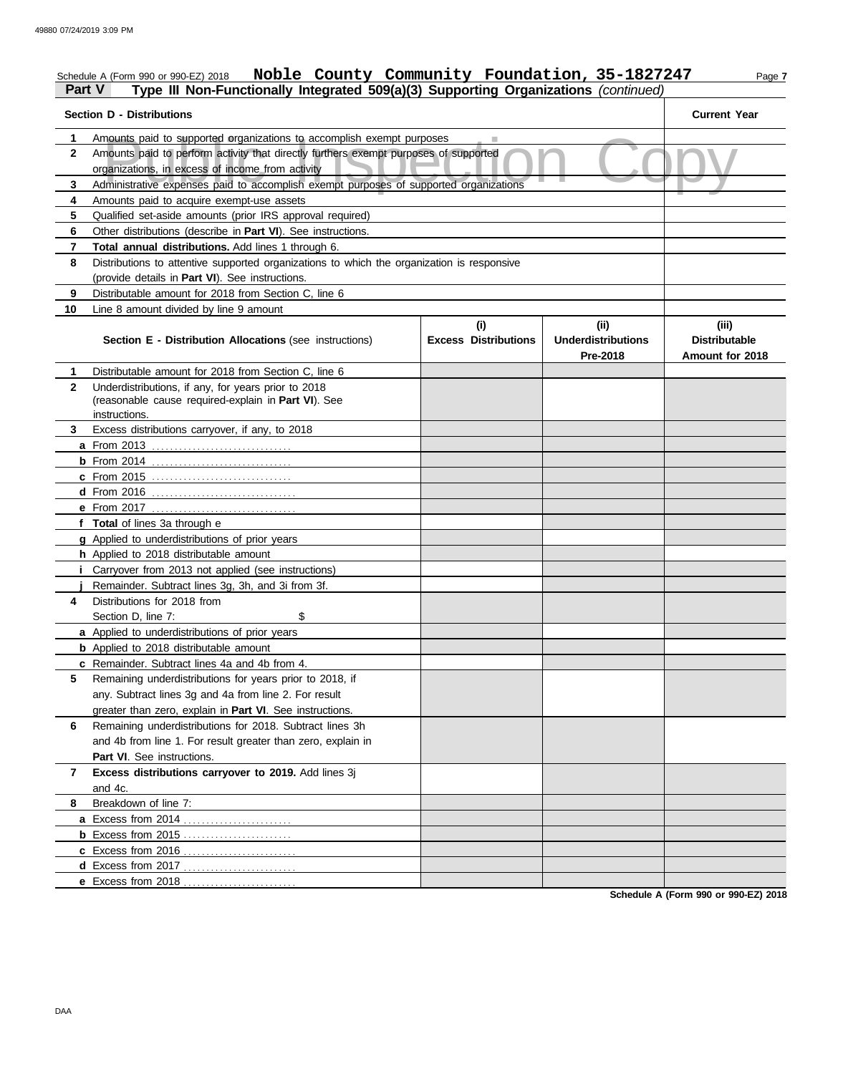#### Schedule A (Form 990 or 990-EZ) 2018 Page **7 Noble County Community Foundation, 35-1827247 Part V Type III Non-Functionally Integrated 509(a)(3) Supporting Organizations** *(continued)*

| <b>Section D - Distributions</b> |                                                                                            | <b>Current Year</b>         |                           |                      |
|----------------------------------|--------------------------------------------------------------------------------------------|-----------------------------|---------------------------|----------------------|
| 1.                               | Amounts paid to supported organizations to accomplish exempt purposes                      |                             |                           |                      |
| $\mathbf{2}$                     | Amounts paid to perform activity that directly furthers exempt purposes of supported       |                             |                           |                      |
|                                  | organizations, in excess of income from activity                                           |                             |                           |                      |
| 3                                | Administrative expenses paid to accomplish exempt purposes of supported organizations      |                             |                           |                      |
| 4                                | Amounts paid to acquire exempt-use assets                                                  |                             |                           |                      |
| 5                                | Qualified set-aside amounts (prior IRS approval required)                                  |                             |                           |                      |
| 6                                | Other distributions (describe in <b>Part VI</b> ). See instructions.                       |                             |                           |                      |
| 7                                | Total annual distributions. Add lines 1 through 6.                                         |                             |                           |                      |
| 8                                | Distributions to attentive supported organizations to which the organization is responsive |                             |                           |                      |
|                                  | (provide details in Part VI). See instructions.                                            |                             |                           |                      |
| 9                                | Distributable amount for 2018 from Section C, line 6                                       |                             |                           |                      |
| 10                               | Line 8 amount divided by line 9 amount                                                     |                             |                           |                      |
|                                  |                                                                                            | (i)                         | (ii)                      | (iii)                |
|                                  | <b>Section E - Distribution Allocations (see instructions)</b>                             | <b>Excess Distributions</b> | <b>Underdistributions</b> | <b>Distributable</b> |
|                                  |                                                                                            |                             | Pre-2018                  | Amount for 2018      |
| 1                                | Distributable amount for 2018 from Section C, line 6                                       |                             |                           |                      |
| $\mathbf{2}$                     | Underdistributions, if any, for years prior to 2018                                        |                             |                           |                      |
|                                  | (reasonable cause required-explain in Part VI). See                                        |                             |                           |                      |
|                                  | instructions.                                                                              |                             |                           |                      |
| 3.                               | Excess distributions carryover, if any, to 2018                                            |                             |                           |                      |
|                                  |                                                                                            |                             |                           |                      |
|                                  |                                                                                            |                             |                           |                      |
|                                  | <b>c</b> From 2015                                                                         |                             |                           |                      |
|                                  |                                                                                            |                             |                           |                      |
|                                  | e From 2017                                                                                |                             |                           |                      |
|                                  | f Total of lines 3a through e                                                              |                             |                           |                      |
|                                  | g Applied to underdistributions of prior years                                             |                             |                           |                      |
|                                  | h Applied to 2018 distributable amount                                                     |                             |                           |                      |
|                                  | <i>i</i> Carryover from 2013 not applied (see instructions)                                |                             |                           |                      |
|                                  | Remainder. Subtract lines 3g, 3h, and 3i from 3f.                                          |                             |                           |                      |
| 4                                | Distributions for 2018 from                                                                |                             |                           |                      |
|                                  | \$<br>Section D. line 7:                                                                   |                             |                           |                      |
|                                  | a Applied to underdistributions of prior years                                             |                             |                           |                      |
|                                  | <b>b</b> Applied to 2018 distributable amount                                              |                             |                           |                      |
|                                  | c Remainder. Subtract lines 4a and 4b from 4.                                              |                             |                           |                      |
|                                  | Remaining underdistributions for years prior to 2018, if                                   |                             |                           |                      |
|                                  | any. Subtract lines 3g and 4a from line 2. For result                                      |                             |                           |                      |
|                                  | greater than zero, explain in Part VI. See instructions.                                   |                             |                           |                      |
| 6                                | Remaining underdistributions for 2018. Subtract lines 3h                                   |                             |                           |                      |
|                                  | and 4b from line 1. For result greater than zero, explain in                               |                             |                           |                      |
|                                  | Part VI. See instructions.                                                                 |                             |                           |                      |
| 7                                | Excess distributions carryover to 2019. Add lines 3j                                       |                             |                           |                      |
|                                  | and 4c.                                                                                    |                             |                           |                      |
| 8                                | Breakdown of line 7:                                                                       |                             |                           |                      |
|                                  |                                                                                            |                             |                           |                      |
|                                  | <b>b</b> Excess from 2015                                                                  |                             |                           |                      |
|                                  |                                                                                            |                             |                           |                      |
|                                  |                                                                                            |                             |                           |                      |
|                                  | e Excess from 2018                                                                         |                             |                           |                      |

**Schedule A (Form 990 or 990-EZ) 2018**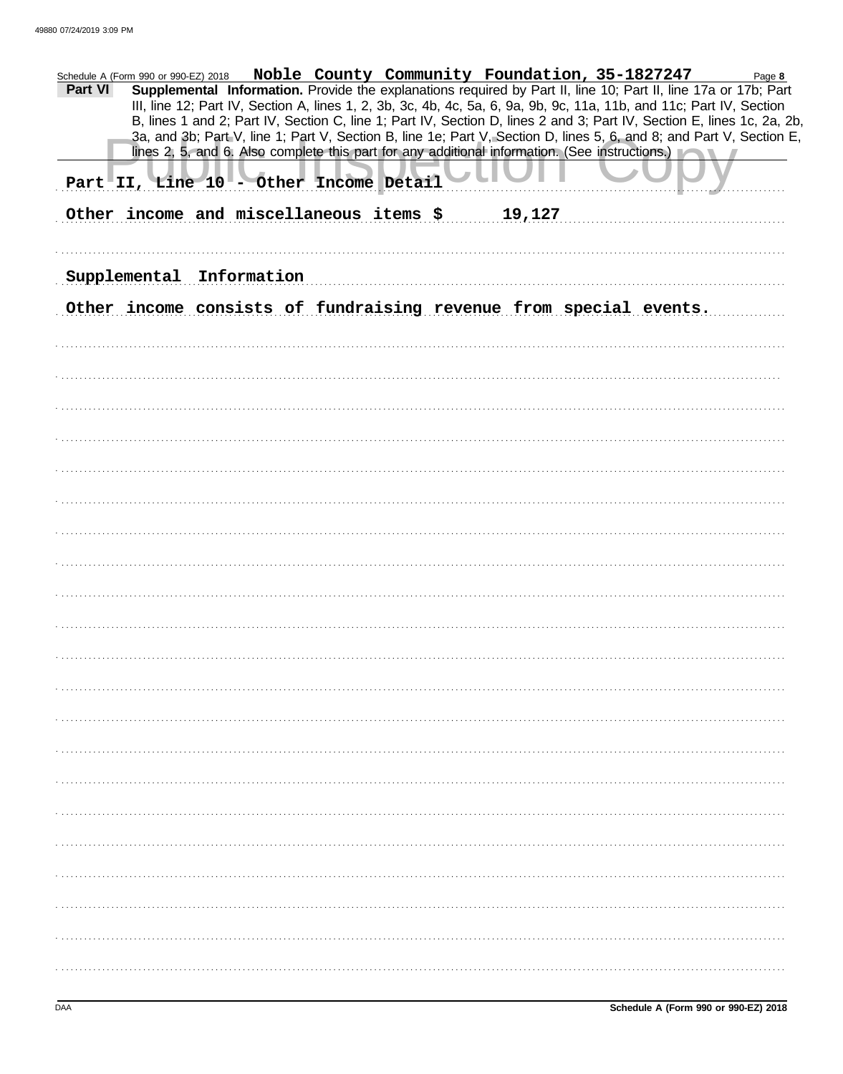| Noble County Community Foundation, 35-1827247<br>Schedule A (Form 990 or 990-EZ) 2018<br>Page 8<br>Supplemental Information. Provide the explanations required by Part II, line 10; Part II, line 17a or 17b; Part<br>Part VI<br>III, line 12; Part IV, Section A, lines 1, 2, 3b, 3c, 4b, 4c, 5a, 6, 9a, 9b, 9c, 11a, 11b, and 11c; Part IV, Section<br>B, lines 1 and 2; Part IV, Section C, line 1; Part IV, Section D, lines 2 and 3; Part IV, Section E, lines 1c, 2a, 2b,<br>3a, and 3b; Part V, line 1; Part V, Section B, line 1e; Part V, Section D, lines 5, 6, and 8; and Part V, Section E,<br>lines 2, 5, and 6. Also complete this part for any additional information. (See instructions.)<br>Part II, Line 10 - Other Income Detail<br>Other income and miscellaneous items \$<br>19,127 |
|----------------------------------------------------------------------------------------------------------------------------------------------------------------------------------------------------------------------------------------------------------------------------------------------------------------------------------------------------------------------------------------------------------------------------------------------------------------------------------------------------------------------------------------------------------------------------------------------------------------------------------------------------------------------------------------------------------------------------------------------------------------------------------------------------------|
|                                                                                                                                                                                                                                                                                                                                                                                                                                                                                                                                                                                                                                                                                                                                                                                                          |
| Supplemental Information                                                                                                                                                                                                                                                                                                                                                                                                                                                                                                                                                                                                                                                                                                                                                                                 |
| Other income consists of fundraising revenue from special events.                                                                                                                                                                                                                                                                                                                                                                                                                                                                                                                                                                                                                                                                                                                                        |
|                                                                                                                                                                                                                                                                                                                                                                                                                                                                                                                                                                                                                                                                                                                                                                                                          |
|                                                                                                                                                                                                                                                                                                                                                                                                                                                                                                                                                                                                                                                                                                                                                                                                          |
|                                                                                                                                                                                                                                                                                                                                                                                                                                                                                                                                                                                                                                                                                                                                                                                                          |
|                                                                                                                                                                                                                                                                                                                                                                                                                                                                                                                                                                                                                                                                                                                                                                                                          |
|                                                                                                                                                                                                                                                                                                                                                                                                                                                                                                                                                                                                                                                                                                                                                                                                          |
|                                                                                                                                                                                                                                                                                                                                                                                                                                                                                                                                                                                                                                                                                                                                                                                                          |
|                                                                                                                                                                                                                                                                                                                                                                                                                                                                                                                                                                                                                                                                                                                                                                                                          |
|                                                                                                                                                                                                                                                                                                                                                                                                                                                                                                                                                                                                                                                                                                                                                                                                          |
|                                                                                                                                                                                                                                                                                                                                                                                                                                                                                                                                                                                                                                                                                                                                                                                                          |
|                                                                                                                                                                                                                                                                                                                                                                                                                                                                                                                                                                                                                                                                                                                                                                                                          |
|                                                                                                                                                                                                                                                                                                                                                                                                                                                                                                                                                                                                                                                                                                                                                                                                          |
|                                                                                                                                                                                                                                                                                                                                                                                                                                                                                                                                                                                                                                                                                                                                                                                                          |
|                                                                                                                                                                                                                                                                                                                                                                                                                                                                                                                                                                                                                                                                                                                                                                                                          |
|                                                                                                                                                                                                                                                                                                                                                                                                                                                                                                                                                                                                                                                                                                                                                                                                          |
|                                                                                                                                                                                                                                                                                                                                                                                                                                                                                                                                                                                                                                                                                                                                                                                                          |
|                                                                                                                                                                                                                                                                                                                                                                                                                                                                                                                                                                                                                                                                                                                                                                                                          |
|                                                                                                                                                                                                                                                                                                                                                                                                                                                                                                                                                                                                                                                                                                                                                                                                          |
|                                                                                                                                                                                                                                                                                                                                                                                                                                                                                                                                                                                                                                                                                                                                                                                                          |
|                                                                                                                                                                                                                                                                                                                                                                                                                                                                                                                                                                                                                                                                                                                                                                                                          |
|                                                                                                                                                                                                                                                                                                                                                                                                                                                                                                                                                                                                                                                                                                                                                                                                          |
|                                                                                                                                                                                                                                                                                                                                                                                                                                                                                                                                                                                                                                                                                                                                                                                                          |
|                                                                                                                                                                                                                                                                                                                                                                                                                                                                                                                                                                                                                                                                                                                                                                                                          |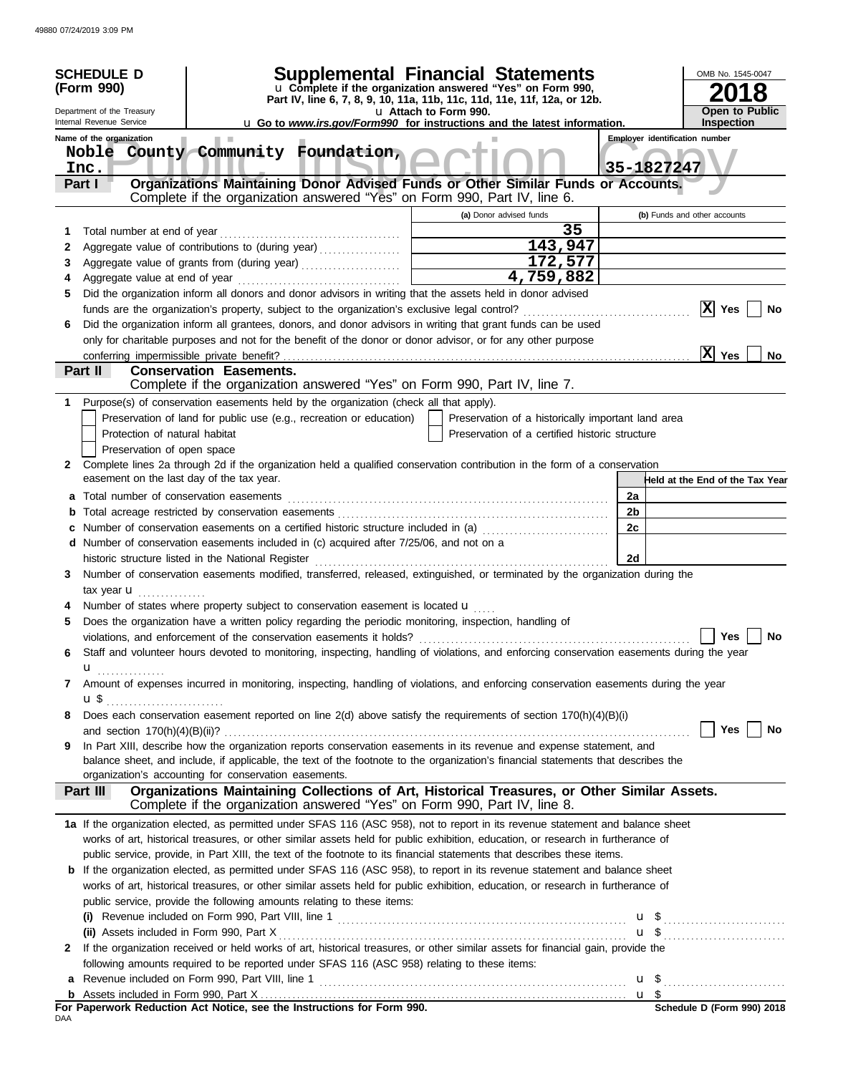|     | <b>SCHEDULE D</b><br>(Form 990)                      |                                                                                                                                                                | <b>Supplemental Financial Statements</b><br>u Complete if the organization answered "Yes" on Form 990,<br>Part IV, line 6, 7, 8, 9, 10, 11a, 11b, 11c, 11d, 11e, 11f, 12a, or 12b. |    | OMB No. 1545-0047<br>18                             |
|-----|------------------------------------------------------|----------------------------------------------------------------------------------------------------------------------------------------------------------------|------------------------------------------------------------------------------------------------------------------------------------------------------------------------------------|----|-----------------------------------------------------|
|     | Department of the Treasury                           |                                                                                                                                                                | u Attach to Form 990.                                                                                                                                                              |    | <b>Open to Public</b>                               |
|     | Internal Revenue Service<br>Name of the organization |                                                                                                                                                                | <b>u</b> Go to <i>www.irs.gov/Form990</i> for instructions and the latest information.                                                                                             |    | Inspection                                          |
|     | Noble<br>Inc.                                        | County Community Foundation,                                                                                                                                   |                                                                                                                                                                                    |    | <b>Employer identification number</b><br>35-1827247 |
|     | Part I                                               | Organizations Maintaining Donor Advised Funds or Other Similar Funds or Accounts.<br>Complete if the organization answered "Yes" on Form 990, Part IV, line 6. |                                                                                                                                                                                    |    |                                                     |
|     |                                                      |                                                                                                                                                                | (a) Donor advised funds                                                                                                                                                            |    | (b) Funds and other accounts                        |
| 1   | Total number at end of year                          |                                                                                                                                                                | 35                                                                                                                                                                                 |    |                                                     |
| 2   |                                                      | Aggregate value of contributions to (during year)                                                                                                              | 143,947                                                                                                                                                                            |    |                                                     |
| 3   |                                                      |                                                                                                                                                                | 172,577                                                                                                                                                                            |    |                                                     |
|     |                                                      |                                                                                                                                                                | 4,759,882                                                                                                                                                                          |    |                                                     |
| 5   |                                                      | Did the organization inform all donors and donor advisors in writing that the assets held in donor advised                                                     |                                                                                                                                                                                    |    |                                                     |
|     |                                                      |                                                                                                                                                                |                                                                                                                                                                                    |    | x <br>Yes<br>No                                     |
| 6   |                                                      | Did the organization inform all grantees, donors, and donor advisors in writing that grant funds can be used                                                   |                                                                                                                                                                                    |    |                                                     |
|     |                                                      | only for charitable purposes and not for the benefit of the donor or donor advisor, or for any other purpose                                                   |                                                                                                                                                                                    |    |                                                     |
|     | conferring impermissible private benefit?            |                                                                                                                                                                |                                                                                                                                                                                    |    | X <br>Yes<br>No                                     |
|     | Part II                                              | <b>Conservation Easements.</b>                                                                                                                                 |                                                                                                                                                                                    |    |                                                     |
|     |                                                      | Complete if the organization answered "Yes" on Form 990, Part IV, line 7.                                                                                      |                                                                                                                                                                                    |    |                                                     |
|     |                                                      | Purpose(s) of conservation easements held by the organization (check all that apply).                                                                          |                                                                                                                                                                                    |    |                                                     |
|     |                                                      | Preservation of land for public use (e.g., recreation or education)                                                                                            | Preservation of a historically important land area                                                                                                                                 |    |                                                     |
|     | Protection of natural habitat                        |                                                                                                                                                                | Preservation of a certified historic structure                                                                                                                                     |    |                                                     |
|     | Preservation of open space                           |                                                                                                                                                                |                                                                                                                                                                                    |    |                                                     |
| 2   |                                                      | Complete lines 2a through 2d if the organization held a qualified conservation contribution in the form of a conservation                                      |                                                                                                                                                                                    |    |                                                     |
|     | easement on the last day of the tax year.            |                                                                                                                                                                |                                                                                                                                                                                    |    | Held at the End of the Tax Year                     |
| а   | Total number of conservation easements               |                                                                                                                                                                |                                                                                                                                                                                    | 2a |                                                     |
| b   |                                                      |                                                                                                                                                                |                                                                                                                                                                                    | 2b |                                                     |
|     |                                                      | Number of conservation easements on a certified historic structure included in (a)                                                                             |                                                                                                                                                                                    | 2c |                                                     |
|     |                                                      | d Number of conservation easements included in (c) acquired after 7/25/06, and not on a                                                                        |                                                                                                                                                                                    |    |                                                     |
|     |                                                      | historic structure listed in the National Register                                                                                                             |                                                                                                                                                                                    | 2d |                                                     |
| 3   |                                                      | Number of conservation easements modified, transferred, released, extinguished, or terminated by the organization during the                                   |                                                                                                                                                                                    |    |                                                     |
|     | tax year <b>u</b>                                    |                                                                                                                                                                |                                                                                                                                                                                    |    |                                                     |
|     |                                                      | Number of states where property subject to conservation easement is located u                                                                                  |                                                                                                                                                                                    |    |                                                     |
| 5   |                                                      | Does the organization have a written policy regarding the periodic monitoring, inspection, handling of                                                         |                                                                                                                                                                                    |    |                                                     |
|     |                                                      | violations, and enforcement of the conservation easements it holds?                                                                                            |                                                                                                                                                                                    |    | Yes<br><b>No</b>                                    |
| 6   |                                                      | Staff and volunteer hours devoted to monitoring, inspecting, handling of violations, and enforcing conservation easements during the year                      |                                                                                                                                                                                    |    |                                                     |
|     | u                                                    |                                                                                                                                                                |                                                                                                                                                                                    |    |                                                     |
| 7   |                                                      | Amount of expenses incurred in monitoring, inspecting, handling of violations, and enforcing conservation easements during the year                            |                                                                                                                                                                                    |    |                                                     |
|     | $\mathbf{u} \, \mathbf{\$}$                          |                                                                                                                                                                |                                                                                                                                                                                    |    |                                                     |
| 8   |                                                      | Does each conservation easement reported on line 2(d) above satisfy the requirements of section 170(h)(4)(B)(i)                                                |                                                                                                                                                                                    |    |                                                     |
|     |                                                      |                                                                                                                                                                |                                                                                                                                                                                    |    | Yes<br>No                                           |
| 9   |                                                      | In Part XIII, describe how the organization reports conservation easements in its revenue and expense statement, and                                           |                                                                                                                                                                                    |    |                                                     |
|     |                                                      | balance sheet, and include, if applicable, the text of the footnote to the organization's financial statements that describes the                              |                                                                                                                                                                                    |    |                                                     |
|     |                                                      | organization's accounting for conservation easements.                                                                                                          |                                                                                                                                                                                    |    |                                                     |
|     | Part III                                             | Organizations Maintaining Collections of Art, Historical Treasures, or Other Similar Assets.                                                                   |                                                                                                                                                                                    |    |                                                     |
|     |                                                      | Complete if the organization answered "Yes" on Form 990, Part IV, line 8.                                                                                      |                                                                                                                                                                                    |    |                                                     |
|     |                                                      | 1a If the organization elected, as permitted under SFAS 116 (ASC 958), not to report in its revenue statement and balance sheet                                |                                                                                                                                                                                    |    |                                                     |
|     |                                                      | works of art, historical treasures, or other similar assets held for public exhibition, education, or research in furtherance of                               |                                                                                                                                                                                    |    |                                                     |
|     |                                                      | public service, provide, in Part XIII, the text of the footnote to its financial statements that describes these items.                                        |                                                                                                                                                                                    |    |                                                     |
| b   |                                                      | If the organization elected, as permitted under SFAS 116 (ASC 958), to report in its revenue statement and balance sheet                                       |                                                                                                                                                                                    |    |                                                     |
|     |                                                      | works of art, historical treasures, or other similar assets held for public exhibition, education, or research in furtherance of                               |                                                                                                                                                                                    |    |                                                     |
|     |                                                      | public service, provide the following amounts relating to these items:                                                                                         |                                                                                                                                                                                    |    |                                                     |
|     |                                                      |                                                                                                                                                                |                                                                                                                                                                                    |    |                                                     |
|     |                                                      |                                                                                                                                                                |                                                                                                                                                                                    |    | $u$ \$                                              |
| 2   |                                                      | If the organization received or held works of art, historical treasures, or other similar assets for financial gain, provide the                               |                                                                                                                                                                                    |    |                                                     |
|     |                                                      | following amounts required to be reported under SFAS 116 (ASC 958) relating to these items:                                                                    |                                                                                                                                                                                    |    |                                                     |
| a   |                                                      |                                                                                                                                                                |                                                                                                                                                                                    |    |                                                     |
|     |                                                      |                                                                                                                                                                |                                                                                                                                                                                    |    |                                                     |
|     |                                                      | For Paperwork Reduction Act Notice, see the Instructions for Form 990.                                                                                         |                                                                                                                                                                                    |    | Schedule D (Form 990) 2018                          |
| DAA |                                                      |                                                                                                                                                                |                                                                                                                                                                                    |    |                                                     |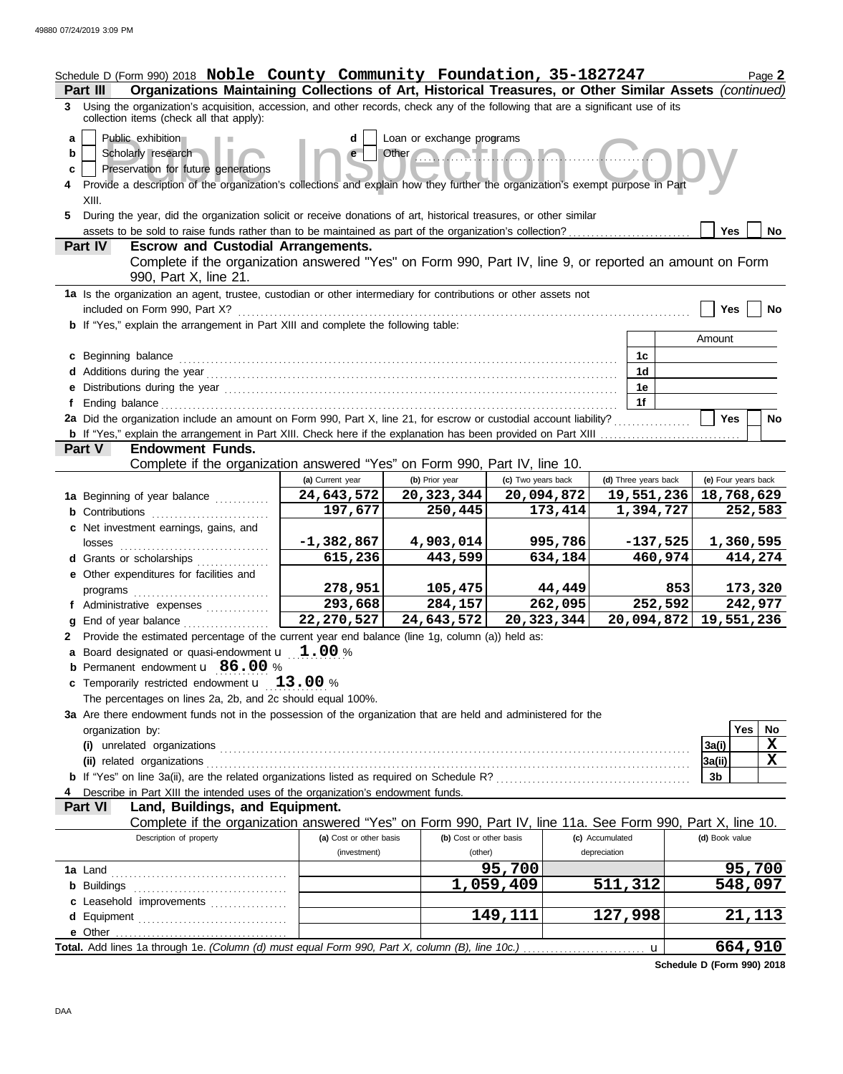|                   | Schedule D (Form 990) 2018 Noble County Community Foundation, 35-1827247<br>Organizations Maintaining Collections of Art, Historical Treasures, or Other Similar Assets (continued)<br>Part III                                                                                                                                                                                                |                                         |                                    |                    |                                 | Page 2              |  |  |  |  |  |  |
|-------------------|------------------------------------------------------------------------------------------------------------------------------------------------------------------------------------------------------------------------------------------------------------------------------------------------------------------------------------------------------------------------------------------------|-----------------------------------------|------------------------------------|--------------------|---------------------------------|---------------------|--|--|--|--|--|--|
|                   | 3 Using the organization's acquisition, accession, and other records, check any of the following that are a significant use of its<br>collection items (check all that apply):                                                                                                                                                                                                                 |                                         |                                    |                    |                                 |                     |  |  |  |  |  |  |
| a<br>b<br>c<br>5. | Loan or exchange programs<br>Public exhibition<br>d<br>Scholarly research<br>Other<br>e<br>Preservation for future generations<br>Provide a description of the organization's collections and explain how they further the organization's exempt purpose in Part<br>XIII.<br>During the year, did the organization solicit or receive donations of art, historical treasures, or other similar |                                         |                                    |                    |                                 |                     |  |  |  |  |  |  |
|                   |                                                                                                                                                                                                                                                                                                                                                                                                |                                         |                                    |                    |                                 | <b>Yes</b><br>No.   |  |  |  |  |  |  |
|                   | <b>Escrow and Custodial Arrangements.</b><br>Part IV                                                                                                                                                                                                                                                                                                                                           |                                         |                                    |                    |                                 |                     |  |  |  |  |  |  |
|                   | Complete if the organization answered "Yes" on Form 990, Part IV, line 9, or reported an amount on Form<br>990, Part X, line 21.                                                                                                                                                                                                                                                               |                                         |                                    |                    |                                 |                     |  |  |  |  |  |  |
|                   | 1a Is the organization an agent, trustee, custodian or other intermediary for contributions or other assets not<br>included on Form 990, Part X?                                                                                                                                                                                                                                               |                                         |                                    |                    |                                 | Yes<br>No           |  |  |  |  |  |  |
|                   | b If "Yes," explain the arrangement in Part XIII and complete the following table:                                                                                                                                                                                                                                                                                                             |                                         |                                    |                    |                                 |                     |  |  |  |  |  |  |
|                   |                                                                                                                                                                                                                                                                                                                                                                                                |                                         |                                    |                    |                                 | Amount              |  |  |  |  |  |  |
|                   | c Beginning balance                                                                                                                                                                                                                                                                                                                                                                            |                                         |                                    |                    | 1c                              |                     |  |  |  |  |  |  |
|                   |                                                                                                                                                                                                                                                                                                                                                                                                |                                         |                                    |                    | 1 <sub>d</sub>                  |                     |  |  |  |  |  |  |
|                   | e Distributions during the year manufactured and contact the year manufactured was during the year manufactured was determined as a set of the set of the set of the set of the set of the set of the set of the set of the se                                                                                                                                                                 |                                         |                                    |                    | 1e                              |                     |  |  |  |  |  |  |
|                   | 2a Did the organization include an amount on Form 990, Part X, line 21, for escrow or custodial account liability?                                                                                                                                                                                                                                                                             |                                         |                                    |                    | 1f                              | <b>Yes</b><br>No    |  |  |  |  |  |  |
|                   |                                                                                                                                                                                                                                                                                                                                                                                                |                                         |                                    |                    |                                 |                     |  |  |  |  |  |  |
|                   | <b>Endowment Funds.</b><br>Part V                                                                                                                                                                                                                                                                                                                                                              |                                         |                                    |                    |                                 |                     |  |  |  |  |  |  |
|                   | Complete if the organization answered "Yes" on Form 990, Part IV, line 10.                                                                                                                                                                                                                                                                                                                     |                                         |                                    |                    |                                 |                     |  |  |  |  |  |  |
|                   |                                                                                                                                                                                                                                                                                                                                                                                                | (a) Current year                        | (b) Prior year                     | (c) Two years back | (d) Three years back            | (e) Four years back |  |  |  |  |  |  |
|                   | 1a Beginning of year balance                                                                                                                                                                                                                                                                                                                                                                   | 24,643,572                              | 20,323,344                         | 20,094,872         | 19,551,236                      | 18,768,629          |  |  |  |  |  |  |
|                   | <b>b</b> Contributions                                                                                                                                                                                                                                                                                                                                                                         | 197,677                                 | 250,445                            | 173,414            | 1,394,727                       | 252,583             |  |  |  |  |  |  |
|                   | c Net investment earnings, gains, and<br>losses                                                                                                                                                                                                                                                                                                                                                | $-1,382,867$                            | 4,903,014                          | 995,786            | $-137,525$                      | 1,360,595           |  |  |  |  |  |  |
|                   | <b>d</b> Grants or scholarships                                                                                                                                                                                                                                                                                                                                                                | 615,236                                 | 443,599                            | 634,184            | 460,974                         | 414,274             |  |  |  |  |  |  |
|                   | e Other expenditures for facilities and<br>programs                                                                                                                                                                                                                                                                                                                                            | 278,951                                 | 105,475                            | 44,449             |                                 | 853<br>173,320      |  |  |  |  |  |  |
|                   | f Administrative expenses                                                                                                                                                                                                                                                                                                                                                                      | 293,668                                 | 284,157                            | 262,095            | 252,592                         | 242,977             |  |  |  |  |  |  |
|                   | g End of year balance                                                                                                                                                                                                                                                                                                                                                                          | 22,270,527                              | 24,643,572                         | 20,323,344         | 20,094,872                      | 19,551,236          |  |  |  |  |  |  |
|                   | 2 Provide the estimated percentage of the current year end balance (line 1g, column (a)) held as:                                                                                                                                                                                                                                                                                              |                                         |                                    |                    |                                 |                     |  |  |  |  |  |  |
|                   | <b>a</b> Board designated or quasi-endowment $\mathbf{u}$ $\mathbf{1.00}$ %                                                                                                                                                                                                                                                                                                                    |                                         |                                    |                    |                                 |                     |  |  |  |  |  |  |
|                   | <b>b</b> Permanent endowment <b>u</b> 86.00 %                                                                                                                                                                                                                                                                                                                                                  |                                         |                                    |                    |                                 |                     |  |  |  |  |  |  |
|                   | c Temporarily restricted endowment $\mathbf{u}$ 13.00 %                                                                                                                                                                                                                                                                                                                                        |                                         |                                    |                    |                                 |                     |  |  |  |  |  |  |
|                   | The percentages on lines 2a, 2b, and 2c should equal 100%.                                                                                                                                                                                                                                                                                                                                     |                                         |                                    |                    |                                 |                     |  |  |  |  |  |  |
|                   | 3a Are there endowment funds not in the possession of the organization that are held and administered for the<br>organization by:                                                                                                                                                                                                                                                              |                                         |                                    |                    |                                 | Yes<br>No.          |  |  |  |  |  |  |
|                   |                                                                                                                                                                                                                                                                                                                                                                                                |                                         |                                    |                    |                                 | X<br>3a(i)          |  |  |  |  |  |  |
|                   | (ii) related organizations                                                                                                                                                                                                                                                                                                                                                                     |                                         |                                    |                    |                                 | X<br>3a(ii)         |  |  |  |  |  |  |
|                   |                                                                                                                                                                                                                                                                                                                                                                                                |                                         |                                    |                    |                                 | 3 <sub>b</sub>      |  |  |  |  |  |  |
|                   | Describe in Part XIII the intended uses of the organization's endowment funds.                                                                                                                                                                                                                                                                                                                 |                                         |                                    |                    |                                 |                     |  |  |  |  |  |  |
|                   | Part VI<br>Land, Buildings, and Equipment.                                                                                                                                                                                                                                                                                                                                                     |                                         |                                    |                    |                                 |                     |  |  |  |  |  |  |
|                   | Complete if the organization answered "Yes" on Form 990, Part IV, line 11a. See Form 990, Part X, line 10.                                                                                                                                                                                                                                                                                     |                                         |                                    |                    |                                 |                     |  |  |  |  |  |  |
|                   | Description of property                                                                                                                                                                                                                                                                                                                                                                        | (a) Cost or other basis<br>(investment) | (b) Cost or other basis<br>(other) |                    | (c) Accumulated<br>depreciation | (d) Book value      |  |  |  |  |  |  |
|                   |                                                                                                                                                                                                                                                                                                                                                                                                |                                         |                                    | 95,700             |                                 | 95,700              |  |  |  |  |  |  |
|                   |                                                                                                                                                                                                                                                                                                                                                                                                |                                         |                                    | 1,059,409          | 511,312                         | 548,097             |  |  |  |  |  |  |
|                   | c Leasehold improvements                                                                                                                                                                                                                                                                                                                                                                       |                                         |                                    |                    |                                 |                     |  |  |  |  |  |  |
|                   |                                                                                                                                                                                                                                                                                                                                                                                                |                                         |                                    | 149,111            | 127,998                         | 21,113              |  |  |  |  |  |  |
|                   |                                                                                                                                                                                                                                                                                                                                                                                                |                                         |                                    |                    |                                 |                     |  |  |  |  |  |  |
|                   |                                                                                                                                                                                                                                                                                                                                                                                                |                                         |                                    |                    | $\mathbf u$                     | 664,910             |  |  |  |  |  |  |

**Schedule D (Form 990) 2018**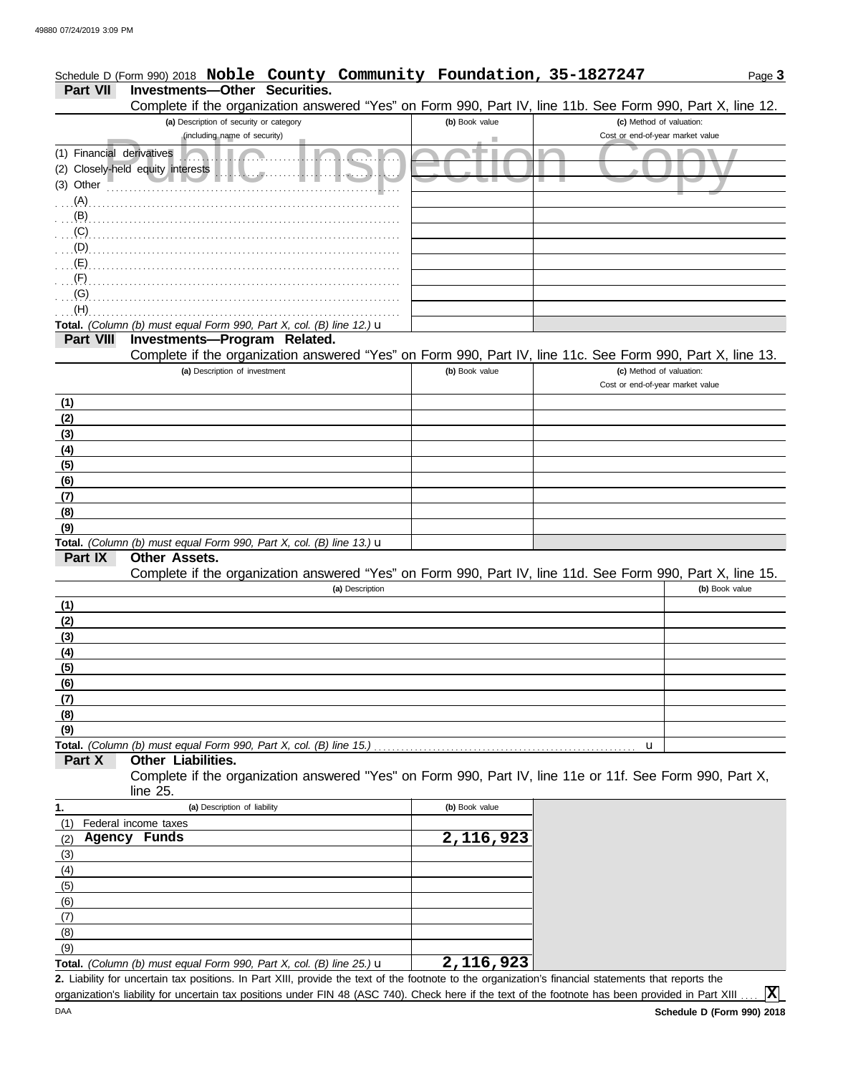# Schedule D (Form 990) 2018 Noble County Community Foundation, 35-1827247 Page 3 **Part VII Investments—Other Securities.**

Complete if the organization answered "Yes" on Form 990, Part IV, line 11b. See Form 990, Part X, line 12.

|                                        | Complete if the organization answered "Yes" on Form 990, Part IV, line 11b. See Form 990, Part X, line 12.                                           |                |                                                              |                |
|----------------------------------------|------------------------------------------------------------------------------------------------------------------------------------------------------|----------------|--------------------------------------------------------------|----------------|
|                                        | (a) Description of security or category                                                                                                              | (b) Book value | (c) Method of valuation:                                     |                |
|                                        | (including name of security)                                                                                                                         |                | Cost or end-of-year market value                             |                |
| (1) Financial derivatives<br>(3) Other | (2) Closely-held equity interests<br>11.1.11                                                                                                         |                |                                                              |                |
| $\ldots$ (A)                           |                                                                                                                                                      |                |                                                              |                |
| (B)                                    |                                                                                                                                                      |                |                                                              |                |
| (C)                                    |                                                                                                                                                      |                |                                                              |                |
| (D)                                    |                                                                                                                                                      |                |                                                              |                |
| (E)                                    |                                                                                                                                                      |                |                                                              |                |
| (F)                                    |                                                                                                                                                      |                |                                                              |                |
| (G)                                    |                                                                                                                                                      |                |                                                              |                |
| (H)                                    |                                                                                                                                                      |                |                                                              |                |
|                                        | Total. (Column (b) must equal Form 990, Part X, col. (B) line 12.) $\mathbf u$                                                                       |                |                                                              |                |
| <b>Part VIII</b>                       | Investments-Program Related.                                                                                                                         |                |                                                              |                |
|                                        | Complete if the organization answered "Yes" on Form 990, Part IV, line 11c. See Form 990, Part X, line 13.                                           |                |                                                              |                |
|                                        | (a) Description of investment                                                                                                                        | (b) Book value | (c) Method of valuation:<br>Cost or end-of-year market value |                |
| (1)                                    |                                                                                                                                                      |                |                                                              |                |
| (2)                                    |                                                                                                                                                      |                |                                                              |                |
| (3)                                    |                                                                                                                                                      |                |                                                              |                |
| (4)                                    |                                                                                                                                                      |                |                                                              |                |
| (5)                                    |                                                                                                                                                      |                |                                                              |                |
| (6)                                    |                                                                                                                                                      |                |                                                              |                |
| (7)                                    |                                                                                                                                                      |                |                                                              |                |
| (8)                                    |                                                                                                                                                      |                |                                                              |                |
| (9)                                    |                                                                                                                                                      |                |                                                              |                |
| Part IX                                | Total. (Column (b) must equal Form 990, Part X, col. (B) line 13.) u<br><b>Other Assets.</b>                                                         |                |                                                              |                |
|                                        | Complete if the organization answered "Yes" on Form 990, Part IV, line 11d. See Form 990, Part X, line 15.                                           |                |                                                              |                |
|                                        | (a) Description                                                                                                                                      |                |                                                              | (b) Book value |
| (1)                                    |                                                                                                                                                      |                |                                                              |                |
| (2)                                    |                                                                                                                                                      |                |                                                              |                |
| (3)                                    |                                                                                                                                                      |                |                                                              |                |
| (4)                                    |                                                                                                                                                      |                |                                                              |                |
| (5)                                    |                                                                                                                                                      |                |                                                              |                |
| (6)                                    |                                                                                                                                                      |                |                                                              |                |
| (7)                                    |                                                                                                                                                      |                |                                                              |                |
| (8)                                    |                                                                                                                                                      |                |                                                              |                |
| (9)                                    |                                                                                                                                                      |                |                                                              |                |
|                                        | Total. (Column (b) must equal Form 990, Part X, col. (B) line 15.)                                                                                   |                | u                                                            |                |
| Part X                                 | Other Liabilities.                                                                                                                                   |                |                                                              |                |
|                                        | Complete if the organization answered "Yes" on Form 990, Part IV, line 11e or 11f. See Form 990, Part X,                                             |                |                                                              |                |
|                                        | line 25.                                                                                                                                             |                |                                                              |                |
| 1.                                     | (a) Description of liability                                                                                                                         | (b) Book value |                                                              |                |
| (1)                                    | Federal income taxes                                                                                                                                 |                |                                                              |                |
| (2)                                    | Agency Funds                                                                                                                                         | 2,116,923      |                                                              |                |
| (3)                                    |                                                                                                                                                      |                |                                                              |                |
| (4)                                    |                                                                                                                                                      |                |                                                              |                |
| (5)                                    |                                                                                                                                                      |                |                                                              |                |
| (6)                                    |                                                                                                                                                      |                |                                                              |                |
| (7)                                    |                                                                                                                                                      |                |                                                              |                |
| (8)                                    |                                                                                                                                                      |                |                                                              |                |
| (9)                                    |                                                                                                                                                      |                |                                                              |                |
|                                        | Total. (Column (b) must equal Form 990, Part X, col. (B) line 25.) $\mathbf u$                                                                       | 2,116,923      |                                                              |                |
|                                        | 2. Liability for uncertain tax positions. In Part XIII, provide the text of the footnote to the organization's financial statements that reports the |                |                                                              |                |
|                                        | organization's liability for uncertain tax positions under FIN 48 (ASC 740). Check here if the text of the footnote has been provided in Part XIII   |                |                                                              | x              |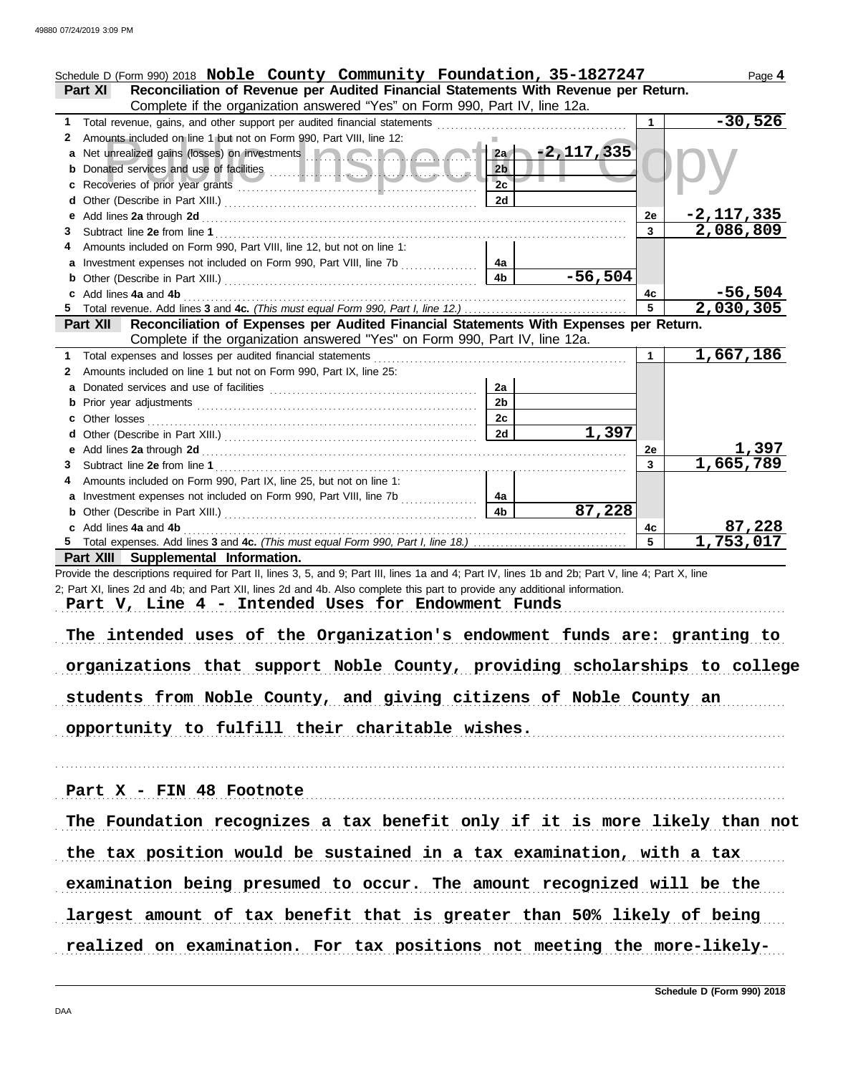| Schedule D (Form 990) 2018 Noble County Community Foundation, 35-1827247<br>Reconciliation of Revenue per Audited Financial Statements With Revenue per Return.<br><b>Part XI</b><br>Complete if the organization answered "Yes" on Form 990, Part IV, line 12a. |                |                     |           | Page 4                      |
|------------------------------------------------------------------------------------------------------------------------------------------------------------------------------------------------------------------------------------------------------------------|----------------|---------------------|-----------|-----------------------------|
| Total revenue, gains, and other support per audited financial statements<br>1                                                                                                                                                                                    |                |                     | 1         | $-30,526$                   |
|                                                                                                                                                                                                                                                                  |                |                     |           |                             |
| Amounts included on line 1 but not on Form 990, Part VIII, line 12:<br>2                                                                                                                                                                                         |                |                     |           |                             |
| a Net unrealized gains (losses) on investments                                                                                                                                                                                                                   |                | $12a - 2, 117, 335$ |           |                             |
|                                                                                                                                                                                                                                                                  | 2 <sub>b</sub> |                     |           |                             |
|                                                                                                                                                                                                                                                                  | 2c             |                     |           |                             |
|                                                                                                                                                                                                                                                                  | 2d             |                     |           |                             |
|                                                                                                                                                                                                                                                                  |                |                     | 2e        | $-2,117,335$                |
| 3                                                                                                                                                                                                                                                                |                |                     | 3         | 2,086,809                   |
| Amounts included on Form 990, Part VIII, line 12, but not on line 1:<br>4                                                                                                                                                                                        |                |                     |           |                             |
| a Investment expenses not included on Form 990, Part VIII, line 7b                                                                                                                                                                                               | 4a             |                     |           |                             |
|                                                                                                                                                                                                                                                                  | 4 <sub>b</sub> | $-56,504$           |           |                             |
| c Add lines 4a and 4b                                                                                                                                                                                                                                            |                |                     | 4с        | $-56,504$                   |
|                                                                                                                                                                                                                                                                  |                |                     | 5         | 2,030,305                   |
| Reconciliation of Expenses per Audited Financial Statements With Expenses per Return.<br><b>Part XII</b>                                                                                                                                                         |                |                     |           |                             |
| Complete if the organization answered "Yes" on Form 990, Part IV, line 12a.                                                                                                                                                                                      |                |                     |           |                             |
| Total expenses and losses per audited financial statements<br>1                                                                                                                                                                                                  |                |                     | 1         | 1,667,186                   |
| Amounts included on line 1 but not on Form 990, Part IX, line 25:<br>2                                                                                                                                                                                           |                |                     |           |                             |
|                                                                                                                                                                                                                                                                  | 2a             |                     |           |                             |
|                                                                                                                                                                                                                                                                  | 2 <sub>b</sub> |                     |           |                             |
|                                                                                                                                                                                                                                                                  | 2c             |                     |           |                             |
|                                                                                                                                                                                                                                                                  | 2d             | 1,397               |           |                             |
|                                                                                                                                                                                                                                                                  |                |                     | <b>2e</b> |                             |
| 3                                                                                                                                                                                                                                                                |                |                     | 3         | <u>1,397 ۔</u><br>1,665,789 |
| Amounts included on Form 990, Part IX, line 25, but not on line 1:<br>4                                                                                                                                                                                          |                |                     |           |                             |
| a Investment expenses not included on Form 990, Part VIII, line 7b                                                                                                                                                                                               | 4a             |                     |           |                             |
| <b>b</b> Other (Describe in Part XIII.) <b>CONSIDENT DESCRIPTION DESCRIPTION DESCRIPTION DESCRIPTION DESCRIPTION DESCRIPTION DESCRIPTION DESCRIPTION DESCRIPTION DESCRIPTION DESCRIPTION DESCRIPTION DESCRI</b>                                                  | 4 <sub>b</sub> | 87,228              |           |                             |
| c Add lines 4a and 4b                                                                                                                                                                                                                                            |                |                     | 4c        | <u>87,228</u>               |
|                                                                                                                                                                                                                                                                  |                |                     | 5         | 1,753,017                   |
| Part XIII Supplemental Information.                                                                                                                                                                                                                              |                |                     |           |                             |
| Provide the descriptions required for Part II, lines 3, 5, and 9; Part III, lines 1a and 4; Part IV, lines 1b and 2b; Part V, line 4; Part X, line                                                                                                               |                |                     |           |                             |
| 2; Part XI, lines 2d and 4b; and Part XII, lines 2d and 4b. Also complete this part to provide any additional information.                                                                                                                                       |                |                     |           |                             |
| Part V, Line 4 - Intended Uses for Endowment Funds                                                                                                                                                                                                               |                |                     |           |                             |
|                                                                                                                                                                                                                                                                  |                |                     |           |                             |
| The intended uses of the Organization's endowment funds are: granting to                                                                                                                                                                                         |                |                     |           |                             |
|                                                                                                                                                                                                                                                                  |                |                     |           |                             |
| organizations that support Noble County, providing scholarships to college                                                                                                                                                                                       |                |                     |           |                             |
|                                                                                                                                                                                                                                                                  |                |                     |           |                             |
| students from Noble County, and giving citizens of Noble County an                                                                                                                                                                                               |                |                     |           |                             |
|                                                                                                                                                                                                                                                                  |                |                     |           |                             |
| opportunity to fulfill their charitable wishes.                                                                                                                                                                                                                  |                |                     |           |                             |
|                                                                                                                                                                                                                                                                  |                |                     |           |                             |
|                                                                                                                                                                                                                                                                  |                |                     |           |                             |
|                                                                                                                                                                                                                                                                  |                |                     |           |                             |
| Part X - FIN 48 Footnote                                                                                                                                                                                                                                         |                |                     |           |                             |
|                                                                                                                                                                                                                                                                  |                |                     |           |                             |
| The Foundation recognizes a tax benefit only if it is more likely than not                                                                                                                                                                                       |                |                     |           |                             |
|                                                                                                                                                                                                                                                                  |                |                     |           |                             |
| the tax position would be sustained in a tax examination, with a tax                                                                                                                                                                                             |                |                     |           |                             |
| examination being presumed to occur. The amount recognized will be the                                                                                                                                                                                           |                |                     |           |                             |
| largest amount of tax benefit that is greater than 50% likely of being                                                                                                                                                                                           |                |                     |           |                             |
|                                                                                                                                                                                                                                                                  |                |                     |           |                             |
| realized on examination. For tax positions not meeting the more-likely-                                                                                                                                                                                          |                |                     |           |                             |
|                                                                                                                                                                                                                                                                  |                |                     |           |                             |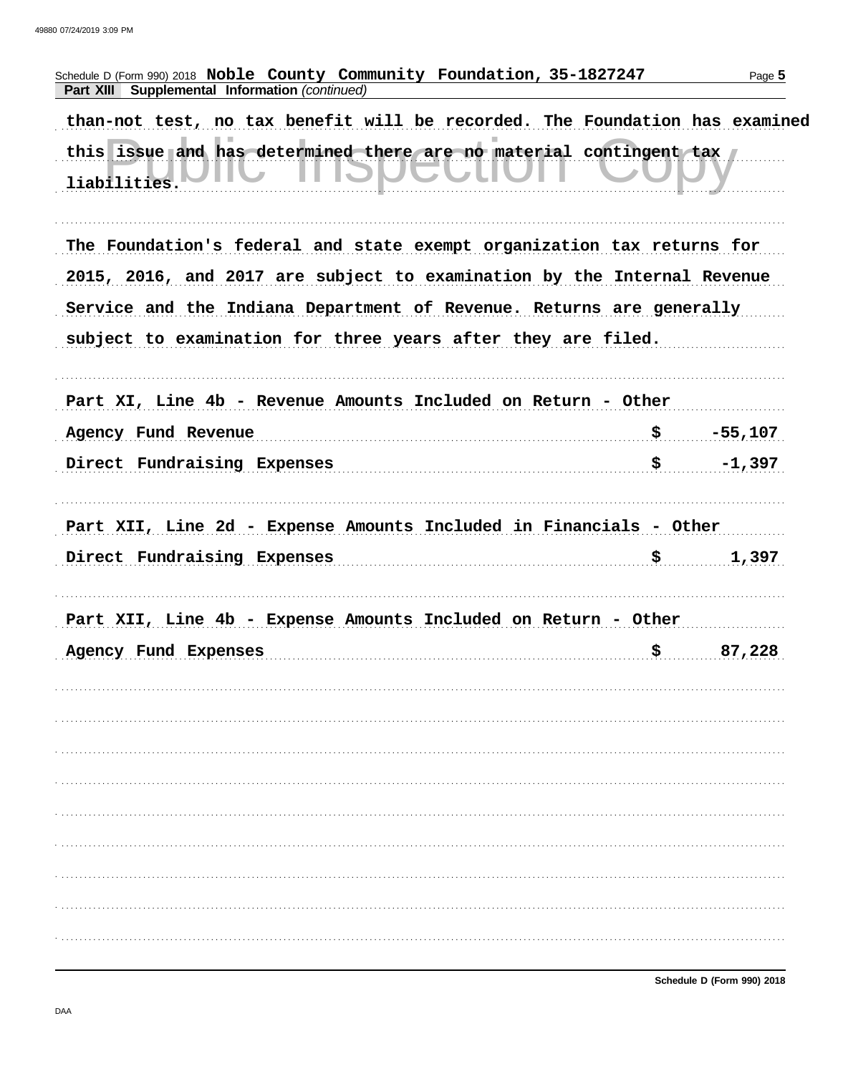| Schedule D (Form 990) 2018 Noble County Community Foundation, 35-1827247<br>Part XIII Supplemental Information (continued) | Page 5          |
|----------------------------------------------------------------------------------------------------------------------------|-----------------|
| than-not test, no tax benefit will be recorded. The Foundation has examined                                                |                 |
| this issue and has determined there are no material contingent tax<br>liabilities.                                         |                 |
| The Foundation's federal and state exempt organization tax returns for                                                     |                 |
| 2015, 2016, and 2017 are subject to examination by the Internal Revenue                                                    |                 |
| Service and the Indiana Department of Revenue. Returns are generally                                                       |                 |
| subject to examination for three years after they are filed.                                                               |                 |
|                                                                                                                            |                 |
| Part XI, Line 4b - Revenue Amounts Included on Return - Other                                                              |                 |
| Agency Fund Revenue                                                                                                        | \$<br>$-55,107$ |
| Direct Fundraising Expenses                                                                                                | \$<br>$-1,397$  |
|                                                                                                                            |                 |
| Part XII, Line 2d - Expense Amounts Included in Financials - Other                                                         |                 |
| Direct Fundraising Expenses                                                                                                | \$<br>1,397     |
| Part XII, Line 4b - Expense Amounts Included on Return - Other                                                             |                 |
| Agency Fund Expenses                                                                                                       | \$              |
|                                                                                                                            |                 |
|                                                                                                                            |                 |
|                                                                                                                            |                 |
|                                                                                                                            |                 |
|                                                                                                                            |                 |
|                                                                                                                            |                 |
|                                                                                                                            |                 |
|                                                                                                                            |                 |
|                                                                                                                            |                 |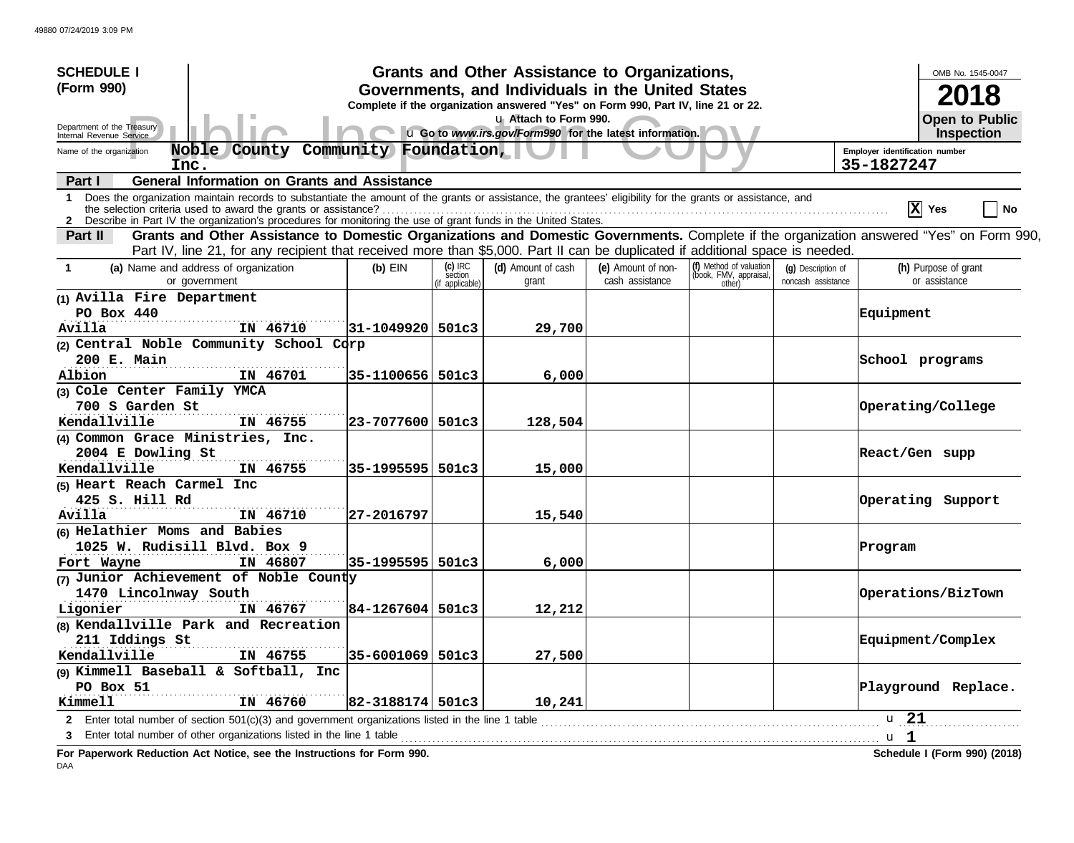| <b>SCHEDULE I</b>                                                                                                                                                                                                                                                               |          |                        |                    | Grants and Other Assistance to Organizations,                                    |                    |                                                             |                    |                                | OMB No. 1545-0047                   |
|---------------------------------------------------------------------------------------------------------------------------------------------------------------------------------------------------------------------------------------------------------------------------------|----------|------------------------|--------------------|----------------------------------------------------------------------------------|--------------------|-------------------------------------------------------------|--------------------|--------------------------------|-------------------------------------|
| (Form 990)                                                                                                                                                                                                                                                                      |          |                        |                    | Governments, and Individuals in the United States                                |                    |                                                             |                    |                                |                                     |
|                                                                                                                                                                                                                                                                                 |          |                        |                    | Complete if the organization answered "Yes" on Form 990, Part IV, line 21 or 22. |                    |                                                             |                    |                                |                                     |
| Department of the Treasury<br>Internal Revenue Service                                                                                                                                                                                                                          |          |                        |                    | u Attach to Form 990.<br>u Go to www.irs.gov/Form990 for the latest information. |                    |                                                             |                    |                                | <b>Open to Public</b><br>Inspection |
| Noble County<br>Name of the organization                                                                                                                                                                                                                                        |          | Community Foundation,  |                    |                                                                                  |                    |                                                             |                    | Employer identification number |                                     |
| Inc.                                                                                                                                                                                                                                                                            |          |                        |                    |                                                                                  |                    |                                                             |                    | 35-1827247                     |                                     |
| <b>General Information on Grants and Assistance</b><br>Part I                                                                                                                                                                                                                   |          |                        |                    |                                                                                  |                    |                                                             |                    |                                |                                     |
| 1 Does the organization maintain records to substantiate the amount of the grants or assistance, the grantees' eligibility for the grants or assistance, and<br>2 Describe in Part IV the organization's procedures for monitoring the use of grant funds in the United States. |          |                        |                    |                                                                                  |                    |                                                             |                    |                                | $ \mathbf{X} $ Yes<br>No            |
| Grants and Other Assistance to Domestic Organizations and Domestic Governments. Complete if the organization answered "Yes" on Form 990,<br>Part II                                                                                                                             |          |                        |                    |                                                                                  |                    |                                                             |                    |                                |                                     |
| Part IV, line 21, for any recipient that received more than \$5,000. Part II can be duplicated if additional space is needed.                                                                                                                                                   |          |                        |                    |                                                                                  |                    |                                                             |                    |                                |                                     |
| (a) Name and address of organization<br>$\mathbf 1$                                                                                                                                                                                                                             |          | $(b)$ EIN              | (c) IRC<br>section | (d) Amount of cash                                                               | (e) Amount of non- |                                                             | (g) Description of |                                | (h) Purpose of grant                |
| or government                                                                                                                                                                                                                                                                   |          |                        | if applicable)     | grant                                                                            | cash assistance    | (f) Method of valuation<br>(book, FMV, appraisal,<br>other) | noncash assistance |                                | or assistance                       |
| (1) Avilla Fire Department                                                                                                                                                                                                                                                      |          |                        |                    |                                                                                  |                    |                                                             |                    |                                |                                     |
| PO Box 440                                                                                                                                                                                                                                                                      |          |                        |                    |                                                                                  |                    |                                                             |                    | Equipment                      |                                     |
| Avilla                                                                                                                                                                                                                                                                          | IN 46710 | 31-1049920  501c3      |                    | 29,700                                                                           |                    |                                                             |                    |                                |                                     |
| (2) Central Noble Community School Corp                                                                                                                                                                                                                                         |          |                        |                    |                                                                                  |                    |                                                             |                    |                                |                                     |
| 200 E. Main                                                                                                                                                                                                                                                                     |          |                        |                    |                                                                                  |                    |                                                             |                    |                                | School programs                     |
| Albion                                                                                                                                                                                                                                                                          | IN 46701 | 35-1100656 501c3       |                    | 6,000                                                                            |                    |                                                             |                    |                                |                                     |
| (3) Cole Center Family YMCA                                                                                                                                                                                                                                                     |          |                        |                    |                                                                                  |                    |                                                             |                    |                                |                                     |
| 700 S Garden St                                                                                                                                                                                                                                                                 |          |                        |                    |                                                                                  |                    |                                                             |                    |                                | Operating/College                   |
| Kendallville                                                                                                                                                                                                                                                                    | IN 46755 | $ 23 - 7077600 501c3$  |                    | 128,504                                                                          |                    |                                                             |                    |                                |                                     |
| (4) Common Grace Ministries, Inc.                                                                                                                                                                                                                                               |          |                        |                    |                                                                                  |                    |                                                             |                    |                                |                                     |
| 2004 E Dowling St                                                                                                                                                                                                                                                               |          |                        |                    |                                                                                  |                    |                                                             |                    | React/Gen supp                 |                                     |
| Kendallville                                                                                                                                                                                                                                                                    | IN 46755 | 35-1995595   501c3     |                    | 15,000                                                                           |                    |                                                             |                    |                                |                                     |
| (5) Heart Reach Carmel<br>Inc                                                                                                                                                                                                                                                   |          |                        |                    |                                                                                  |                    |                                                             |                    |                                |                                     |
| 425 S. Hill Rd                                                                                                                                                                                                                                                                  |          |                        |                    |                                                                                  |                    |                                                             |                    |                                | Operating Support                   |
| Avilla                                                                                                                                                                                                                                                                          | IN 46710 | 27-2016797             |                    | 15,540                                                                           |                    |                                                             |                    |                                |                                     |
| (6) Helathier Moms and Babies                                                                                                                                                                                                                                                   |          |                        |                    |                                                                                  |                    |                                                             |                    |                                |                                     |
| 1025 W. Rudisill Blvd. Box 9                                                                                                                                                                                                                                                    |          |                        |                    |                                                                                  |                    |                                                             |                    | Program                        |                                     |
| Fort Wayne                                                                                                                                                                                                                                                                      | IN 46807 | 35-1995595  501c3      |                    | 6,000                                                                            |                    |                                                             |                    |                                |                                     |
| (7) Junior Achievement of Noble County                                                                                                                                                                                                                                          |          |                        |                    |                                                                                  |                    |                                                             |                    |                                |                                     |
| 1470 Lincolnway South                                                                                                                                                                                                                                                           |          |                        |                    |                                                                                  |                    |                                                             |                    |                                | Operations/BizTown                  |
| Ligonier                                                                                                                                                                                                                                                                        | IN 46767 | $ 84 - 1267604 501c3$  |                    | 12,212                                                                           |                    |                                                             |                    |                                |                                     |
| (8) Kendallville Park and Recreation                                                                                                                                                                                                                                            |          |                        |                    |                                                                                  |                    |                                                             |                    |                                |                                     |
| 211 Iddings St                                                                                                                                                                                                                                                                  |          |                        |                    |                                                                                  |                    |                                                             |                    |                                | <b>Equipment/Complex</b>            |
| Kendallville                                                                                                                                                                                                                                                                    | IN 46755 | 35-6001069 501c3       |                    | 27,500                                                                           |                    |                                                             |                    |                                |                                     |
| (9) Kimmell Baseball & Softball, Inc                                                                                                                                                                                                                                            |          |                        |                    |                                                                                  |                    |                                                             |                    |                                |                                     |
| PO Box 51                                                                                                                                                                                                                                                                       |          |                        |                    |                                                                                  |                    |                                                             |                    |                                | Playground Replace.                 |
| <b>Kimmell</b>                                                                                                                                                                                                                                                                  | IN 46760 | $ 82 - 3188174  501c3$ |                    | 10,241                                                                           |                    |                                                             |                    |                                |                                     |
| Enter total number of section $501(c)(3)$ and government organizations listed in the line 1 table<br>$\mathbf{2}$                                                                                                                                                               |          |                        |                    |                                                                                  |                    |                                                             |                    | u 21                           |                                     |
|                                                                                                                                                                                                                                                                                 |          |                        |                    |                                                                                  |                    |                                                             |                    | u <sub>1</sub>                 |                                     |
| For Paperwork Reduction Act Notice, see the Instructions for Form 990.                                                                                                                                                                                                          |          |                        |                    |                                                                                  |                    |                                                             |                    |                                | Schedule I (Form 990) (2018)        |

DAA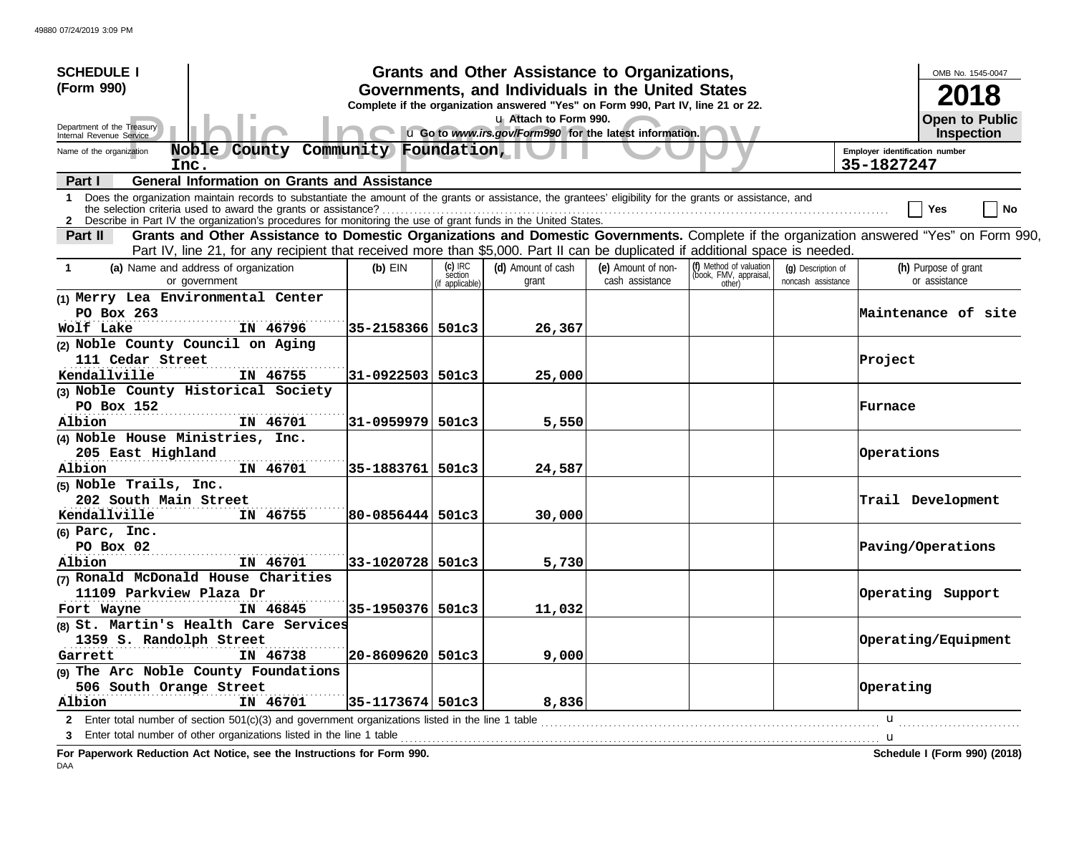| <b>SCHEDULE I</b>                                                                                                                                                                                                                                                                                                                                     |                                                                                                                                                                                                                                                                           |                       |                    | Grants and Other Assistance to Organizations,                                                                                         |                                       |                                                             |                                          |                                              | OMB No. 1545-0047                     |
|-------------------------------------------------------------------------------------------------------------------------------------------------------------------------------------------------------------------------------------------------------------------------------------------------------------------------------------------------------|---------------------------------------------------------------------------------------------------------------------------------------------------------------------------------------------------------------------------------------------------------------------------|-----------------------|--------------------|---------------------------------------------------------------------------------------------------------------------------------------|---------------------------------------|-------------------------------------------------------------|------------------------------------------|----------------------------------------------|---------------------------------------|
| (Form 990)                                                                                                                                                                                                                                                                                                                                            |                                                                                                                                                                                                                                                                           |                       |                    | Governments, and Individuals in the United States<br>Complete if the organization answered "Yes" on Form 990, Part IV, line 21 or 22. |                                       |                                                             |                                          |                                              | 2018                                  |
| Department of the Treasury<br>Internal Revenue Service                                                                                                                                                                                                                                                                                                |                                                                                                                                                                                                                                                                           |                       |                    | u Attach to Form 990.<br>u Go to www.irs.gov/Form990 for the latest information.                                                      |                                       |                                                             |                                          |                                              | <b>Open to Public</b><br>Inspection   |
| Name of the organization<br>Inc.                                                                                                                                                                                                                                                                                                                      | Noble County                                                                                                                                                                                                                                                              | Community Foundation, |                    |                                                                                                                                       |                                       |                                                             |                                          | Employer identification number<br>35-1827247 |                                       |
| Part I                                                                                                                                                                                                                                                                                                                                                | <b>General Information on Grants and Assistance</b>                                                                                                                                                                                                                       |                       |                    |                                                                                                                                       |                                       |                                                             |                                          |                                              |                                       |
| Does the organization maintain records to substantiate the amount of the grants or assistance, the grantees' eligibility for the grants or assistance, and<br>1.<br>the selection criteria used to award the grants or assistance?<br>2 Describe in Part IV the organization's procedures for monitoring the use of grant funds in the United States. |                                                                                                                                                                                                                                                                           |                       |                    |                                                                                                                                       |                                       |                                                             |                                          |                                              | No<br>Yes                             |
| Part II                                                                                                                                                                                                                                                                                                                                               | Grants and Other Assistance to Domestic Organizations and Domestic Governments. Complete if the organization answered "Yes" on Form 990,<br>Part IV, line 21, for any recipient that received more than \$5,000. Part II can be duplicated if additional space is needed. |                       |                    |                                                                                                                                       |                                       |                                                             |                                          |                                              |                                       |
| (a) Name and address of organization<br>$\mathbf 1$<br>or government                                                                                                                                                                                                                                                                                  |                                                                                                                                                                                                                                                                           | $(b)$ EIN             | (c) IRC<br>section | (d) Amount of cash<br>grant                                                                                                           | (e) Amount of non-<br>cash assistance | (f) Method of valuation<br>(book, FMV, appraisal,<br>other) | (g) Description of<br>noncash assistance |                                              | (h) Purpose of grant<br>or assistance |
| (1) Merry Lea Environmental Center<br>PO Box 263<br>Wolf Lake                                                                                                                                                                                                                                                                                         | IN 46796                                                                                                                                                                                                                                                                  | 35-2158366 501c3      | (if applicable)    | 26,367                                                                                                                                |                                       |                                                             |                                          |                                              | Maintenance of site                   |
| (2) Noble County Council on Aging<br>111 Cedar Street<br>Kendallville                                                                                                                                                                                                                                                                                 | IN 46755                                                                                                                                                                                                                                                                  | 31-0922503 501c3      |                    | 25,000                                                                                                                                |                                       |                                                             |                                          | Project                                      |                                       |
| (3) Noble County Historical Society<br>PO Box 152<br>Albion                                                                                                                                                                                                                                                                                           | IN 46701                                                                                                                                                                                                                                                                  | 31-0959979 501c3      |                    | 5,550                                                                                                                                 |                                       |                                                             |                                          | Furnace                                      |                                       |
| (4) Noble House Ministries, Inc.<br>205 East Highland<br>Albion                                                                                                                                                                                                                                                                                       | IN 46701                                                                                                                                                                                                                                                                  | 35-1883761            | 501c3              | 24,587                                                                                                                                |                                       |                                                             |                                          | Operations                                   |                                       |
| (5) Noble Trails, Inc.<br>202 South Main Street<br>Kendallville                                                                                                                                                                                                                                                                                       | IN 46755                                                                                                                                                                                                                                                                  | 80-0856444 501c3      |                    | 30,000                                                                                                                                |                                       |                                                             |                                          |                                              | Trail Development                     |
| $(6)$ Parc, Inc.<br>PO Box 02<br>Albion                                                                                                                                                                                                                                                                                                               | IN 46701                                                                                                                                                                                                                                                                  | 33-1020728 501c3      |                    | 5,730                                                                                                                                 |                                       |                                                             |                                          |                                              | Paving/Operations                     |
| (7) Ronald McDonald House Charities<br>11109 Parkview Plaza Dr<br>Fort Wayne                                                                                                                                                                                                                                                                          | IN 46845                                                                                                                                                                                                                                                                  | 35-1950376 501c3      |                    | 11,032                                                                                                                                |                                       |                                                             |                                          |                                              | Operating Support                     |
| (8) St. Martin's Health Care Services<br>1359 S. Randolph Street<br>Garrett                                                                                                                                                                                                                                                                           | IN 46738                                                                                                                                                                                                                                                                  | $ 20 - 8609620 501c3$ |                    | 9,000                                                                                                                                 |                                       |                                                             |                                          |                                              | Operating/Equipment                   |
| (9) The Arc Noble County Foundations<br>506 South Orange Street<br>Albion                                                                                                                                                                                                                                                                             | IN 46701                                                                                                                                                                                                                                                                  | 35-1173674 501c3      |                    | 8,836                                                                                                                                 |                                       |                                                             |                                          | Operating                                    |                                       |
| Enter total number of section 501(c)(3) and government organizations listed in the line 1 table<br>$2^{\circ}$                                                                                                                                                                                                                                        |                                                                                                                                                                                                                                                                           |                       |                    |                                                                                                                                       |                                       |                                                             |                                          | u                                            |                                       |
| Enter total number of other organizations listed in the line 1 table<br>For Donomicals Deduction, Act Nation, nee the Instructions for Form 000                                                                                                                                                                                                       |                                                                                                                                                                                                                                                                           |                       |                    |                                                                                                                                       |                                       |                                                             |                                          | u                                            | Cahadula I (Farm 000) (2040)          |

**For Paperwork Reduction Act Notice, see the Instructions for Form 990. Schedule I (Form 990) (2018)** DAA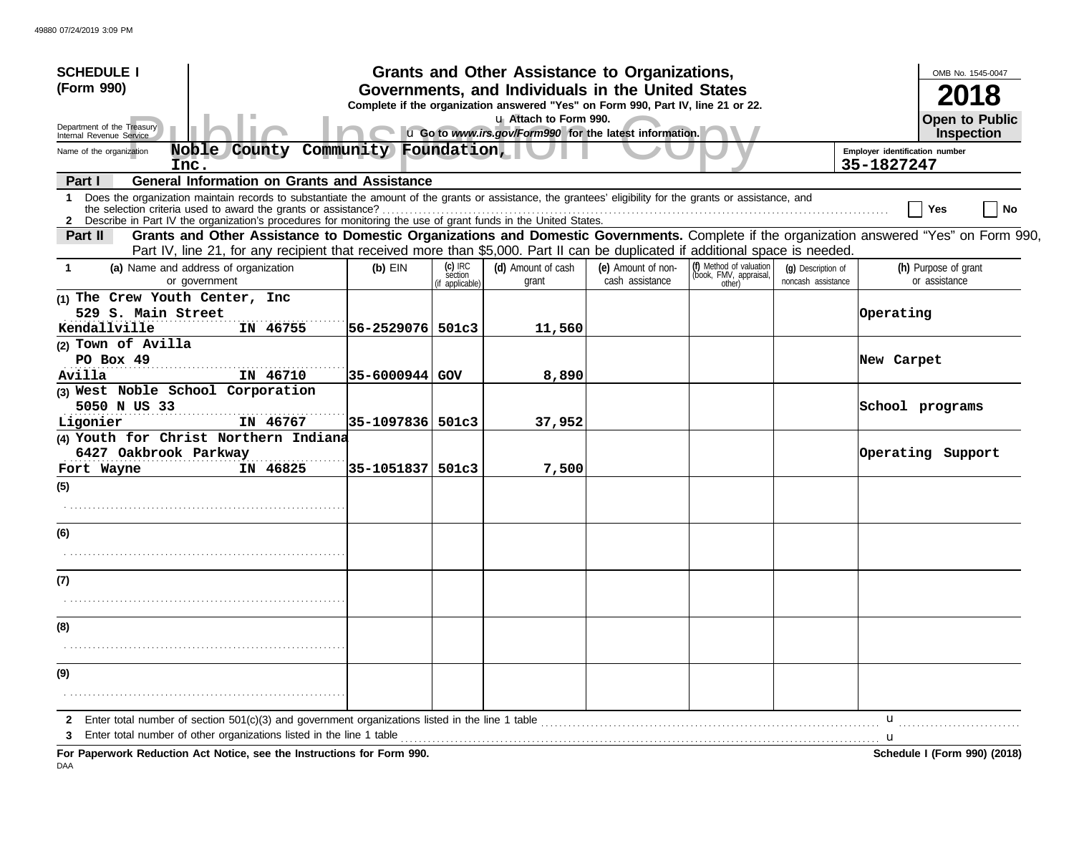| <b>SCHEDULE I</b>                                                    |                                                                                                                                                                                                                                                                               |                                |                                       | Grants and Other Assistance to Organizations,                                                                                         |                                       |                                                             |                                          |                                | OMB No. 1545-0047                     |
|----------------------------------------------------------------------|-------------------------------------------------------------------------------------------------------------------------------------------------------------------------------------------------------------------------------------------------------------------------------|--------------------------------|---------------------------------------|---------------------------------------------------------------------------------------------------------------------------------------|---------------------------------------|-------------------------------------------------------------|------------------------------------------|--------------------------------|---------------------------------------|
| (Form 990)                                                           |                                                                                                                                                                                                                                                                               |                                |                                       | Governments, and Individuals in the United States<br>Complete if the organization answered "Yes" on Form 990, Part IV, line 21 or 22. |                                       |                                                             |                                          |                                |                                       |
| Department of the Treasury<br>Internal Revenue Service               |                                                                                                                                                                                                                                                                               |                                |                                       | u Attach to Form 990.<br>u Go to www.irs.gov/Form990 for the latest information.                                                      |                                       |                                                             |                                          |                                | <b>Open to Public</b><br>Inspection   |
| Name of the organization                                             | Noble County                                                                                                                                                                                                                                                                  | Community Foundation,          |                                       |                                                                                                                                       |                                       |                                                             |                                          | Employer identification number |                                       |
| Inc.<br>Part I                                                       | <b>General Information on Grants and Assistance</b>                                                                                                                                                                                                                           |                                |                                       |                                                                                                                                       |                                       |                                                             |                                          | 35-1827247                     |                                       |
| 1.                                                                   | Does the organization maintain records to substantiate the amount of the grants or assistance, the grantees' eligibility for the grants or assistance, and<br>2 Describe in Part IV the organization's procedures for monitoring the use of grant funds in the United States. |                                |                                       |                                                                                                                                       |                                       |                                                             |                                          |                                | No<br>Yes                             |
| Part II                                                              | Grants and Other Assistance to Domestic Organizations and Domestic Governments. Complete if the organization answered "Yes" on Form 990,<br>Part IV, line 21, for any recipient that received more than \$5,000. Part II can be duplicated if additional space is needed.     |                                |                                       |                                                                                                                                       |                                       |                                                             |                                          |                                |                                       |
| -1                                                                   | (a) Name and address of organization<br>or government                                                                                                                                                                                                                         | $(b)$ EIN                      | (c) IRC<br>section<br>(if applicable) | (d) Amount of cash<br>grant                                                                                                           | (e) Amount of non-<br>cash assistance | (f) Method of valuation<br>(book, FMV, appraisal,<br>other) | (g) Description of<br>noncash assistance |                                | (h) Purpose of grant<br>or assistance |
| (1) The Crew Youth Center, Inc<br>529 S. Main Street<br>Kendallville | IN 46755                                                                                                                                                                                                                                                                      | 56-2529076  501c3              |                                       | 11,560                                                                                                                                |                                       |                                                             |                                          | Operating                      |                                       |
| (2) Town of Avilla<br>PO Box 49<br>Avilla                            | IN 46710                                                                                                                                                                                                                                                                      | 35-6000944 GOV                 |                                       | 8,890                                                                                                                                 |                                       |                                                             |                                          | New Carpet                     |                                       |
| (3) West Noble School Corporation<br>5050 N US 33                    |                                                                                                                                                                                                                                                                               |                                |                                       |                                                                                                                                       |                                       |                                                             |                                          |                                | School programs                       |
| Ligonier<br>6427 Oakbrook Parkway<br>Fort Wayne                      | IN 46767<br>(4) Youth for Christ Northern Indiana<br>IN 46825                                                                                                                                                                                                                 | 35-1097836 501c3<br>35-1051837 | 501c3                                 | 37,952<br>7,500                                                                                                                       |                                       |                                                             |                                          |                                | Operating Support                     |
| (5)                                                                  |                                                                                                                                                                                                                                                                               |                                |                                       |                                                                                                                                       |                                       |                                                             |                                          |                                |                                       |
| (6)                                                                  |                                                                                                                                                                                                                                                                               |                                |                                       |                                                                                                                                       |                                       |                                                             |                                          |                                |                                       |
|                                                                      |                                                                                                                                                                                                                                                                               |                                |                                       |                                                                                                                                       |                                       |                                                             |                                          |                                |                                       |
| (7)                                                                  |                                                                                                                                                                                                                                                                               |                                |                                       |                                                                                                                                       |                                       |                                                             |                                          |                                |                                       |
| (8)                                                                  |                                                                                                                                                                                                                                                                               |                                |                                       |                                                                                                                                       |                                       |                                                             |                                          |                                |                                       |
|                                                                      |                                                                                                                                                                                                                                                                               |                                |                                       |                                                                                                                                       |                                       |                                                             |                                          |                                |                                       |
| (9)                                                                  |                                                                                                                                                                                                                                                                               |                                |                                       |                                                                                                                                       |                                       |                                                             |                                          |                                |                                       |
| 2                                                                    |                                                                                                                                                                                                                                                                               |                                |                                       |                                                                                                                                       |                                       |                                                             |                                          | u                              |                                       |
| 3                                                                    | Enter total number of other organizations listed in the line 1 table <i>manufacture in the content of the line</i> 1 table manufacture in the line 1 table manufacture in the line of the line of the line 1 table manufacture in t                                           |                                |                                       |                                                                                                                                       |                                       |                                                             |                                          |                                |                                       |
|                                                                      | For Paperwork Reduction Act Notice, see the Instructions for Form 990.                                                                                                                                                                                                        |                                |                                       |                                                                                                                                       |                                       |                                                             |                                          |                                | Schedule I (Form 990) (2018)          |

DAA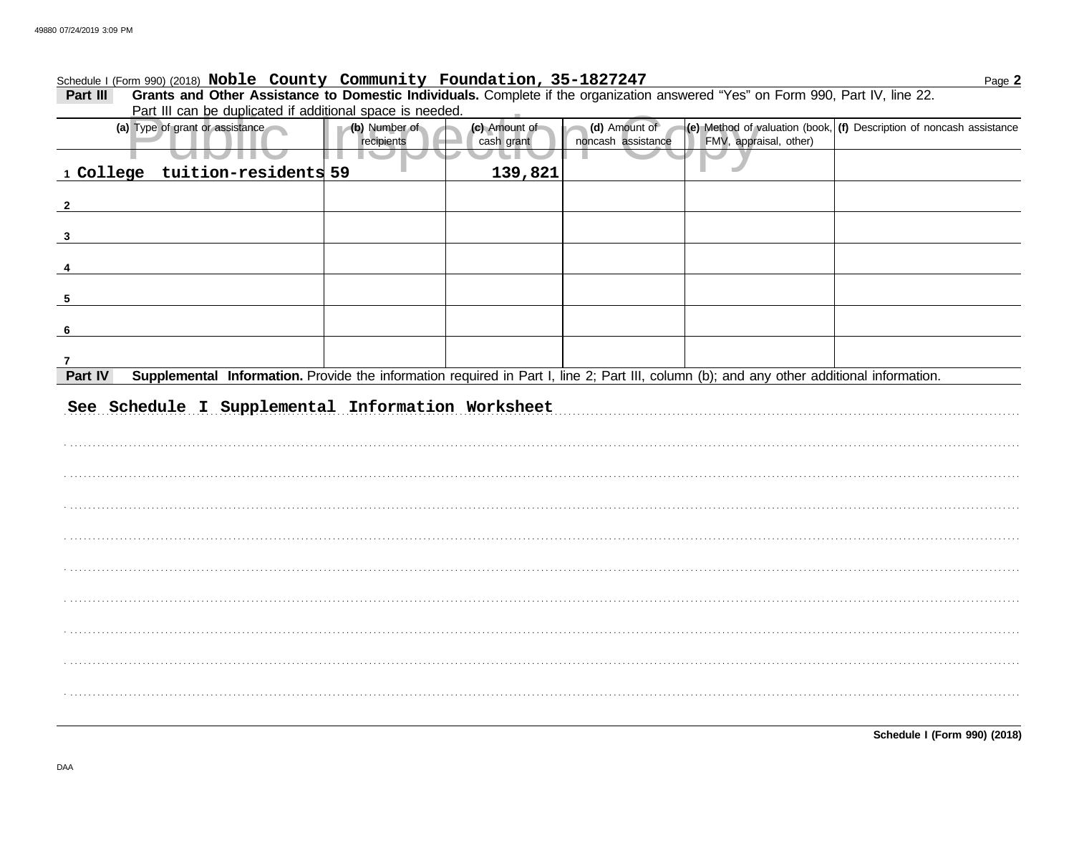## Schedule I (Form 990) (2018) Noble County Community Foundation, 35-1827247

Part III Grants and Other Assistance to Domestic Individuals. Complete if the organization answered "Yes" on Form 990, Part IV, line 22.<br>Part III can be duplicated if additional space is needed

|                         | Fait in car be duplicated if additional space is needed.                                                                                  |               |               |                    |                        |                                                                      |
|-------------------------|-------------------------------------------------------------------------------------------------------------------------------------------|---------------|---------------|--------------------|------------------------|----------------------------------------------------------------------|
|                         | (a) Type of grant or assistance                                                                                                           | (b) Number of | (c) Amount of | (d) Amount of      |                        | (e) Method of valuation (book, (f) Description of noncash assistance |
|                         |                                                                                                                                           | recipients    | cash grant    | noncash assistance | FMV, appraisal, other) |                                                                      |
|                         |                                                                                                                                           | . .           |               |                    |                        |                                                                      |
|                         | 1 College tuition-residents 59                                                                                                            |               | 139,821       |                    |                        |                                                                      |
|                         |                                                                                                                                           |               |               |                    |                        |                                                                      |
| $\overline{2}$          |                                                                                                                                           |               |               |                    |                        |                                                                      |
|                         |                                                                                                                                           |               |               |                    |                        |                                                                      |
|                         |                                                                                                                                           |               |               |                    |                        |                                                                      |
| $\overline{\mathbf{3}}$ |                                                                                                                                           |               |               |                    |                        |                                                                      |
|                         |                                                                                                                                           |               |               |                    |                        |                                                                      |
| $\overline{\mathbf{4}}$ |                                                                                                                                           |               |               |                    |                        |                                                                      |
|                         |                                                                                                                                           |               |               |                    |                        |                                                                      |
| $\overline{\mathbf{5}}$ |                                                                                                                                           |               |               |                    |                        |                                                                      |
|                         |                                                                                                                                           |               |               |                    |                        |                                                                      |
| 6                       |                                                                                                                                           |               |               |                    |                        |                                                                      |
|                         |                                                                                                                                           |               |               |                    |                        |                                                                      |
|                         |                                                                                                                                           |               |               |                    |                        |                                                                      |
| $\overline{7}$          |                                                                                                                                           |               |               |                    |                        |                                                                      |
| Part IV                 | Supplemental Information. Provide the information required in Part I, line 2; Part III, column (b); and any other additional information. |               |               |                    |                        |                                                                      |
|                         |                                                                                                                                           |               |               |                    |                        |                                                                      |
|                         | See Schedule I Supplemental Information Worksheet                                                                                         |               |               |                    |                        |                                                                      |
|                         |                                                                                                                                           |               |               |                    |                        |                                                                      |
|                         |                                                                                                                                           |               |               |                    |                        |                                                                      |
|                         |                                                                                                                                           |               |               |                    |                        |                                                                      |
|                         |                                                                                                                                           |               |               |                    |                        |                                                                      |
|                         |                                                                                                                                           |               |               |                    |                        |                                                                      |
|                         |                                                                                                                                           |               |               |                    |                        |                                                                      |
|                         |                                                                                                                                           |               |               |                    |                        |                                                                      |
|                         |                                                                                                                                           |               |               |                    |                        |                                                                      |
|                         |                                                                                                                                           |               |               |                    |                        |                                                                      |
|                         |                                                                                                                                           |               |               |                    |                        |                                                                      |
|                         |                                                                                                                                           |               |               |                    |                        |                                                                      |
|                         |                                                                                                                                           |               |               |                    |                        |                                                                      |
|                         |                                                                                                                                           |               |               |                    |                        |                                                                      |
|                         |                                                                                                                                           |               |               |                    |                        |                                                                      |
|                         |                                                                                                                                           |               |               |                    |                        |                                                                      |
|                         |                                                                                                                                           |               |               |                    |                        |                                                                      |
|                         |                                                                                                                                           |               |               |                    |                        |                                                                      |
|                         |                                                                                                                                           |               |               |                    |                        |                                                                      |
|                         |                                                                                                                                           |               |               |                    |                        |                                                                      |
|                         |                                                                                                                                           |               |               |                    |                        |                                                                      |
|                         |                                                                                                                                           |               |               |                    |                        |                                                                      |
|                         |                                                                                                                                           |               |               |                    |                        |                                                                      |
|                         |                                                                                                                                           |               |               |                    |                        |                                                                      |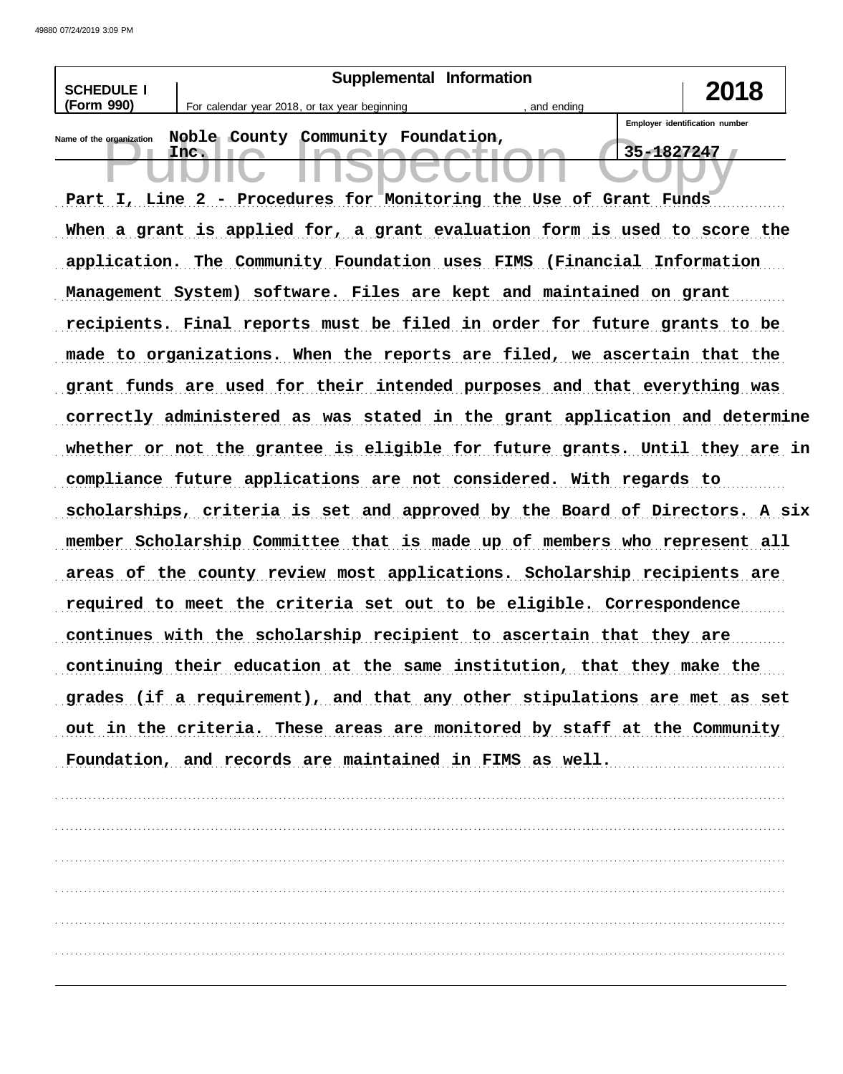| <b>SCHEDULE I</b>        |      | Supplemental Information                      |                                                                             |            | 2018                           |
|--------------------------|------|-----------------------------------------------|-----------------------------------------------------------------------------|------------|--------------------------------|
| (Form 990)               |      | For calendar year 2018, or tax year beginning | and ending                                                                  |            |                                |
| Name of the organization | Inc. | Noble County Community Foundation,            |                                                                             | 35-1827247 | Employer identification number |
|                          |      |                                               | Part I, Line 2 - Procedures for Monitoring the Use of Grant Funds           |            |                                |
|                          |      |                                               |                                                                             |            |                                |
|                          |      |                                               | When a grant is applied for, a grant evaluation form is used to score the   |            |                                |
|                          |      |                                               | application. The Community Foundation uses FIMS (Financial Information      |            |                                |
|                          |      |                                               | Management System) software. Files are kept and maintained on grant         |            |                                |
|                          |      |                                               | recipients. Final reports must be filed in order for future grants to be    |            |                                |
|                          |      |                                               | made to organizations. When the reports are filed, we ascertain that the    |            |                                |
|                          |      |                                               | grant funds are used for their intended purposes and that everything was    |            |                                |
|                          |      |                                               | correctly administered as was stated in the grant application and determine |            |                                |
|                          |      |                                               | whether or not the grantee is eligible for future grants. Until they are in |            |                                |
|                          |      |                                               | compliance future applications are not considered. With regards to          |            |                                |
|                          |      |                                               | scholarships, criteria is set and approved by the Board of Directors. A six |            |                                |
|                          |      |                                               | member Scholarship Committee that is made up of members who represent all   |            |                                |
|                          |      |                                               | areas of the county review most applications. Scholarship recipients are    |            |                                |
|                          |      |                                               | required to meet the criteria set out to be eligible. Correspondence        |            |                                |
|                          |      |                                               | continues with the scholarship recipient to ascertain that they are         |            |                                |
|                          |      |                                               | continuing their education at the same institution, that they make the      |            |                                |
|                          |      |                                               | grades (if a requirement), and that any other stipulations are met as set   |            |                                |
|                          |      |                                               | out in the criteria. These areas are monitored by staff at the Community    |            |                                |
|                          |      |                                               | Foundation, and records are maintained in FIMS as well.                     |            |                                |
|                          |      |                                               |                                                                             |            |                                |
|                          |      |                                               |                                                                             |            |                                |
|                          |      |                                               |                                                                             |            |                                |
|                          |      |                                               |                                                                             |            |                                |
|                          |      |                                               |                                                                             |            |                                |
|                          |      |                                               |                                                                             |            |                                |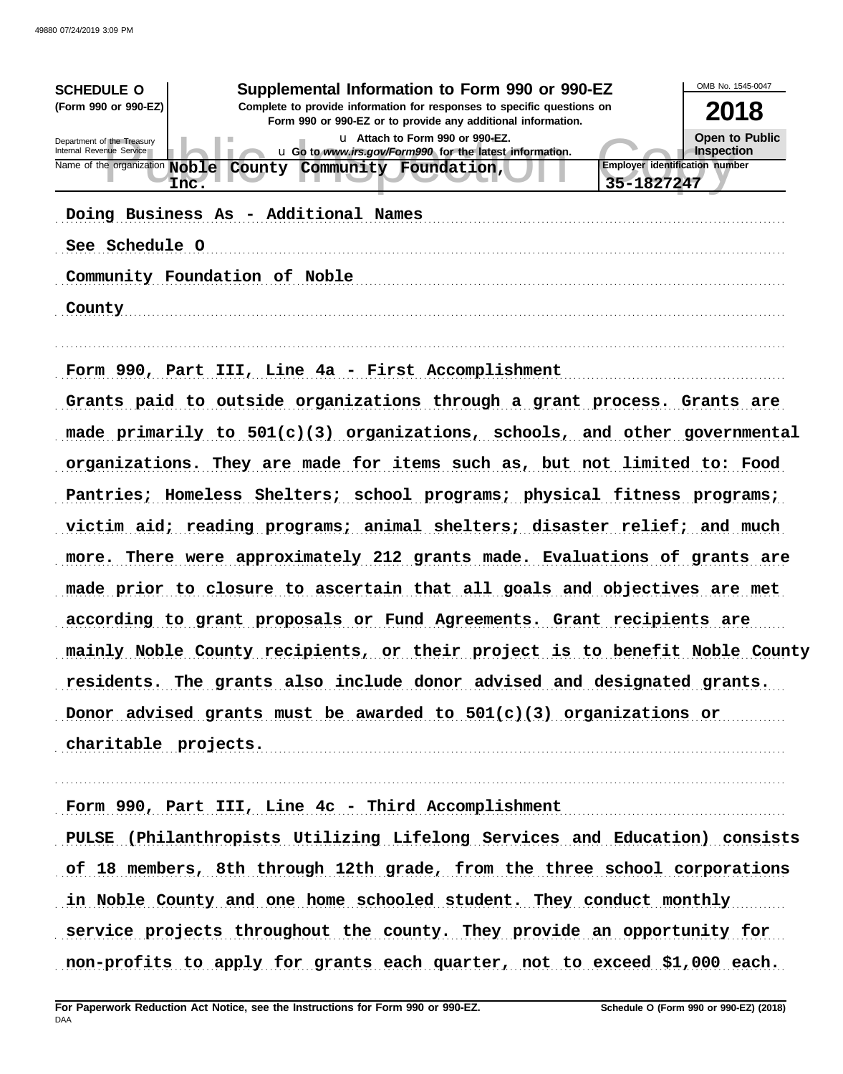| Supplemental Information to Form 990 or 990-EZ<br><b>SCHEDULE O</b>                                                                                            | OMB No. 1545-0047                     |
|----------------------------------------------------------------------------------------------------------------------------------------------------------------|---------------------------------------|
| (Form 990 or 990-EZ)<br>Complete to provide information for responses to specific questions on<br>Form 990 or 990-EZ or to provide any additional information. | 2018                                  |
| u Attach to Form 990 or 990-EZ.<br>Department of the Treasury<br>Internal Revenue Service<br>u Go to www.irs.gov/Form990 for the latest information.           | Open to Public<br>Inspection          |
| Name of the organization Noble County Community Foundation,                                                                                                    | <b>Employer identification number</b> |
| Inc.                                                                                                                                                           | 35-1827247                            |
| Doing Business As - Additional Names                                                                                                                           |                                       |
| See Schedule O                                                                                                                                                 |                                       |
| Community Foundation of Noble                                                                                                                                  |                                       |
| County                                                                                                                                                         |                                       |
|                                                                                                                                                                |                                       |
| Form 990, Part III, Line 4a - First Accomplishment                                                                                                             |                                       |
| Grants paid to outside organizations through a grant process. Grants are                                                                                       |                                       |
| made primarily to $501(c)(3)$ organizations, schools, and other governmental                                                                                   |                                       |
| organizations. They are made for items such as, but not limited to: Food                                                                                       |                                       |
| Pantries; Homeless Shelters; school programs; physical fitness programs;                                                                                       |                                       |
| victim aid; reading programs; animal shelters; disaster relief; and much                                                                                       |                                       |
| more. There were approximately 212 grants made. Evaluations of grants are                                                                                      |                                       |
| made prior to closure to ascertain that all goals and objectives are met                                                                                       |                                       |
| according to grant proposals or Fund Agreements. Grant recipients are                                                                                          |                                       |
| mainly Noble County recipients, or their project is to benefit Noble County                                                                                    |                                       |
| residents. The grants also include donor advised and designated grants.                                                                                        |                                       |
| Donor advised grants must be awarded to $501(c)(3)$ organizations or                                                                                           |                                       |
| charitable projects.                                                                                                                                           |                                       |
|                                                                                                                                                                |                                       |
| Form 990, Part III, Line 4c - Third Accomplishment                                                                                                             |                                       |
| PULSE (Philanthropists Utilizing Lifelong Services and Education) consists                                                                                     |                                       |
| of 18 members, 8th through 12th grade, from the three school corporations                                                                                      |                                       |
| in Noble County and one home schooled student. They conduct monthly                                                                                            |                                       |
| service projects throughout the county. They provide an opportunity for                                                                                        |                                       |
| non-profits to apply for grants each quarter, not to exceed \$1,000 each.                                                                                      |                                       |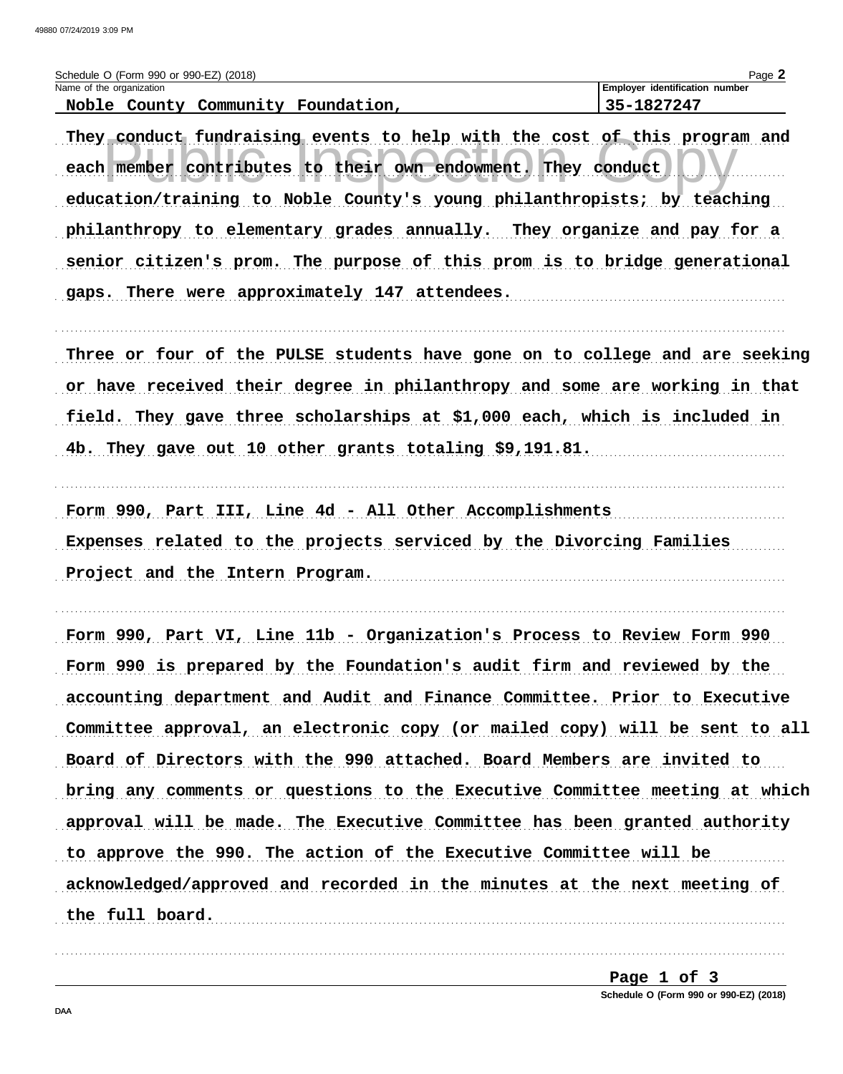| 49880 07/24/2019 3:09 PM                                                                                                                                                                                             |                                                        |
|----------------------------------------------------------------------------------------------------------------------------------------------------------------------------------------------------------------------|--------------------------------------------------------|
| Schedule O (Form 990 or 990-EZ) (2018)<br>Name of the organization<br>Noble County Community Foundation,                                                                                                             | Page 2<br>Employer identification number<br>35-1827247 |
| They conduct fundraising events to help with the cost of this program and<br>each member contributes to their own endowment. They conduct<br>education/training to Noble County's young philanthropists; by teaching |                                                        |
| philanthropy to elementary grades annually. They organize and pay for a<br>senior citizen's prom. The purpose of this prom is to bridge generational<br>gaps. There were approximately 147 attendees.                |                                                        |
| Three or four of the PULSE students have gone on to college and are seeking<br>or have received their degree in philanthropy and some are working in that                                                            |                                                        |
| field. They gave three scholarships at \$1,000 each, which is included in                                                                                                                                            |                                                        |

4b. They gave out 10 other grants totaling \$9,191.81.

Form 990, Part III, Line 4d - All Other Accomplishments Expenses related to the projects serviced by the Divorcing Families Project and the Intern Program.

Form 990, Part VI, Line 11b - Organization's Process to Review Form 990 Form 990 is prepared by the Foundation's audit firm and reviewed by the accounting department and Audit and Finance Committee. Prior to Executive Committee approval, an electronic copy (or mailed copy) will be sent to all Board of Directors with the 990 attached. Board Members are invited to bring any comments or questions to the Executive Committee meeting at which approval will be made. The Executive Committee has been granted authority to approve the 990. The action of the Executive Committee will be acknowledged/approved and recorded in the minutes at the next meeting of the full board. 

> Page 1 of 3 Schedule O (Form 990 or 990-EZ) (2018)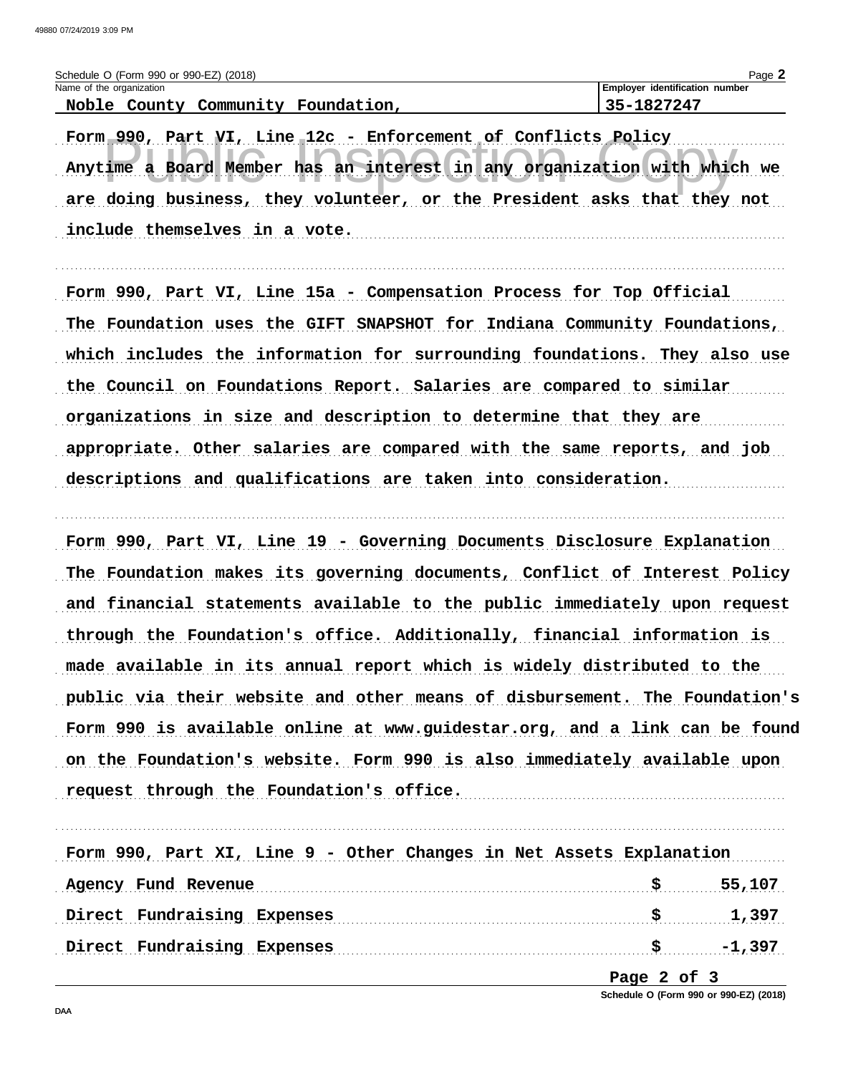| Schedule O (Form 990 or 990-EZ) (2018)      | Page                                  |
|---------------------------------------------|---------------------------------------|
| Name of the organization                    | <b>Employer identification number</b> |
| Noble<br>Foundation,<br>County<br>Community | . 1 8 7 7 7 4 7<br>$35 -$             |

Form 990, Part VI, Line 12c - Enforcement of Conflicts Policy Anytime a Board Member has an interest in any organization with which we are doing business, they volunteer, or the President asks that they not include themselves in a vote.

Form 990, Part VI, Line 15a - Compensation Process for Top Official The Foundation uses the GIFT SNAPSHOT for Indiana Community Foundations, which includes the information for surrounding foundations. They also use the Council on Foundations Report. Salaries are compared to similar organizations in size and description to determine that they are appropriate. Other salaries are compared with the same reports, and job descriptions and qualifications are taken into consideration.

Form 990, Part VI, Line 19 - Governing Documents Disclosure Explanation The Foundation makes its governing documents, Conflict of Interest Policy and financial statements available to the public immediately upon request through the Foundation's office. Additionally, financial information is made available in its annual report which is widely distributed to the public via their website and other means of disbursement. The Foundation's Form 990 is available online at www.guidestar.org, and a link can be found on the Foundation's website. Form 990 is also immediately available upon request through the Foundation's office.

Form 990, Part XI, Line 9 - Other Changes in Net Assets Explanation Agency Fund Revenue 55,107 Direct Fundraising Expenses 3 5 5 1,397 

Page 2 of 3

Schedule O (Form 990 or 990-EZ) (2018)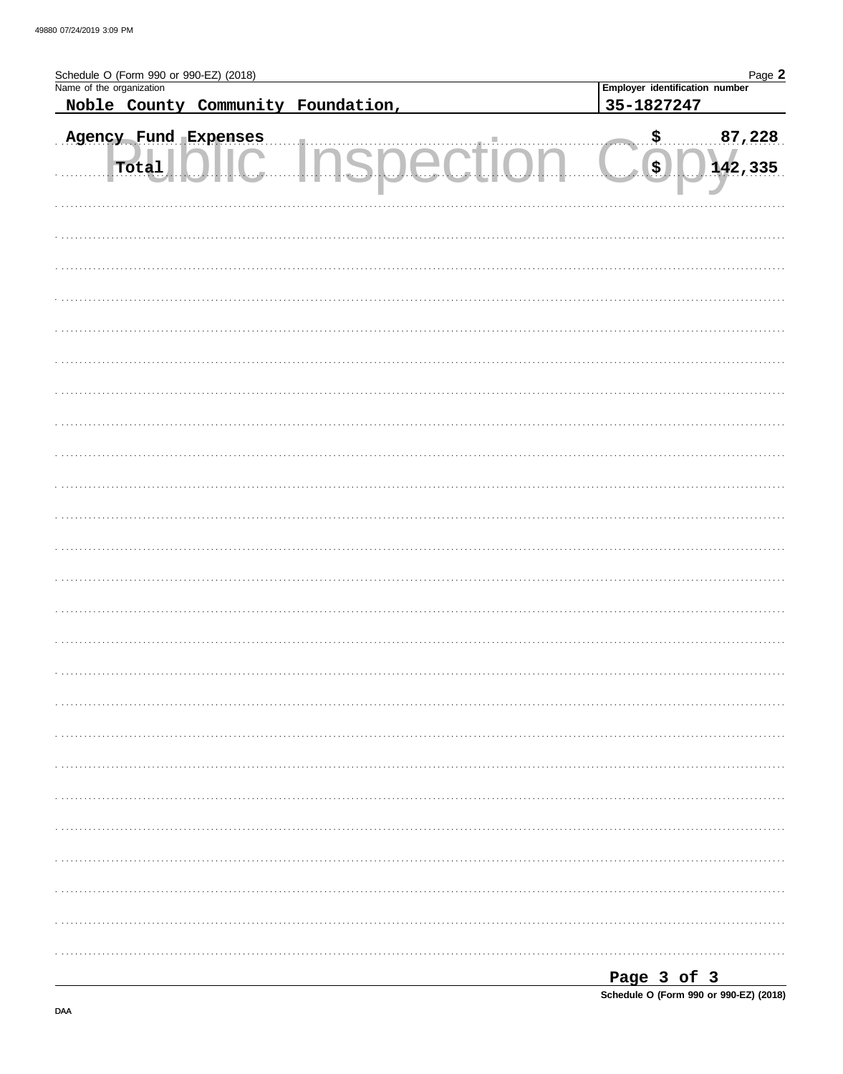| Schedule O (Form 990 or 990-EZ) (2018)<br>Name of the organization |                                              | Page 2                               |  |  |  |  |
|--------------------------------------------------------------------|----------------------------------------------|--------------------------------------|--|--|--|--|
| Noble County Community Foundation,                                 | Employer identification number<br>35-1827247 |                                      |  |  |  |  |
|                                                                    |                                              |                                      |  |  |  |  |
| Agency Fund Expenses<br>Total<br>للتنبية                           | والتناور بتنبيذ<br>12 D.C.C                  | $\sqrt{ }$<br>87,228<br>(\$) 142,335 |  |  |  |  |
|                                                                    |                                              |                                      |  |  |  |  |
|                                                                    |                                              |                                      |  |  |  |  |
|                                                                    |                                              |                                      |  |  |  |  |
|                                                                    |                                              |                                      |  |  |  |  |
|                                                                    |                                              |                                      |  |  |  |  |
|                                                                    |                                              |                                      |  |  |  |  |
|                                                                    |                                              |                                      |  |  |  |  |
|                                                                    |                                              |                                      |  |  |  |  |
|                                                                    |                                              |                                      |  |  |  |  |
|                                                                    |                                              |                                      |  |  |  |  |
|                                                                    |                                              |                                      |  |  |  |  |
|                                                                    |                                              |                                      |  |  |  |  |
|                                                                    |                                              |                                      |  |  |  |  |
|                                                                    |                                              |                                      |  |  |  |  |
|                                                                    |                                              |                                      |  |  |  |  |
|                                                                    |                                              |                                      |  |  |  |  |
|                                                                    |                                              |                                      |  |  |  |  |
|                                                                    |                                              |                                      |  |  |  |  |
|                                                                    |                                              |                                      |  |  |  |  |
|                                                                    |                                              |                                      |  |  |  |  |
|                                                                    |                                              |                                      |  |  |  |  |
|                                                                    |                                              |                                      |  |  |  |  |
|                                                                    |                                              |                                      |  |  |  |  |
|                                                                    |                                              |                                      |  |  |  |  |
|                                                                    |                                              |                                      |  |  |  |  |
|                                                                    |                                              |                                      |  |  |  |  |
|                                                                    |                                              | Page 3 of 3                          |  |  |  |  |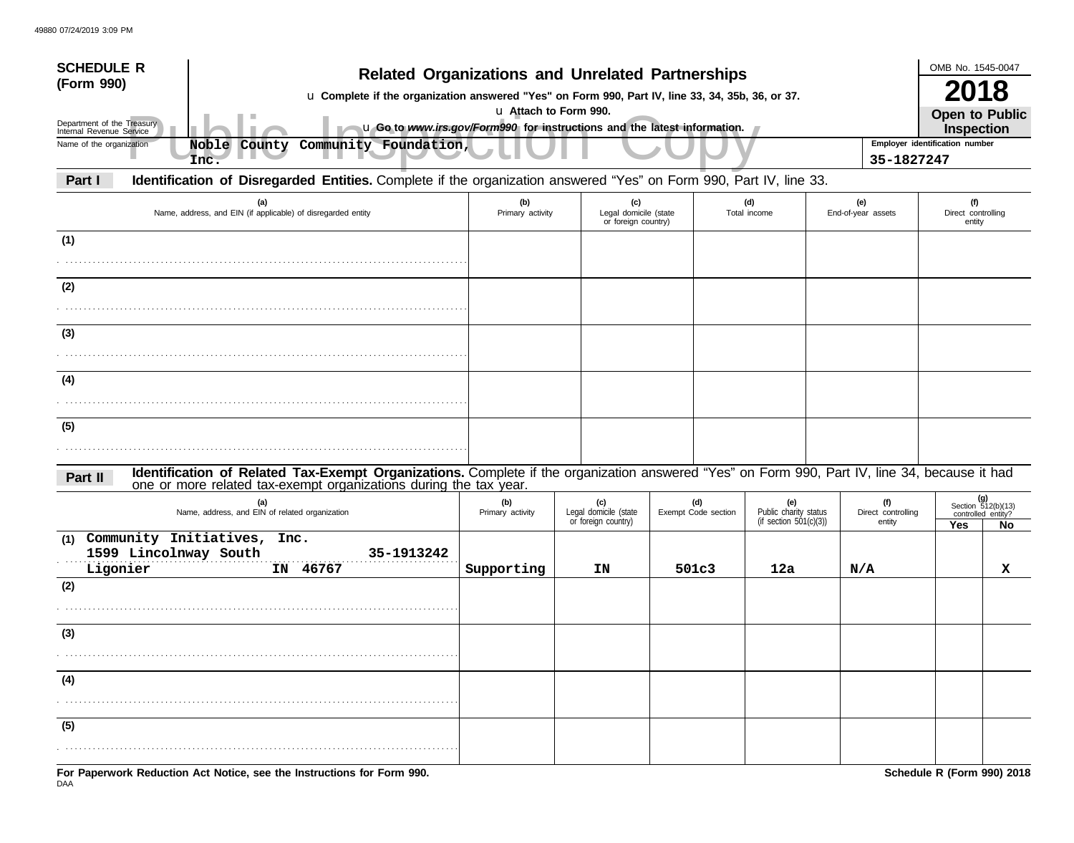| <b>SCHEDULE R</b><br><b>Related Organizations and Unrelated Partnerships</b><br>(Form 990)<br>u Complete if the organization answered "Yes" on Form 990, Part IV, line 33, 34, 35b, 36, or 37.<br>u Attach to Form 990.<br>Department of the Treasury<br>u Go to www.irs.gov/Form990 for instructions and the latest information.<br>Internal Revenue Service |                                                                                                                                                                                                                    |                         |                                                     |                            |                                                               |            |                              | OMB No. 1545-0047<br>2018<br><b>Open to Public</b><br><b>Inspection</b> |   |  |
|---------------------------------------------------------------------------------------------------------------------------------------------------------------------------------------------------------------------------------------------------------------------------------------------------------------------------------------------------------------|--------------------------------------------------------------------------------------------------------------------------------------------------------------------------------------------------------------------|-------------------------|-----------------------------------------------------|----------------------------|---------------------------------------------------------------|------------|------------------------------|-------------------------------------------------------------------------|---|--|
| Name of the organization                                                                                                                                                                                                                                                                                                                                      | Community Foundation,<br>Noble County<br>Inc.                                                                                                                                                                      |                         |                                                     |                            |                                                               | 35-1827247 |                              | Employer identification number                                          |   |  |
| Part I                                                                                                                                                                                                                                                                                                                                                        | Identification of Disregarded Entities. Complete if the organization answered "Yes" on Form 990, Part IV, line 33.                                                                                                 |                         |                                                     |                            |                                                               |            |                              |                                                                         |   |  |
| (a)<br>Name, address, and EIN (if applicable) of disregarded entity                                                                                                                                                                                                                                                                                           |                                                                                                                                                                                                                    | (b)<br>Primary activity | (c)<br>Legal domicile (state<br>or foreign country) |                            | (d)<br>Total income                                           |            | End-of-year assets           | (f)<br>Direct controlling<br>entity                                     |   |  |
| (1)                                                                                                                                                                                                                                                                                                                                                           |                                                                                                                                                                                                                    |                         |                                                     |                            |                                                               |            |                              |                                                                         |   |  |
| (2)                                                                                                                                                                                                                                                                                                                                                           |                                                                                                                                                                                                                    |                         |                                                     |                            |                                                               |            |                              |                                                                         |   |  |
| (3)                                                                                                                                                                                                                                                                                                                                                           |                                                                                                                                                                                                                    |                         |                                                     |                            |                                                               |            |                              |                                                                         |   |  |
|                                                                                                                                                                                                                                                                                                                                                               |                                                                                                                                                                                                                    |                         |                                                     |                            |                                                               |            |                              |                                                                         |   |  |
| (4)                                                                                                                                                                                                                                                                                                                                                           |                                                                                                                                                                                                                    |                         |                                                     |                            |                                                               |            |                              |                                                                         |   |  |
| (5)                                                                                                                                                                                                                                                                                                                                                           |                                                                                                                                                                                                                    |                         |                                                     |                            |                                                               |            |                              |                                                                         |   |  |
| Part II                                                                                                                                                                                                                                                                                                                                                       | Identification of Related Tax-Exempt Organizations. Complete if the organization answered "Yes" on Form 990, Part IV, line 34, because it had<br>one or more related tax-exempt organizations during the tax year. |                         |                                                     |                            |                                                               |            |                              |                                                                         |   |  |
|                                                                                                                                                                                                                                                                                                                                                               | (a)<br>Name, address, and EIN of related organization                                                                                                                                                              | (b)<br>Primary activity | (c)<br>Legal domicile (state<br>or foreign country) | (d)<br>Exempt Code section | (e)<br>(f)<br>Public charity status<br>(if section 501(c)(3)) |            | Direct controlling<br>entity | (g)<br>Section $512(b)(13)$<br>controlled entity?<br>Yes<br>No.         |   |  |
| (1)<br>Ligonier                                                                                                                                                                                                                                                                                                                                               | Community Initiatives, Inc.<br>1599 Lincolnway South<br>35-1913242<br>IN 46767                                                                                                                                     |                         | ΙN                                                  | 501c3                      |                                                               |            |                              |                                                                         | x |  |
| (2)                                                                                                                                                                                                                                                                                                                                                           |                                                                                                                                                                                                                    | Supporting              |                                                     |                            | 12a                                                           | N/A        |                              |                                                                         |   |  |
|                                                                                                                                                                                                                                                                                                                                                               |                                                                                                                                                                                                                    |                         |                                                     |                            |                                                               |            |                              |                                                                         |   |  |
| (3)                                                                                                                                                                                                                                                                                                                                                           |                                                                                                                                                                                                                    |                         |                                                     |                            |                                                               |            |                              |                                                                         |   |  |
|                                                                                                                                                                                                                                                                                                                                                               |                                                                                                                                                                                                                    |                         |                                                     |                            |                                                               |            |                              |                                                                         |   |  |
| (4)                                                                                                                                                                                                                                                                                                                                                           |                                                                                                                                                                                                                    |                         |                                                     |                            |                                                               |            |                              |                                                                         |   |  |
| (5)                                                                                                                                                                                                                                                                                                                                                           |                                                                                                                                                                                                                    |                         |                                                     |                            |                                                               |            |                              |                                                                         |   |  |
|                                                                                                                                                                                                                                                                                                                                                               |                                                                                                                                                                                                                    |                         |                                                     |                            |                                                               |            |                              |                                                                         |   |  |
|                                                                                                                                                                                                                                                                                                                                                               | For Paperwork Reduction Act Notice, see the Instructions for Form 990.                                                                                                                                             |                         |                                                     |                            |                                                               |            |                              | Schedule R (Form 990) 2018                                              |   |  |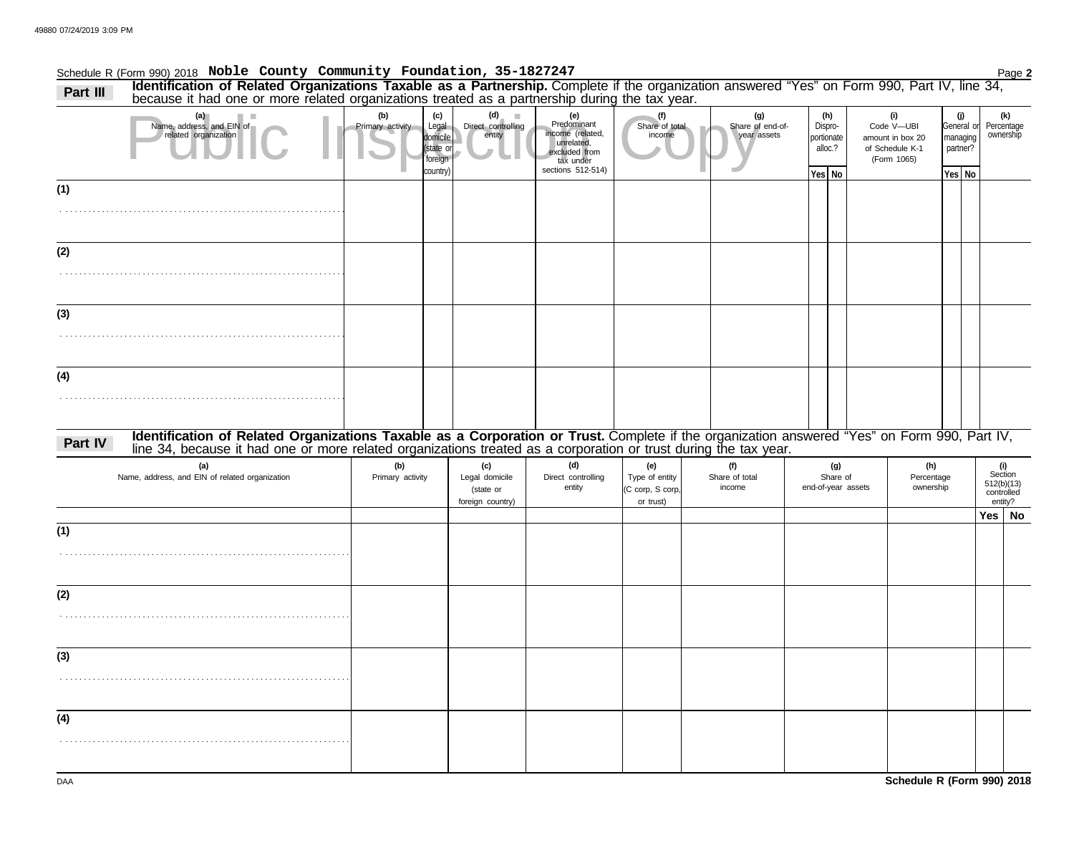.

### Schedule R (Form 990) 2018 Page **2 Noble County Community Foundation, 35-1827247 Part III Identification of Related Organizations Taxable as a Partnership.** Complete if the organization answered "Yes" on Form 990, Part IV, line 34,

Public Inspection Copy **(a) (b) (c) (d) (e) (f)** . . . . . . . . . . . . . . . . . . . . . . . . . . . . . . . . . . . . . . . . . . . . . . . . . . . . . . . . . . . . . . . Name, address, and EIN of Primary activity Legal domicile (state or foreign country) Direct controlling entity Predominant income (related, unrelated, Share of total portionate alloc.? General or managing partner? **Yes No Yes No (g) (h)** Share of end-ofyear assets Dispro-**(i)** of Schedule K-1 Code V—UBI **(j)** . . . . . . . . . . . . . . . . . . . . . . . . . . . . . . . . . . . . . . . . . . . . . . . . . . . . . . . . . . . . . . . . . . . . . . . . . . . . . . . . . . . . . . . . . . . . . . . . . . . . . . . . . . . . . . . . . . . . . . . . . . . . . . . . . . . . . . . . . . . . . . . . . . . . . . . . . . . . . . . . . . . . . . . . . . . . . . . . . . . . . . . . . . . . . . . . . . . . . . . . . . . . . . . . . . . . . . . . . . . . . . . . . . . . . . . . . . . . . . . . . . . . . . . . . . . . . . . . . . . . . . . . . . . . . . . . . . . . . . . . . . . . . . . . . . . . . . . . . . . . . . . . . . . . . . . . . . . . . . . . . . . . . . . . . . . . . . . . . . . . . . . . . . . . . . . . . . . . . . . . . . . . . . . . . . . . . . . . . . . . . **Identification of Related Organizations Taxable as a Corporation or Trust.** Complete if the organization answered "Yes" on Form 990, Part IV, Part IV, Part IV, **(a) (b) (c) (d) (e) (f) (g) (h)** Name, address, and EIN of related organization **Primary activity** Legal domicile (state or foreign country) Direct controlling entity Type of entity (C corp, S corp, or trust) Share of total | Share of end-of-year assets Percentage ownership amount in box 20 (Form 1065) because it had one or more related organizations treated as a partnership during the tax year. excluded from tax under sections 512-514) line 34, because it had one or more related organizations treated as a corporation or trust during the tax year. **(4) (3) (2) (1) (1) (2) (3) (4)** ownership Percentage **(k)** income income related organization 512(b)(13) **Section (i)** entity? **Yes No** controlled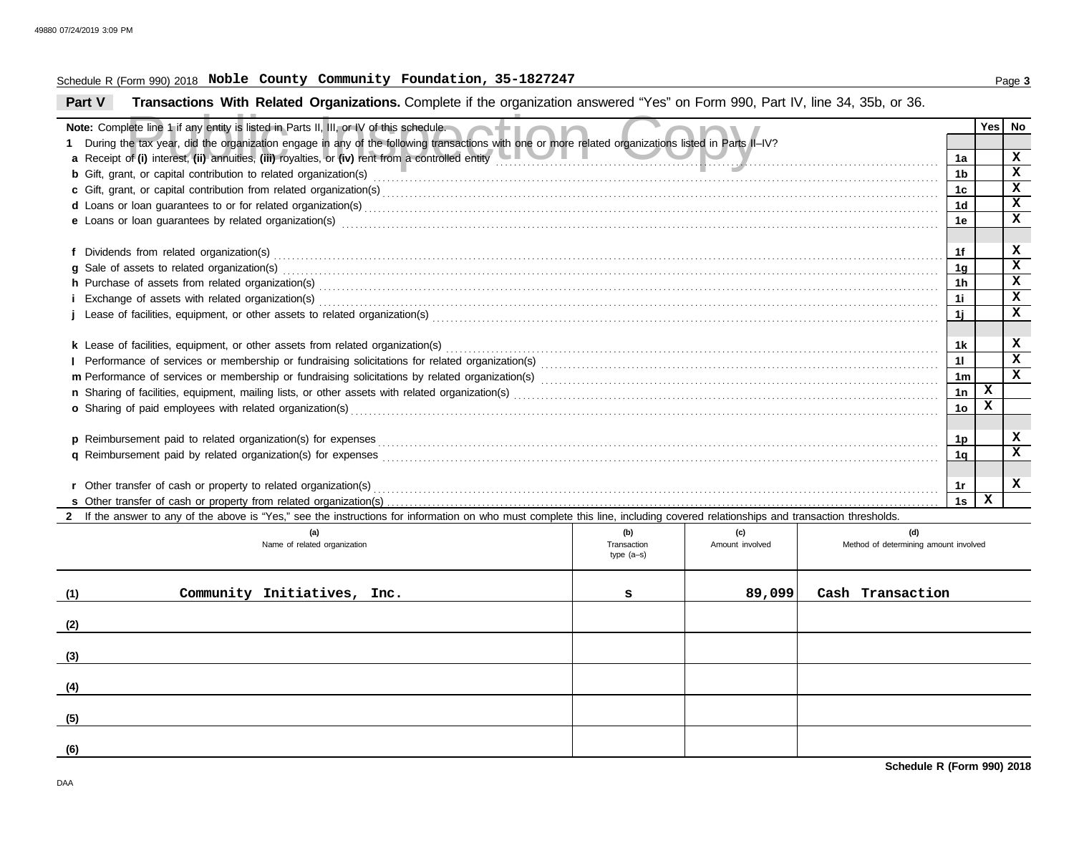#### Schedule R (Form 990) 2018 Page **3 Noble County Community Foundation, 35-1827247**

**Part V Transactions With Related Organizations.** Complete if the organization answered "Yes" on Form 990, Part IV, line 34, 35b, or 36.

| Note: Complete line 1 if any entity is listed in Parts II, III, or IV of this schedule.                                                                                                                                        |                    |                        |                                              |                | Yes l       | No                      |
|--------------------------------------------------------------------------------------------------------------------------------------------------------------------------------------------------------------------------------|--------------------|------------------------|----------------------------------------------|----------------|-------------|-------------------------|
| During the tax year, did the organization engage in any of the following transactions with one or more related organizations listed in Parts II-IV?                                                                            |                    |                        |                                              |                |             |                         |
| a Receipt of (i) interest, (ii) annuities, (iii) royalties, or (iv) rent from a controlled entity                                                                                                                              |                    |                        |                                              |                |             | $\mathbf x$             |
|                                                                                                                                                                                                                                |                    |                        |                                              | 1b             |             | $\mathbf{x}$            |
|                                                                                                                                                                                                                                |                    |                        |                                              | 1c             |             | $\mathbf x$             |
|                                                                                                                                                                                                                                |                    |                        |                                              | 1d             |             | $\mathbf x$             |
| e Loans or loan guarantees by related organization(s) encourance contract the contract contract of the contract or contract or contract or contract or contract or contract or contract or contract or contract or contract or |                    |                        |                                              | 1e             |             | $\mathbf x$             |
|                                                                                                                                                                                                                                |                    |                        |                                              | 1f             |             | x                       |
| g Sale of assets to related organization(s) encourance contains a substantial container and states and states of assets to related organization(s)                                                                             |                    |                        |                                              | 1 <sub>g</sub> |             | $\overline{\mathbf{x}}$ |
| h Purchase of assets from related organization(s) with an intervention of the control of the control or control or control or control or control or control or control or control or control or control or control or control  |                    |                        |                                              | 1 <sub>h</sub> |             | X                       |
|                                                                                                                                                                                                                                |                    |                        |                                              | 11             |             | X                       |
|                                                                                                                                                                                                                                |                    |                        |                                              | 1i             |             | x                       |
|                                                                                                                                                                                                                                |                    |                        |                                              |                |             |                         |
|                                                                                                                                                                                                                                |                    |                        |                                              | 1k             |             | x                       |
|                                                                                                                                                                                                                                |                    |                        |                                              | 11             |             | $\mathbf x$             |
|                                                                                                                                                                                                                                |                    |                        |                                              | 1 <sub>m</sub> |             | X                       |
|                                                                                                                                                                                                                                |                    |                        |                                              | 1n             | x           |                         |
| o Sharing of paid employees with related organization(s) encourance contains an account of the state of paid employees with related organization(s)                                                                            |                    |                        |                                              | 1 <sub>o</sub> | $\mathbf x$ |                         |
|                                                                                                                                                                                                                                |                    |                        |                                              |                |             |                         |
| p Reimbursement paid to related organization(s) for expenses                                                                                                                                                                   |                    |                        |                                              | 1p             |             | X                       |
|                                                                                                                                                                                                                                |                    |                        |                                              | 1 <sub>a</sub> |             | X                       |
|                                                                                                                                                                                                                                |                    |                        |                                              |                |             | x                       |
|                                                                                                                                                                                                                                |                    |                        |                                              | 1r             | X           |                         |
|                                                                                                                                                                                                                                |                    |                        |                                              | 1s             |             |                         |
| 2 If the answer to any of the above is "Yes," see the instructions for information on who must complete this line, including covered relationships and transaction thresholds.                                                 |                    |                        |                                              |                |             |                         |
| (a)<br>Name of related organization                                                                                                                                                                                            | (b)<br>Transaction | (c)<br>Amount involved | (d)<br>Method of determining amount involved |                |             |                         |
|                                                                                                                                                                                                                                | type $(a-s)$       |                        |                                              |                |             |                         |
|                                                                                                                                                                                                                                |                    |                        |                                              |                |             |                         |
| (1)<br>Community Initiatives, Inc.                                                                                                                                                                                             | s                  | 89,099                 | Cash Transaction                             |                |             |                         |
|                                                                                                                                                                                                                                |                    |                        |                                              |                |             |                         |
| (2)                                                                                                                                                                                                                            |                    |                        |                                              |                |             |                         |
| (3)                                                                                                                                                                                                                            |                    |                        |                                              |                |             |                         |
|                                                                                                                                                                                                                                |                    |                        |                                              |                |             |                         |
| (4)                                                                                                                                                                                                                            |                    |                        |                                              |                |             |                         |
| (5)                                                                                                                                                                                                                            |                    |                        |                                              |                |             |                         |
|                                                                                                                                                                                                                                |                    |                        |                                              |                |             |                         |

**(6)**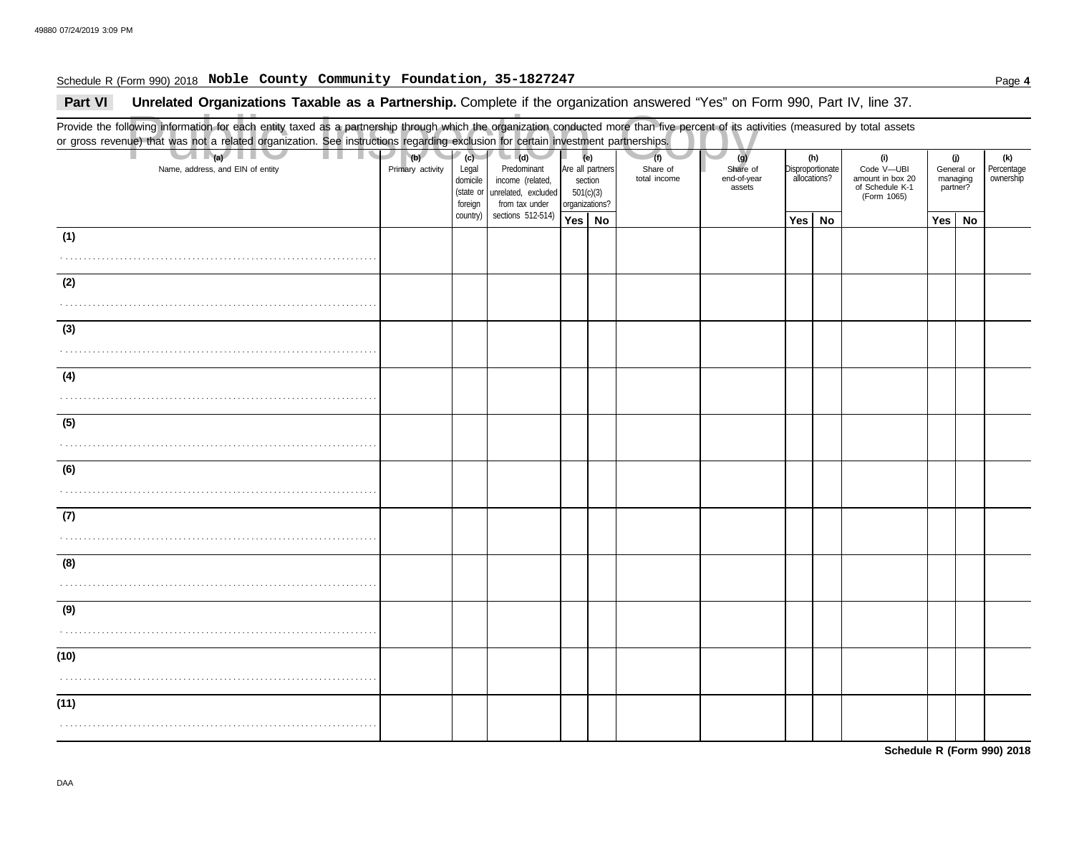#### Schedule R (Form 990) 2018 Page **4 Noble County Community Foundation, 35-1827247**

Part VI Unrelated Organizations Taxable as a Partnership. Complete if the organization answered "Yes" on Form 990, Part IV, line 37.

Public Inspection Copy Provide the following information for each entity taxed as a partnership through which the organization conducted more than five percent of its activities (measured by total assets or gross revenue) that was not a related organization. See instructions regarding exclusion for certain investment partnerships. Name, address, and EIN of entity **Primary activity** Legal domicile (state or Are all partners section 501(c)(3) organizations? Share of end-of-year assets **Disproportionate** allocations? Code V—UBI amount in box 20 of Schedule K-1 General or managing partner? **(a) (b) (c) (e) (g) (h) (i) (j)** . . . . . . . . . . . . . . . . . . . . . . . . . . . . . . . . . . . . . . . . . . . . . . . . . . . . . . . . . . . . . . . . . . . . . . **Yes No Yes No Yes No** . . . . . . . . . . . . . . . . . . . . . . . . . . . . . . . . . . . . . . . . . . . . . . . . . . . . . . . . . . . . . . . . . . . . . . . . . . . . . . . . . . . . . . . . . . . . . . . . . . . . . . . . . . . . . . . . . . . . . . . . . . . . . . . . . . . . . . . . . . . . . . . . . . . . . . . . . . . . . . . . . . . . . . . . . . . . . . . . . . . . . . . . . . . . . . . . . . . . . . . . . . . . . . . . . . . . . . . . . . . . . . . . . . . . . . . . . . . . . . . . . . . . . . . . . . . . . . . . . . . . . . . . . . . . . . . . . . . . . . . . . . . . . . . . . . . . . . . . . . . . . . . . . . . . . . . . . . . . . . . . . . . . . . . . . . . . . . . . . . . . . . . . . . . . . . . . . . . . . . . . . . . . . . . . . . . . . . . . . . . . . . . . . . . . . . . . . . . . . . . . . . . . . . . . . . . . . . . . . . . . . . . . . . . . . . . . . . . . . . . . . . . . . . . . . . . . . . . . . . . . . . . . . . . . . . . . . . . . . . . . . . . . . . . . . . . . . . . . . . . . . . . . . . . . . . . . . . . . . . . . . . . . . . . . . . . . . . . . . . . . . . . . . . . . . . . . . . . . . . . . . . . . . . . . . . . . . . . . . . . . . . . . . . . . . . . . . . . . . . . . . . . . . . . . . . . . . . . . . . . . . . . . . . . . . . . . . . . . . . . . . . . . . . . . . . . . . . . . . . . . . . . . . . . . . . . . . . . . . . . . . . . . . . . . . . . . . . . . . . . . (Form 1065) **(1) (2) (3) (4) (5) (6) (7) (8) (9) (10) (11) (d)** unrelated, excluded income (related, Predominant from tax under sections 512-514) foreign country) **(f)** total income Share of **(k)** ownership Percentage

**Schedule R (Form 990) 2018**